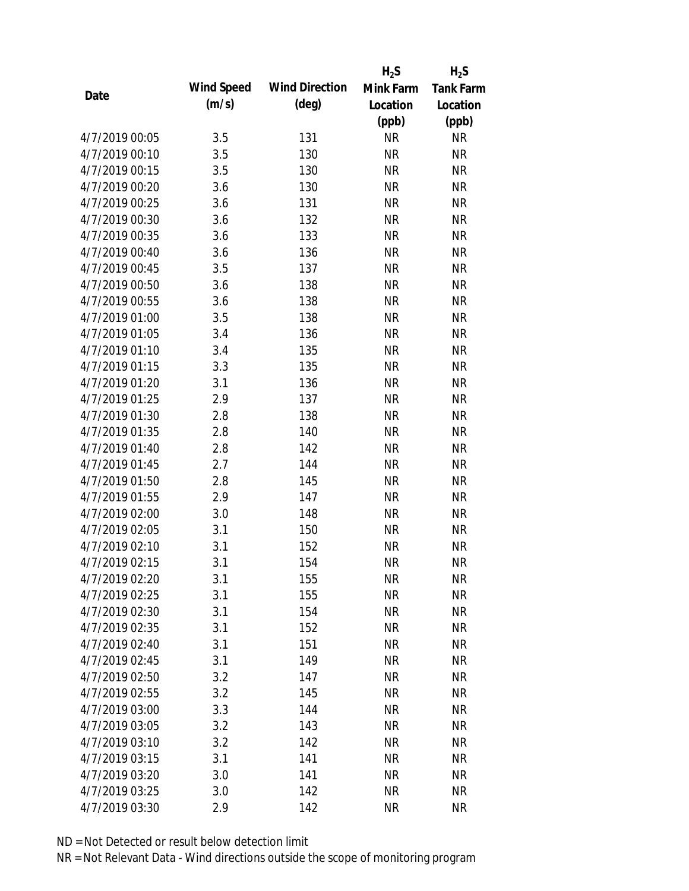|                |            |                       | $H_2S$    | $H_2S$           |
|----------------|------------|-----------------------|-----------|------------------|
|                | Wind Speed | <b>Wind Direction</b> | Mink Farm | <b>Tank Farm</b> |
| Date           | (m/s)      | $(\text{deg})$        | Location  | Location         |
|                |            |                       | (ppb)     | (ppb)            |
| 4/7/2019 00:05 | 3.5        | 131                   | <b>NR</b> | <b>NR</b>        |
| 4/7/2019 00:10 | 3.5        | 130                   | <b>NR</b> | <b>NR</b>        |
| 4/7/2019 00:15 | 3.5        | 130                   | <b>NR</b> | <b>NR</b>        |
| 4/7/2019 00:20 | 3.6        | 130                   | <b>NR</b> | <b>NR</b>        |
| 4/7/2019 00:25 | 3.6        | 131                   | <b>NR</b> | <b>NR</b>        |
| 4/7/2019 00:30 | 3.6        | 132                   | <b>NR</b> | <b>NR</b>        |
| 4/7/2019 00:35 | 3.6        | 133                   | <b>NR</b> | <b>NR</b>        |
| 4/7/2019 00:40 | 3.6        | 136                   | <b>NR</b> | <b>NR</b>        |
| 4/7/2019 00:45 | 3.5        | 137                   | <b>NR</b> | <b>NR</b>        |
| 4/7/2019 00:50 | 3.6        | 138                   | <b>NR</b> | <b>NR</b>        |
| 4/7/2019 00:55 | 3.6        | 138                   | <b>NR</b> | <b>NR</b>        |
| 4/7/2019 01:00 | 3.5        | 138                   | <b>NR</b> | <b>NR</b>        |
| 4/7/2019 01:05 | 3.4        | 136                   | <b>NR</b> | <b>NR</b>        |
| 4/7/2019 01:10 | 3.4        | 135                   | <b>NR</b> | <b>NR</b>        |
| 4/7/2019 01:15 | 3.3        | 135                   | <b>NR</b> | <b>NR</b>        |
| 4/7/2019 01:20 | 3.1        | 136                   | <b>NR</b> | <b>NR</b>        |
| 4/7/2019 01:25 | 2.9        | 137                   | <b>NR</b> | <b>NR</b>        |
| 4/7/2019 01:30 | 2.8        | 138                   | <b>NR</b> | <b>NR</b>        |
| 4/7/2019 01:35 | 2.8        | 140                   | <b>NR</b> | <b>NR</b>        |
| 4/7/2019 01:40 | 2.8        | 142                   | <b>NR</b> | <b>NR</b>        |
| 4/7/2019 01:45 | 2.7        | 144                   | <b>NR</b> | <b>NR</b>        |
| 4/7/2019 01:50 | 2.8        | 145                   | <b>NR</b> | <b>NR</b>        |
| 4/7/2019 01:55 | 2.9        | 147                   | <b>NR</b> | <b>NR</b>        |
| 4/7/2019 02:00 | 3.0        | 148                   | <b>NR</b> | <b>NR</b>        |
| 4/7/2019 02:05 | 3.1        | 150                   | <b>NR</b> | <b>NR</b>        |
| 4/7/2019 02:10 | 3.1        | 152                   | <b>NR</b> | <b>NR</b>        |
| 4/7/2019 02:15 | 3.1        | 154                   | <b>NR</b> | <b>NR</b>        |
| 4/7/2019 02:20 | 3.1        | 155                   | <b>NR</b> | <b>NR</b>        |
| 4/7/2019 02:25 | 3.1        | 155                   | <b>NR</b> | <b>NR</b>        |
| 4/7/2019 02:30 | 3.1        | 154                   | <b>NR</b> | <b>NR</b>        |
| 4/7/2019 02:35 | 3.1        | 152                   | <b>NR</b> | <b>NR</b>        |
| 4/7/2019 02:40 | 3.1        | 151                   | <b>NR</b> | <b>NR</b>        |
| 4/7/2019 02:45 | 3.1        | 149                   | <b>NR</b> | <b>NR</b>        |
| 4/7/2019 02:50 | 3.2        | 147                   | <b>NR</b> | <b>NR</b>        |
| 4/7/2019 02:55 | 3.2        | 145                   | <b>NR</b> | <b>NR</b>        |
| 4/7/2019 03:00 | 3.3        | 144                   | <b>NR</b> | <b>NR</b>        |
| 4/7/2019 03:05 | 3.2        | 143                   | <b>NR</b> | <b>NR</b>        |
| 4/7/2019 03:10 | 3.2        | 142                   | <b>NR</b> | <b>NR</b>        |
| 4/7/2019 03:15 | 3.1        | 141                   | <b>NR</b> | <b>NR</b>        |
| 4/7/2019 03:20 | 3.0        | 141                   | <b>NR</b> | <b>NR</b>        |
| 4/7/2019 03:25 | 3.0        | 142                   | <b>NR</b> | <b>NR</b>        |
| 4/7/2019 03:30 | 2.9        | 142                   | <b>NR</b> | <b>NR</b>        |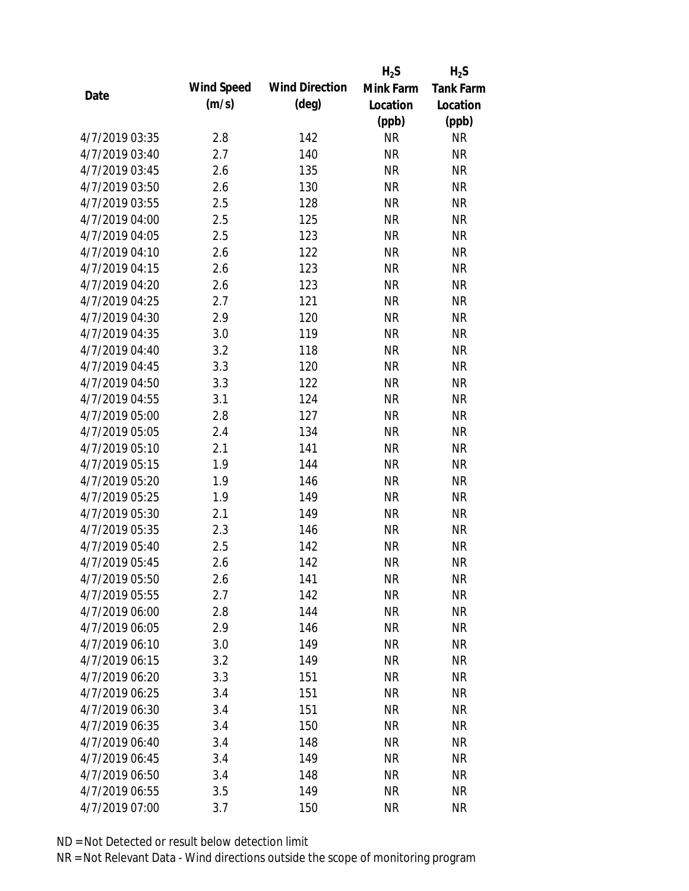|                |            |                       | $H_2S$    | $H_2S$           |
|----------------|------------|-----------------------|-----------|------------------|
| Date           | Wind Speed | <b>Wind Direction</b> | Mink Farm | <b>Tank Farm</b> |
|                | (m/s)      | $(\text{deg})$        | Location  | Location         |
|                |            |                       | (ppb)     | (ppb)            |
| 4/7/2019 03:35 | 2.8        | 142                   | <b>NR</b> | <b>NR</b>        |
| 4/7/2019 03:40 | 2.7        | 140                   | <b>NR</b> | <b>NR</b>        |
| 4/7/2019 03:45 | 2.6        | 135                   | <b>NR</b> | <b>NR</b>        |
| 4/7/2019 03:50 | 2.6        | 130                   | <b>NR</b> | <b>NR</b>        |
| 4/7/2019 03:55 | 2.5        | 128                   | <b>NR</b> | <b>NR</b>        |
| 4/7/2019 04:00 | 2.5        | 125                   | <b>NR</b> | <b>NR</b>        |
| 4/7/2019 04:05 | 2.5        | 123                   | <b>NR</b> | <b>NR</b>        |
| 4/7/2019 04:10 | 2.6        | 122                   | <b>NR</b> | <b>NR</b>        |
| 4/7/2019 04:15 | 2.6        | 123                   | <b>NR</b> | <b>NR</b>        |
| 4/7/2019 04:20 | 2.6        | 123                   | <b>NR</b> | <b>NR</b>        |
| 4/7/2019 04:25 | 2.7        | 121                   | <b>NR</b> | <b>NR</b>        |
| 4/7/2019 04:30 | 2.9        | 120                   | <b>NR</b> | <b>NR</b>        |
| 4/7/2019 04:35 | 3.0        | 119                   | <b>NR</b> | <b>NR</b>        |
| 4/7/2019 04:40 | 3.2        | 118                   | <b>NR</b> | <b>NR</b>        |
| 4/7/2019 04:45 | 3.3        | 120                   | <b>NR</b> | <b>NR</b>        |
| 4/7/2019 04:50 | 3.3        | 122                   | <b>NR</b> | <b>NR</b>        |
| 4/7/2019 04:55 | 3.1        | 124                   | <b>NR</b> | <b>NR</b>        |
| 4/7/2019 05:00 | 2.8        | 127                   | <b>NR</b> | <b>NR</b>        |
| 4/7/2019 05:05 | 2.4        | 134                   | <b>NR</b> | <b>NR</b>        |
| 4/7/2019 05:10 | 2.1        | 141                   | <b>NR</b> | <b>NR</b>        |
| 4/7/2019 05:15 | 1.9        | 144                   | <b>NR</b> | <b>NR</b>        |
| 4/7/2019 05:20 | 1.9        | 146                   | <b>NR</b> | <b>NR</b>        |
| 4/7/2019 05:25 | 1.9        | 149                   | <b>NR</b> | <b>NR</b>        |
| 4/7/2019 05:30 | 2.1        | 149                   | <b>NR</b> | <b>NR</b>        |
| 4/7/2019 05:35 | 2.3        | 146                   | <b>NR</b> | <b>NR</b>        |
| 4/7/2019 05:40 | 2.5        | 142                   | <b>NR</b> | <b>NR</b>        |
| 4/7/2019 05:45 | 2.6        | 142                   | <b>NR</b> | <b>NR</b>        |
| 4/7/2019 05:50 | 2.6        | 141                   | <b>NR</b> | <b>NR</b>        |
| 4/7/2019 05:55 | 2.7        | 142                   | <b>NR</b> | <b>NR</b>        |
| 4/7/2019 06:00 | 2.8        | 144                   | <b>NR</b> | <b>NR</b>        |
| 4/7/2019 06:05 | 2.9        | 146                   | <b>NR</b> | <b>NR</b>        |
| 4/7/2019 06:10 | 3.0        | 149                   | <b>NR</b> | <b>NR</b>        |
| 4/7/2019 06:15 | 3.2        | 149                   | <b>NR</b> | <b>NR</b>        |
| 4/7/2019 06:20 | 3.3        | 151                   | <b>NR</b> | <b>NR</b>        |
| 4/7/2019 06:25 | 3.4        | 151                   | <b>NR</b> | <b>NR</b>        |
| 4/7/2019 06:30 | 3.4        | 151                   | <b>NR</b> | <b>NR</b>        |
| 4/7/2019 06:35 | 3.4        | 150                   | <b>NR</b> | <b>NR</b>        |
| 4/7/2019 06:40 | 3.4        | 148                   | <b>NR</b> | <b>NR</b>        |
| 4/7/2019 06:45 | 3.4        | 149                   | <b>NR</b> | <b>NR</b>        |
| 4/7/2019 06:50 | 3.4        | 148                   | <b>NR</b> | <b>NR</b>        |
| 4/7/2019 06:55 | 3.5        | 149                   | <b>NR</b> | <b>NR</b>        |
| 4/7/2019 07:00 | 3.7        | 150                   | <b>NR</b> | <b>NR</b>        |
|                |            |                       |           |                  |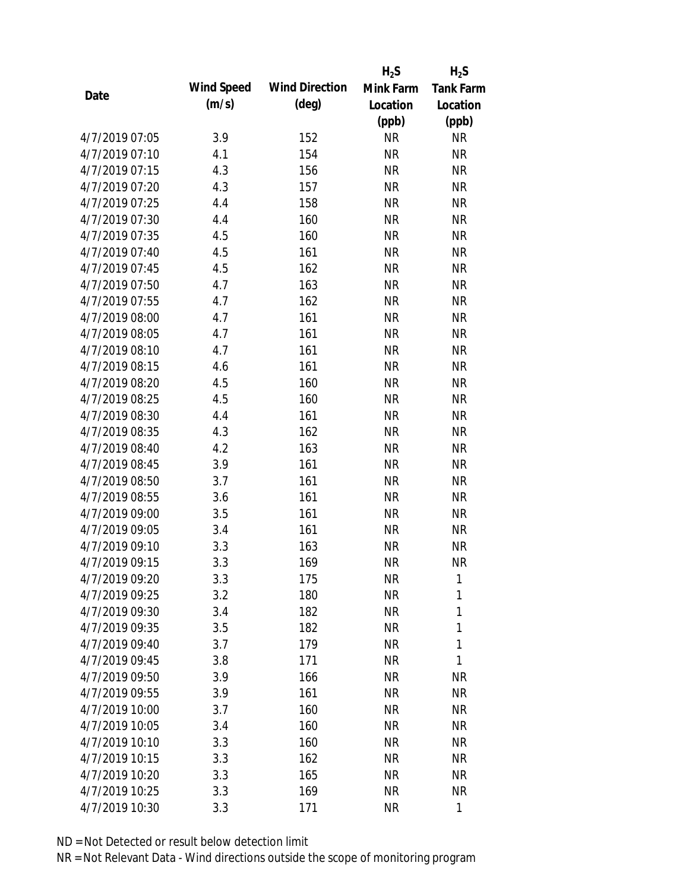|                |            |                       | $H_2S$    | $H_2S$           |
|----------------|------------|-----------------------|-----------|------------------|
| Date           | Wind Speed | <b>Wind Direction</b> | Mink Farm | <b>Tank Farm</b> |
|                | (m/s)      | $(\text{deg})$        | Location  | Location         |
|                |            |                       | (ppb)     | (ppb)            |
| 4/7/2019 07:05 | 3.9        | 152                   | <b>NR</b> | <b>NR</b>        |
| 4/7/2019 07:10 | 4.1        | 154                   | <b>NR</b> | <b>NR</b>        |
| 4/7/2019 07:15 | 4.3        | 156                   | <b>NR</b> | <b>NR</b>        |
| 4/7/2019 07:20 | 4.3        | 157                   | <b>NR</b> | <b>NR</b>        |
| 4/7/2019 07:25 | 4.4        | 158                   | <b>NR</b> | <b>NR</b>        |
| 4/7/2019 07:30 | 4.4        | 160                   | <b>NR</b> | <b>NR</b>        |
| 4/7/2019 07:35 | 4.5        | 160                   | <b>NR</b> | <b>NR</b>        |
| 4/7/2019 07:40 | 4.5        | 161                   | <b>NR</b> | <b>NR</b>        |
| 4/7/2019 07:45 | 4.5        | 162                   | <b>NR</b> | <b>NR</b>        |
| 4/7/2019 07:50 | 4.7        | 163                   | <b>NR</b> | <b>NR</b>        |
| 4/7/2019 07:55 | 4.7        | 162                   | <b>NR</b> | <b>NR</b>        |
| 4/7/2019 08:00 | 4.7        | 161                   | <b>NR</b> | <b>NR</b>        |
| 4/7/2019 08:05 | 4.7        | 161                   | <b>NR</b> | <b>NR</b>        |
| 4/7/2019 08:10 | 4.7        | 161                   | <b>NR</b> | <b>NR</b>        |
| 4/7/2019 08:15 | 4.6        | 161                   | <b>NR</b> | <b>NR</b>        |
| 4/7/2019 08:20 | 4.5        | 160                   | <b>NR</b> | <b>NR</b>        |
| 4/7/2019 08:25 | 4.5        | 160                   | <b>NR</b> | <b>NR</b>        |
| 4/7/2019 08:30 | 4.4        | 161                   | <b>NR</b> | <b>NR</b>        |
| 4/7/2019 08:35 | 4.3        | 162                   | <b>NR</b> | <b>NR</b>        |
| 4/7/2019 08:40 | 4.2        | 163                   | <b>NR</b> | <b>NR</b>        |
| 4/7/2019 08:45 | 3.9        | 161                   | <b>NR</b> | <b>NR</b>        |
| 4/7/2019 08:50 | 3.7        | 161                   | <b>NR</b> | <b>NR</b>        |
| 4/7/2019 08:55 | 3.6        | 161                   | <b>NR</b> | <b>NR</b>        |
| 4/7/2019 09:00 | 3.5        | 161                   | <b>NR</b> | <b>NR</b>        |
| 4/7/2019 09:05 | 3.4        | 161                   | <b>NR</b> | <b>NR</b>        |
| 4/7/2019 09:10 | 3.3        | 163                   | <b>NR</b> | <b>NR</b>        |
| 4/7/2019 09:15 | 3.3        | 169                   | <b>NR</b> | <b>NR</b>        |
| 4/7/2019 09:20 | 3.3        | 175                   | <b>NR</b> | 1                |
| 4/7/2019 09:25 | 3.2        | 180                   | <b>NR</b> | 1                |
| 4/7/2019 09:30 | 3.4        | 182                   | <b>NR</b> | 1                |
| 4/7/2019 09:35 | 3.5        | 182                   | <b>NR</b> | 1                |
| 4/7/2019 09:40 | 3.7        | 179                   | <b>NR</b> | 1                |
| 4/7/2019 09:45 | 3.8        | 171                   | <b>NR</b> | 1                |
| 4/7/2019 09:50 | 3.9        | 166                   | <b>NR</b> | <b>NR</b>        |
| 4/7/2019 09:55 | 3.9        | 161                   | <b>NR</b> | <b>NR</b>        |
| 4/7/2019 10:00 | 3.7        | 160                   | <b>NR</b> | <b>NR</b>        |
| 4/7/2019 10:05 | 3.4        | 160                   | <b>NR</b> | <b>NR</b>        |
| 4/7/2019 10:10 | 3.3        | 160                   | <b>NR</b> | <b>NR</b>        |
| 4/7/2019 10:15 | 3.3        | 162                   | <b>NR</b> | <b>NR</b>        |
| 4/7/2019 10:20 | 3.3        | 165                   | <b>NR</b> | <b>NR</b>        |
| 4/7/2019 10:25 | 3.3        | 169                   | <b>NR</b> | <b>NR</b>        |
| 4/7/2019 10:30 | 3.3        | 171                   | <b>NR</b> | $\mathbf{1}$     |
|                |            |                       |           |                  |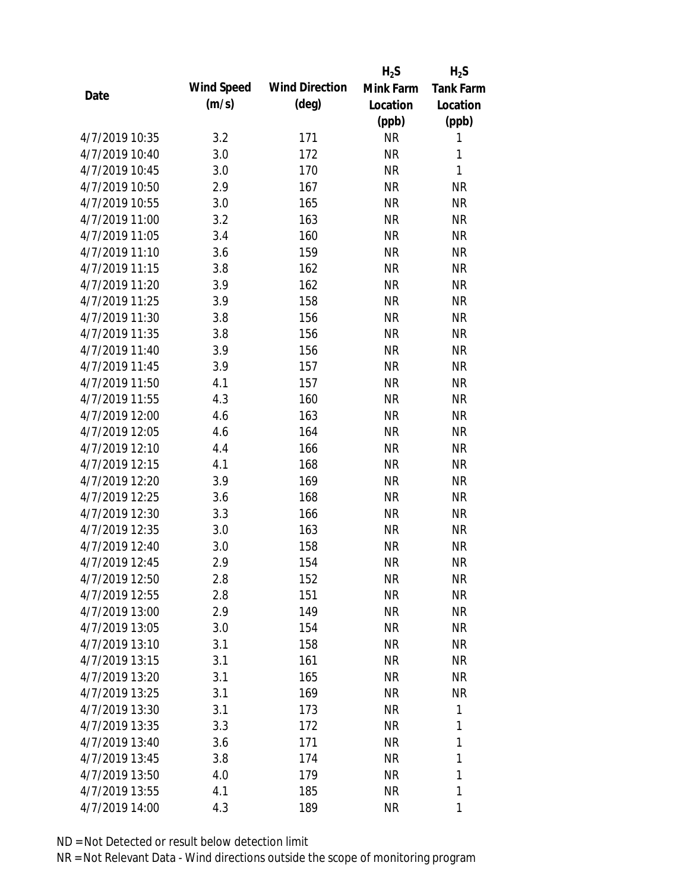|                |            |                       | $H_2S$    | $H_2S$           |
|----------------|------------|-----------------------|-----------|------------------|
|                | Wind Speed | <b>Wind Direction</b> | Mink Farm | <b>Tank Farm</b> |
| Date           | (m/s)      | $(\text{deg})$        | Location  | Location         |
|                |            |                       | (ppb)     | (ppb)            |
| 4/7/2019 10:35 | 3.2        | 171                   | <b>NR</b> | 1                |
| 4/7/2019 10:40 | 3.0        | 172                   | <b>NR</b> | 1                |
| 4/7/2019 10:45 | 3.0        | 170                   | <b>NR</b> | 1                |
| 4/7/2019 10:50 | 2.9        | 167                   | <b>NR</b> | <b>NR</b>        |
| 4/7/2019 10:55 | 3.0        | 165                   | <b>NR</b> | <b>NR</b>        |
| 4/7/2019 11:00 | 3.2        | 163                   | <b>NR</b> | <b>NR</b>        |
| 4/7/2019 11:05 | 3.4        | 160                   | <b>NR</b> | <b>NR</b>        |
| 4/7/2019 11:10 | 3.6        | 159                   | <b>NR</b> | <b>NR</b>        |
| 4/7/2019 11:15 | 3.8        | 162                   | <b>NR</b> | <b>NR</b>        |
| 4/7/2019 11:20 | 3.9        | 162                   | <b>NR</b> | <b>NR</b>        |
| 4/7/2019 11:25 | 3.9        | 158                   | <b>NR</b> | <b>NR</b>        |
| 4/7/2019 11:30 | 3.8        | 156                   | <b>NR</b> | <b>NR</b>        |
| 4/7/2019 11:35 | 3.8        | 156                   | <b>NR</b> | <b>NR</b>        |
| 4/7/2019 11:40 | 3.9        | 156                   | <b>NR</b> | <b>NR</b>        |
| 4/7/2019 11:45 | 3.9        | 157                   | <b>NR</b> | <b>NR</b>        |
| 4/7/2019 11:50 | 4.1        | 157                   | <b>NR</b> | <b>NR</b>        |
| 4/7/2019 11:55 | 4.3        | 160                   | <b>NR</b> | <b>NR</b>        |
| 4/7/2019 12:00 | 4.6        | 163                   | <b>NR</b> | <b>NR</b>        |
| 4/7/2019 12:05 | 4.6        | 164                   | <b>NR</b> | <b>NR</b>        |
| 4/7/2019 12:10 | 4.4        | 166                   | <b>NR</b> | <b>NR</b>        |
| 4/7/2019 12:15 | 4.1        | 168                   | <b>NR</b> | <b>NR</b>        |
| 4/7/2019 12:20 | 3.9        | 169                   | <b>NR</b> | <b>NR</b>        |
| 4/7/2019 12:25 | 3.6        | 168                   | <b>NR</b> | <b>NR</b>        |
| 4/7/2019 12:30 | 3.3        | 166                   | <b>NR</b> | <b>NR</b>        |
| 4/7/2019 12:35 | 3.0        | 163                   | <b>NR</b> | <b>NR</b>        |
| 4/7/2019 12:40 | 3.0        | 158                   | <b>NR</b> | <b>NR</b>        |
| 4/7/2019 12:45 | 2.9        | 154                   | <b>NR</b> | <b>NR</b>        |
| 4/7/2019 12:50 | 2.8        | 152                   | <b>NR</b> | <b>NR</b>        |
| 4/7/2019 12:55 | 2.8        | 151                   | <b>NR</b> | <b>NR</b>        |
| 4/7/2019 13:00 | 2.9        | 149                   | <b>NR</b> | <b>NR</b>        |
| 4/7/2019 13:05 | 3.0        | 154                   | <b>NR</b> | <b>NR</b>        |
| 4/7/2019 13:10 | 3.1        | 158                   | <b>NR</b> | <b>NR</b>        |
| 4/7/2019 13:15 | 3.1        | 161                   | <b>NR</b> | <b>NR</b>        |
| 4/7/2019 13:20 | 3.1        | 165                   | <b>NR</b> | <b>NR</b>        |
| 4/7/2019 13:25 | 3.1        | 169                   | <b>NR</b> | <b>NR</b>        |
| 4/7/2019 13:30 | 3.1        | 173                   | <b>NR</b> | 1                |
| 4/7/2019 13:35 | 3.3        | 172                   | NR        | 1                |
| 4/7/2019 13:40 | 3.6        | 171                   | <b>NR</b> | 1                |
| 4/7/2019 13:45 | 3.8        | 174                   | <b>NR</b> | 1                |
| 4/7/2019 13:50 | 4.0        | 179                   | <b>NR</b> | 1                |
| 4/7/2019 13:55 | 4.1        | 185                   | <b>NR</b> | 1                |
| 4/7/2019 14:00 | 4.3        | 189                   | <b>NR</b> | 1                |
|                |            |                       |           |                  |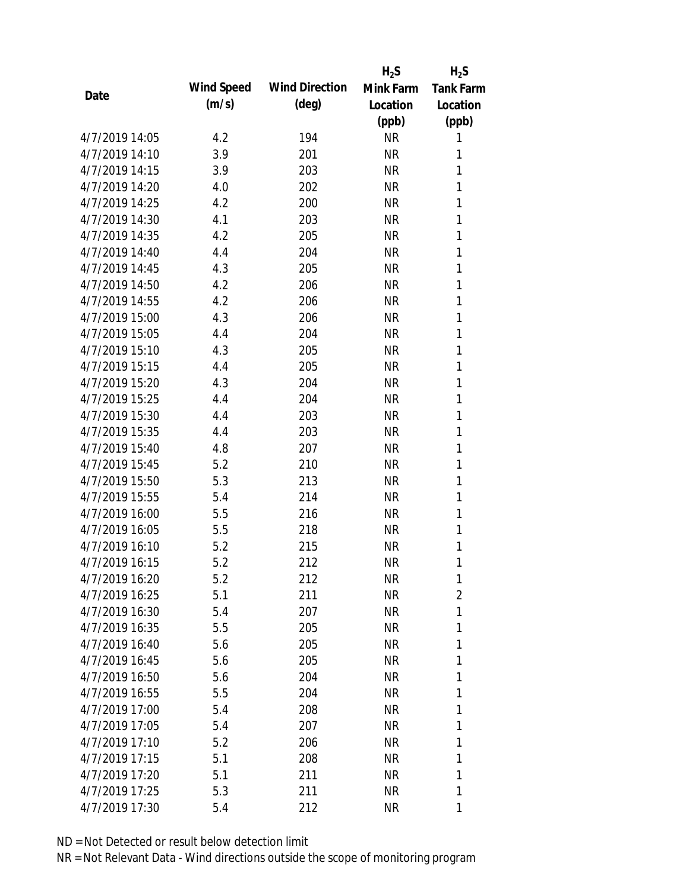|                |            |                       | $H_2S$    | $H_2S$           |
|----------------|------------|-----------------------|-----------|------------------|
| Date           | Wind Speed | <b>Wind Direction</b> | Mink Farm | <b>Tank Farm</b> |
|                | (m/s)      | $(\text{deg})$        | Location  | Location         |
|                |            |                       | (ppb)     | (ppb)            |
| 4/7/2019 14:05 | 4.2        | 194                   | <b>NR</b> | 1                |
| 4/7/2019 14:10 | 3.9        | 201                   | <b>NR</b> | 1                |
| 4/7/2019 14:15 | 3.9        | 203                   | <b>NR</b> | 1                |
| 4/7/2019 14:20 | 4.0        | 202                   | <b>NR</b> | 1                |
| 4/7/2019 14:25 | 4.2        | 200                   | <b>NR</b> | 1                |
| 4/7/2019 14:30 | 4.1        | 203                   | <b>NR</b> | 1                |
| 4/7/2019 14:35 | 4.2        | 205                   | <b>NR</b> | 1                |
| 4/7/2019 14:40 | 4.4        | 204                   | <b>NR</b> | 1                |
| 4/7/2019 14:45 | 4.3        | 205                   | <b>NR</b> | 1                |
| 4/7/2019 14:50 | 4.2        | 206                   | <b>NR</b> | 1                |
| 4/7/2019 14:55 | 4.2        | 206                   | <b>NR</b> | 1                |
| 4/7/2019 15:00 | 4.3        | 206                   | <b>NR</b> | 1                |
| 4/7/2019 15:05 | 4.4        | 204                   | <b>NR</b> | 1                |
| 4/7/2019 15:10 | 4.3        | 205                   | <b>NR</b> | 1                |
| 4/7/2019 15:15 | 4.4        | 205                   | <b>NR</b> | 1                |
| 4/7/2019 15:20 | 4.3        | 204                   | <b>NR</b> | 1                |
| 4/7/2019 15:25 | 4.4        | 204                   | <b>NR</b> | 1                |
| 4/7/2019 15:30 | 4.4        | 203                   | <b>NR</b> | 1                |
| 4/7/2019 15:35 | 4.4        | 203                   | <b>NR</b> | 1                |
| 4/7/2019 15:40 | 4.8        | 207                   | <b>NR</b> | 1                |
| 4/7/2019 15:45 | 5.2        | 210                   | <b>NR</b> | 1                |
| 4/7/2019 15:50 | 5.3        | 213                   | <b>NR</b> | 1                |
| 4/7/2019 15:55 | 5.4        | 214                   | <b>NR</b> | 1                |
| 4/7/2019 16:00 | 5.5        | 216                   | <b>NR</b> | 1                |
| 4/7/2019 16:05 | 5.5        | 218                   | <b>NR</b> | 1                |
| 4/7/2019 16:10 | 5.2        | 215                   | <b>NR</b> | 1                |
| 4/7/2019 16:15 | 5.2        | 212                   | <b>NR</b> | 1                |
| 4/7/2019 16:20 | 5.2        | 212                   | <b>NR</b> | 1                |
| 4/7/2019 16:25 | 5.1        | 211                   | <b>NR</b> | 2                |
| 4/7/2019 16:30 | 5.4        | 207                   | <b>NR</b> | 1                |
| 4/7/2019 16:35 | 5.5        | 205                   | <b>NR</b> | 1                |
| 4/7/2019 16:40 | 5.6        | 205                   | <b>NR</b> | 1                |
| 4/7/2019 16:45 | 5.6        | 205                   | <b>NR</b> | 1                |
| 4/7/2019 16:50 | 5.6        | 204                   | <b>NR</b> | 1                |
| 4/7/2019 16:55 | 5.5        | 204                   | <b>NR</b> | 1                |
| 4/7/2019 17:00 | 5.4        | 208                   | <b>NR</b> | 1                |
| 4/7/2019 17:05 | 5.4        | 207                   | <b>NR</b> | 1                |
| 4/7/2019 17:10 | 5.2        | 206                   | <b>NR</b> | 1                |
| 4/7/2019 17:15 | 5.1        | 208                   | <b>NR</b> | 1                |
| 4/7/2019 17:20 | 5.1        | 211                   | <b>NR</b> | 1                |
| 4/7/2019 17:25 | 5.3        | 211                   | <b>NR</b> | 1                |
| 4/7/2019 17:30 | 5.4        | 212                   | <b>NR</b> | 1                |
|                |            |                       |           |                  |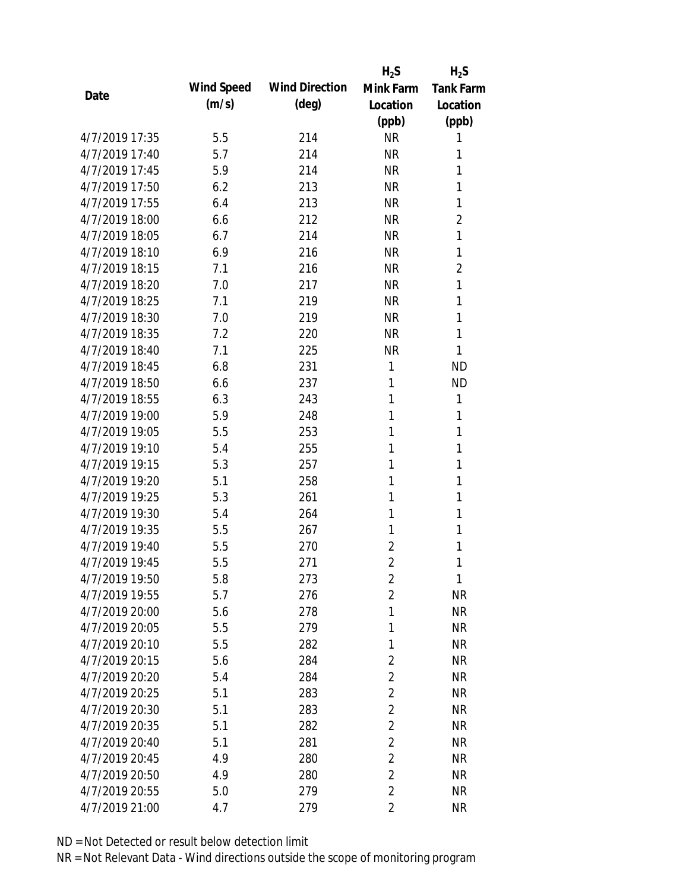|                |            |                       | $H_2S$         | $H_2S$           |
|----------------|------------|-----------------------|----------------|------------------|
| Date           | Wind Speed | <b>Wind Direction</b> | Mink Farm      | <b>Tank Farm</b> |
|                | (m/s)      | $(\text{deg})$        | Location       | Location         |
|                |            |                       | (ppb)          | (ppb)            |
| 4/7/2019 17:35 | 5.5        | 214                   | <b>NR</b>      | 1                |
| 4/7/2019 17:40 | 5.7        | 214                   | <b>NR</b>      | 1                |
| 4/7/2019 17:45 | 5.9        | 214                   | <b>NR</b>      | 1                |
| 4/7/2019 17:50 | 6.2        | 213                   | <b>NR</b>      | 1                |
| 4/7/2019 17:55 | 6.4        | 213                   | <b>NR</b>      | 1                |
| 4/7/2019 18:00 | 6.6        | 212                   | <b>NR</b>      | $\overline{2}$   |
| 4/7/2019 18:05 | 6.7        | 214                   | <b>NR</b>      | 1                |
| 4/7/2019 18:10 | 6.9        | 216                   | <b>NR</b>      | 1                |
| 4/7/2019 18:15 | 7.1        | 216                   | <b>NR</b>      | $\overline{2}$   |
| 4/7/2019 18:20 | 7.0        | 217                   | <b>NR</b>      | 1                |
| 4/7/2019 18:25 | 7.1        | 219                   | <b>NR</b>      | 1                |
| 4/7/2019 18:30 | 7.0        | 219                   | <b>NR</b>      | 1                |
| 4/7/2019 18:35 | 7.2        | 220                   | <b>NR</b>      | 1                |
| 4/7/2019 18:40 | 7.1        | 225                   | <b>NR</b>      | 1                |
| 4/7/2019 18:45 | 6.8        | 231                   | 1              | <b>ND</b>        |
| 4/7/2019 18:50 | 6.6        | 237                   | 1              | <b>ND</b>        |
| 4/7/2019 18:55 | 6.3        | 243                   | 1              | 1                |
| 4/7/2019 19:00 | 5.9        | 248                   | 1              | 1                |
| 4/7/2019 19:05 | 5.5        | 253                   | 1              | 1                |
| 4/7/2019 19:10 | 5.4        | 255                   | 1              | 1                |
| 4/7/2019 19:15 | 5.3        | 257                   | 1              | 1                |
| 4/7/2019 19:20 | 5.1        | 258                   | 1              | 1                |
| 4/7/2019 19:25 | 5.3        | 261                   | 1              | 1                |
| 4/7/2019 19:30 | 5.4        | 264                   | 1              | 1                |
| 4/7/2019 19:35 | 5.5        | 267                   | 1              | 1                |
| 4/7/2019 19:40 | 5.5        | 270                   | $\overline{2}$ | 1                |
| 4/7/2019 19:45 | 5.5        | 271                   | $\overline{2}$ | 1                |
| 4/7/2019 19:50 | 5.8        | 273                   | $\sqrt{2}$     | 1                |
| 4/7/2019 19:55 | 5.7        | 276                   | $\overline{2}$ | <b>NR</b>        |
| 4/7/2019 20:00 | 5.6        | 278                   | 1              | <b>NR</b>        |
| 4/7/2019 20:05 | 5.5        | 279                   | 1              | <b>NR</b>        |
| 4/7/2019 20:10 | 5.5        | 282                   | 1              | <b>NR</b>        |
| 4/7/2019 20:15 | 5.6        | 284                   | $\overline{2}$ | <b>NR</b>        |
| 4/7/2019 20:20 | 5.4        | 284                   | $\overline{2}$ | <b>NR</b>        |
| 4/7/2019 20:25 | 5.1        | 283                   | $\overline{2}$ | <b>NR</b>        |
| 4/7/2019 20:30 | 5.1        | 283                   | $\overline{2}$ | <b>NR</b>        |
| 4/7/2019 20:35 | 5.1        | 282                   | $\overline{2}$ | <b>NR</b>        |
| 4/7/2019 20:40 | 5.1        | 281                   | $\overline{2}$ | <b>NR</b>        |
| 4/7/2019 20:45 | 4.9        | 280                   | $\overline{2}$ | <b>NR</b>        |
| 4/7/2019 20:50 | 4.9        | 280                   | $\overline{2}$ | <b>NR</b>        |
| 4/7/2019 20:55 | 5.0        | 279                   | $\overline{2}$ | <b>NR</b>        |
| 4/7/2019 21:00 | 4.7        | 279                   | $\overline{2}$ | <b>NR</b>        |
|                |            |                       |                |                  |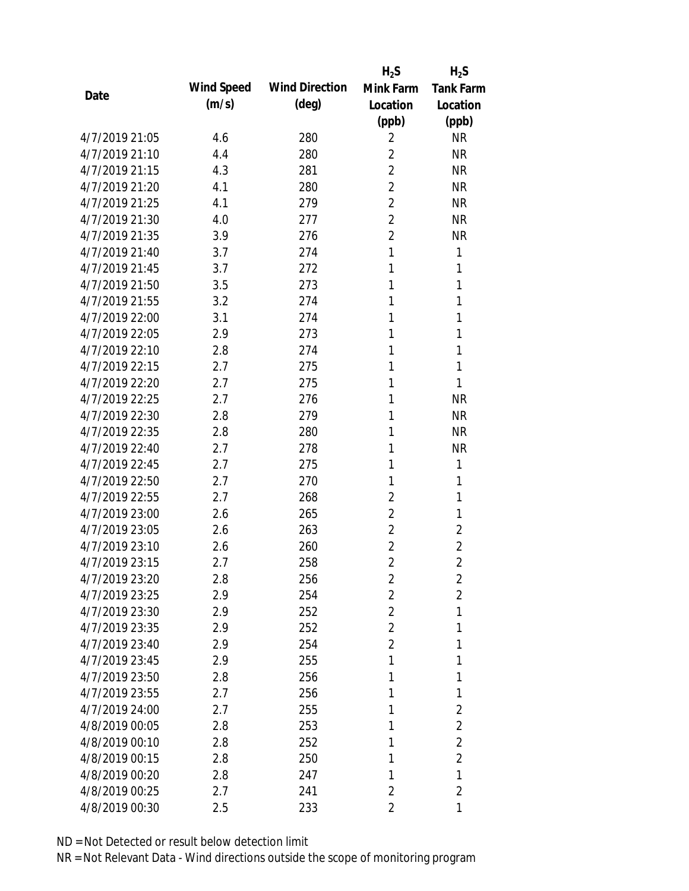|                |            |                       | $H_2S$         | $H_2S$           |
|----------------|------------|-----------------------|----------------|------------------|
| Date           | Wind Speed | <b>Wind Direction</b> | Mink Farm      | <b>Tank Farm</b> |
|                | (m/s)      | (deg)                 | Location       | Location         |
|                |            |                       | (ppb)          | (ppb)            |
| 4/7/2019 21:05 | 4.6        | 280                   | 2              | <b>NR</b>        |
| 4/7/2019 21:10 | 4.4        | 280                   | $\overline{2}$ | <b>NR</b>        |
| 4/7/2019 21:15 | 4.3        | 281                   | $\overline{2}$ | <b>NR</b>        |
| 4/7/2019 21:20 | 4.1        | 280                   | $\overline{2}$ | <b>NR</b>        |
| 4/7/2019 21:25 | 4.1        | 279                   | $\overline{2}$ | <b>NR</b>        |
| 4/7/2019 21:30 | 4.0        | 277                   | $\overline{2}$ | <b>NR</b>        |
| 4/7/2019 21:35 | 3.9        | 276                   | $\overline{2}$ | <b>NR</b>        |
| 4/7/2019 21:40 | 3.7        | 274                   | 1              | 1                |
| 4/7/2019 21:45 | 3.7        | 272                   | 1              | 1                |
| 4/7/2019 21:50 | 3.5        | 273                   | 1              | 1                |
| 4/7/2019 21:55 | 3.2        | 274                   | 1              | 1                |
| 4/7/2019 22:00 | 3.1        | 274                   | 1              | 1                |
| 4/7/2019 22:05 | 2.9        | 273                   | 1              | 1                |
| 4/7/2019 22:10 | 2.8        | 274                   | 1              | 1                |
| 4/7/2019 22:15 | 2.7        | 275                   | 1              | 1                |
| 4/7/2019 22:20 | 2.7        | 275                   | 1              | 1                |
| 4/7/2019 22:25 | 2.7        | 276                   | 1              | <b>NR</b>        |
| 4/7/2019 22:30 | 2.8        | 279                   | 1              | <b>NR</b>        |
| 4/7/2019 22:35 | 2.8        | 280                   | 1              | <b>NR</b>        |
| 4/7/2019 22:40 | 2.7        | 278                   | 1              | <b>NR</b>        |
| 4/7/2019 22:45 | 2.7        | 275                   | 1              | 1                |
| 4/7/2019 22:50 | 2.7        | 270                   | 1              | 1                |
| 4/7/2019 22:55 | 2.7        | 268                   | $\overline{2}$ | 1                |
| 4/7/2019 23:00 | 2.6        | 265                   | $\overline{2}$ | 1                |
| 4/7/2019 23:05 | 2.6        | 263                   | $\overline{2}$ | $\overline{2}$   |
| 4/7/2019 23:10 | 2.6        | 260                   | $\overline{2}$ | $\overline{2}$   |
| 4/7/2019 23:15 | 2.7        | 258                   | $\overline{2}$ | $\overline{2}$   |
| 4/7/2019 23:20 | 2.8        | 256                   | 2              | $\overline{2}$   |
| 4/7/2019 23:25 | 2.9        | 254                   | 2              | $\overline{2}$   |
| 4/7/2019 23:30 | 2.9        | 252                   | 2              | 1                |
| 4/7/2019 23:35 | 2.9        | 252                   | 2              | 1                |
| 4/7/2019 23:40 | 2.9        | 254                   | $\overline{2}$ | 1                |
| 4/7/2019 23:45 | 2.9        | 255                   | 1              | 1                |
| 4/7/2019 23:50 | 2.8        | 256                   | 1              | 1                |
| 4/7/2019 23:55 | 2.7        | 256                   | 1              | 1                |
| 4/7/2019 24:00 | 2.7        | 255                   | 1              | $\overline{2}$   |
| 4/8/2019 00:05 | 2.8        | 253                   | 1              | $\overline{2}$   |
| 4/8/2019 00:10 | 2.8        | 252                   | 1              | $\overline{2}$   |
| 4/8/2019 00:15 | 2.8        | 250                   | 1              | $\overline{2}$   |
| 4/8/2019 00:20 | 2.8        | 247                   | 1              | 1                |
| 4/8/2019 00:25 | 2.7        | 241                   | $\overline{2}$ | $\overline{2}$   |
| 4/8/2019 00:30 | 2.5        | 233                   | 2              | 1                |
|                |            |                       |                |                  |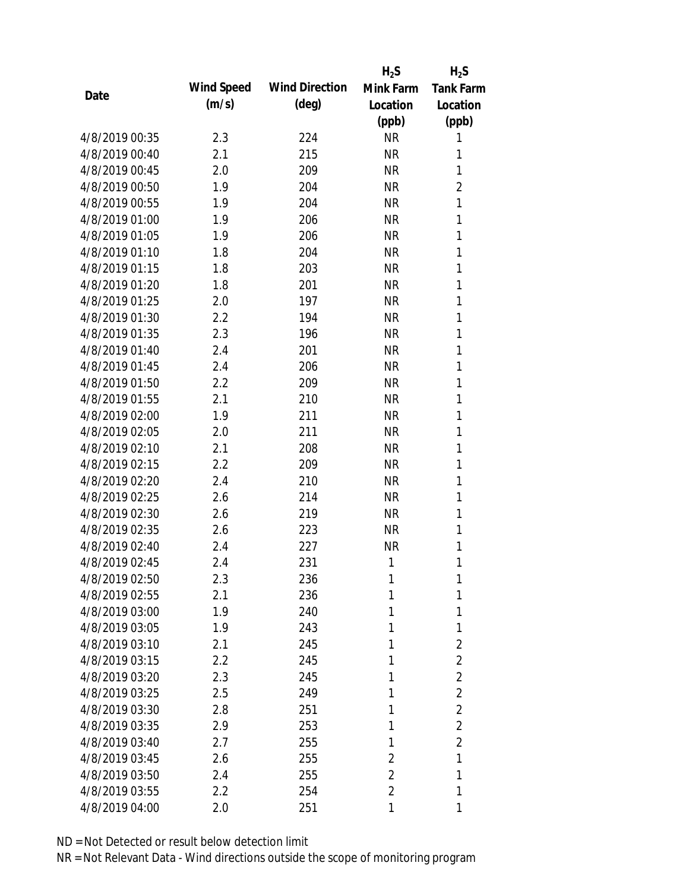|                |            |                       | $H_2S$         | $H_2S$           |
|----------------|------------|-----------------------|----------------|------------------|
| Date           | Wind Speed | <b>Wind Direction</b> | Mink Farm      | <b>Tank Farm</b> |
|                | (m/s)      | $(\text{deg})$        | Location       | Location         |
|                |            |                       | (ppb)          | (ppb)            |
| 4/8/2019 00:35 | 2.3        | 224                   | <b>NR</b>      | 1                |
| 4/8/2019 00:40 | 2.1        | 215                   | <b>NR</b>      | 1                |
| 4/8/2019 00:45 | 2.0        | 209                   | <b>NR</b>      | 1                |
| 4/8/2019 00:50 | 1.9        | 204                   | <b>NR</b>      | $\overline{2}$   |
| 4/8/2019 00:55 | 1.9        | 204                   | <b>NR</b>      | 1                |
| 4/8/2019 01:00 | 1.9        | 206                   | <b>NR</b>      | 1                |
| 4/8/2019 01:05 | 1.9        | 206                   | <b>NR</b>      | 1                |
| 4/8/2019 01:10 | 1.8        | 204                   | <b>NR</b>      | 1                |
| 4/8/2019 01:15 | 1.8        | 203                   | <b>NR</b>      | 1                |
| 4/8/2019 01:20 | 1.8        | 201                   | <b>NR</b>      | 1                |
| 4/8/2019 01:25 | 2.0        | 197                   | <b>NR</b>      | 1                |
| 4/8/2019 01:30 | 2.2        | 194                   | <b>NR</b>      | 1                |
| 4/8/2019 01:35 | 2.3        | 196                   | <b>NR</b>      | 1                |
| 4/8/2019 01:40 | 2.4        | 201                   | <b>NR</b>      | 1                |
| 4/8/2019 01:45 | 2.4        | 206                   | <b>NR</b>      | 1                |
| 4/8/2019 01:50 | 2.2        | 209                   | <b>NR</b>      | 1                |
| 4/8/2019 01:55 | 2.1        | 210                   | <b>NR</b>      | 1                |
| 4/8/2019 02:00 | 1.9        | 211                   | <b>NR</b>      | 1                |
| 4/8/2019 02:05 | 2.0        | 211                   | <b>NR</b>      | 1                |
| 4/8/2019 02:10 | 2.1        | 208                   | <b>NR</b>      | 1                |
| 4/8/2019 02:15 | 2.2        | 209                   | <b>NR</b>      | 1                |
| 4/8/2019 02:20 | 2.4        | 210                   | <b>NR</b>      | 1                |
| 4/8/2019 02:25 | 2.6        | 214                   | <b>NR</b>      | 1                |
| 4/8/2019 02:30 | 2.6        | 219                   | <b>NR</b>      | 1                |
| 4/8/2019 02:35 | 2.6        | 223                   | <b>NR</b>      | 1                |
| 4/8/2019 02:40 | 2.4        | 227                   | <b>NR</b>      | 1                |
| 4/8/2019 02:45 | 2.4        | 231                   | 1              | 1                |
| 4/8/2019 02:50 | 2.3        | 236                   | 1              | 1                |
| 4/8/2019 02:55 | 2.1        | 236                   | 1              | 1                |
| 4/8/2019 03:00 | 1.9        | 240                   | 1              | 1                |
| 4/8/2019 03:05 | 1.9        | 243                   | 1              | 1                |
| 4/8/2019 03:10 | 2.1        | 245                   | 1              | $\overline{2}$   |
| 4/8/2019 03:15 | 2.2        | 245                   | 1              | $\overline{2}$   |
| 4/8/2019 03:20 | 2.3        | 245                   | 1              | $\overline{2}$   |
| 4/8/2019 03:25 | 2.5        | 249                   | 1              | 2                |
| 4/8/2019 03:30 | 2.8        | 251                   | 1              | $\overline{2}$   |
| 4/8/2019 03:35 | 2.9        | 253                   | 1              | $\overline{2}$   |
| 4/8/2019 03:40 | 2.7        | 255                   | 1              | $\overline{2}$   |
| 4/8/2019 03:45 | 2.6        | 255                   | 2              | 1                |
| 4/8/2019 03:50 | 2.4        | 255                   | $\overline{2}$ | 1                |
| 4/8/2019 03:55 | 2.2        | 254                   | $\overline{2}$ | 1                |
| 4/8/2019 04:00 | 2.0        | 251                   | 1              | 1                |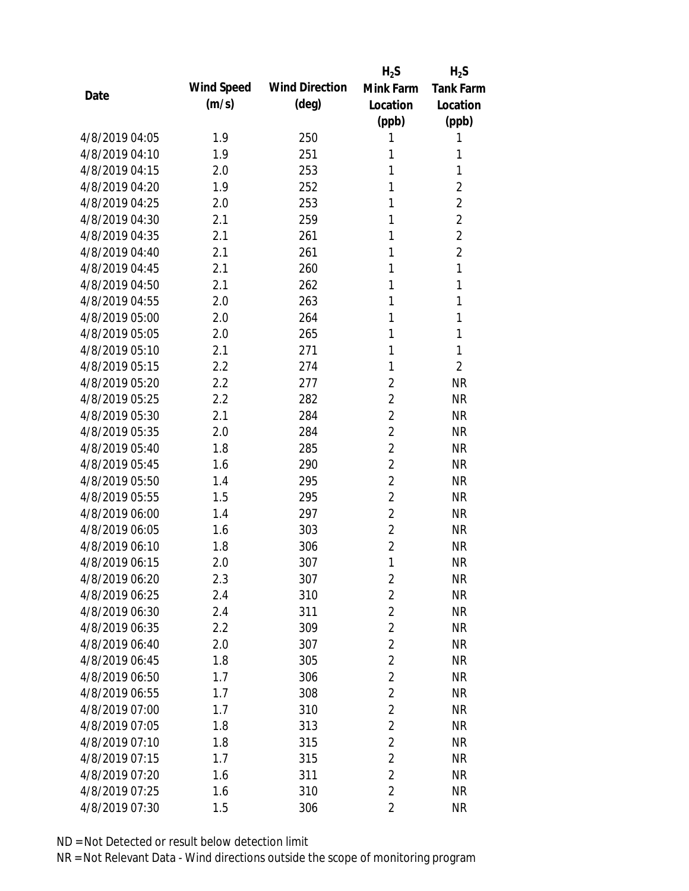|                |            |                       | $H_2S$         | $H_2S$           |
|----------------|------------|-----------------------|----------------|------------------|
| Date           | Wind Speed | <b>Wind Direction</b> | Mink Farm      | <b>Tank Farm</b> |
|                | (m/s)      | $(\text{deg})$        | Location       | Location         |
|                |            |                       | (ppb)          | (ppb)            |
| 4/8/2019 04:05 | 1.9        | 250                   | 1              | 1                |
| 4/8/2019 04:10 | 1.9        | 251                   | 1              | 1                |
| 4/8/2019 04:15 | 2.0        | 253                   | 1              | 1                |
| 4/8/2019 04:20 | 1.9        | 252                   | 1              | 2                |
| 4/8/2019 04:25 | 2.0        | 253                   | 1              | $\overline{2}$   |
| 4/8/2019 04:30 | 2.1        | 259                   | 1              | $\overline{2}$   |
| 4/8/2019 04:35 | 2.1        | 261                   | 1              | $\overline{2}$   |
| 4/8/2019 04:40 | 2.1        | 261                   | 1              | $\overline{2}$   |
| 4/8/2019 04:45 | 2.1        | 260                   | 1              | 1                |
| 4/8/2019 04:50 | 2.1        | 262                   | 1              | 1                |
| 4/8/2019 04:55 | 2.0        | 263                   | 1              | 1                |
| 4/8/2019 05:00 | 2.0        | 264                   | 1              | 1                |
| 4/8/2019 05:05 | 2.0        | 265                   | 1              | 1                |
| 4/8/2019 05:10 | 2.1        | 271                   | 1              | 1                |
| 4/8/2019 05:15 | 2.2        | 274                   | 1              | $\overline{2}$   |
| 4/8/2019 05:20 | 2.2        | 277                   | $\overline{2}$ | <b>NR</b>        |
| 4/8/2019 05:25 | 2.2        | 282                   | $\overline{2}$ | <b>NR</b>        |
| 4/8/2019 05:30 | 2.1        | 284                   | $\overline{2}$ | <b>NR</b>        |
| 4/8/2019 05:35 | 2.0        | 284                   | $\overline{2}$ | <b>NR</b>        |
| 4/8/2019 05:40 | 1.8        | 285                   | $\overline{2}$ | <b>NR</b>        |
| 4/8/2019 05:45 | 1.6        | 290                   | $\overline{2}$ | <b>NR</b>        |
| 4/8/2019 05:50 | 1.4        | 295                   | $\overline{2}$ | <b>NR</b>        |
| 4/8/2019 05:55 | 1.5        | 295                   | $\overline{2}$ | <b>NR</b>        |
| 4/8/2019 06:00 | 1.4        | 297                   | $\overline{2}$ | <b>NR</b>        |
| 4/8/2019 06:05 | 1.6        | 303                   | $\overline{2}$ | <b>NR</b>        |
| 4/8/2019 06:10 | 1.8        | 306                   | $\overline{2}$ | <b>NR</b>        |
| 4/8/2019 06:15 | 2.0        | 307                   | 1              | <b>NR</b>        |
| 4/8/2019 06:20 | 2.3        | 307                   | $\overline{2}$ | <b>NR</b>        |
| 4/8/2019 06:25 | 2.4        | 310                   | $\overline{2}$ | <b>NR</b>        |
| 4/8/2019 06:30 | 2.4        | 311                   | $\overline{2}$ | <b>NR</b>        |
| 4/8/2019 06:35 | 2.2        | 309                   | $\overline{2}$ | <b>NR</b>        |
| 4/8/2019 06:40 | 2.0        | 307                   | $\overline{2}$ | <b>NR</b>        |
| 4/8/2019 06:45 | 1.8        | 305                   | $\overline{2}$ | <b>NR</b>        |
| 4/8/2019 06:50 | 1.7        | 306                   | $\overline{2}$ | <b>NR</b>        |
| 4/8/2019 06:55 | 1.7        | 308                   | $\overline{2}$ | <b>NR</b>        |
| 4/8/2019 07:00 | 1.7        | 310                   | $\overline{2}$ | <b>NR</b>        |
| 4/8/2019 07:05 | 1.8        | 313                   | $\overline{2}$ | <b>NR</b>        |
| 4/8/2019 07:10 | 1.8        | 315                   | $\overline{2}$ | <b>NR</b>        |
| 4/8/2019 07:15 | 1.7        | 315                   | $\overline{2}$ | <b>NR</b>        |
| 4/8/2019 07:20 | 1.6        | 311                   | $\overline{2}$ | <b>NR</b>        |
| 4/8/2019 07:25 | 1.6        | 310                   | $\overline{2}$ | <b>NR</b>        |
| 4/8/2019 07:30 | 1.5        | 306                   | $\overline{2}$ | <b>NR</b>        |
|                |            |                       |                |                  |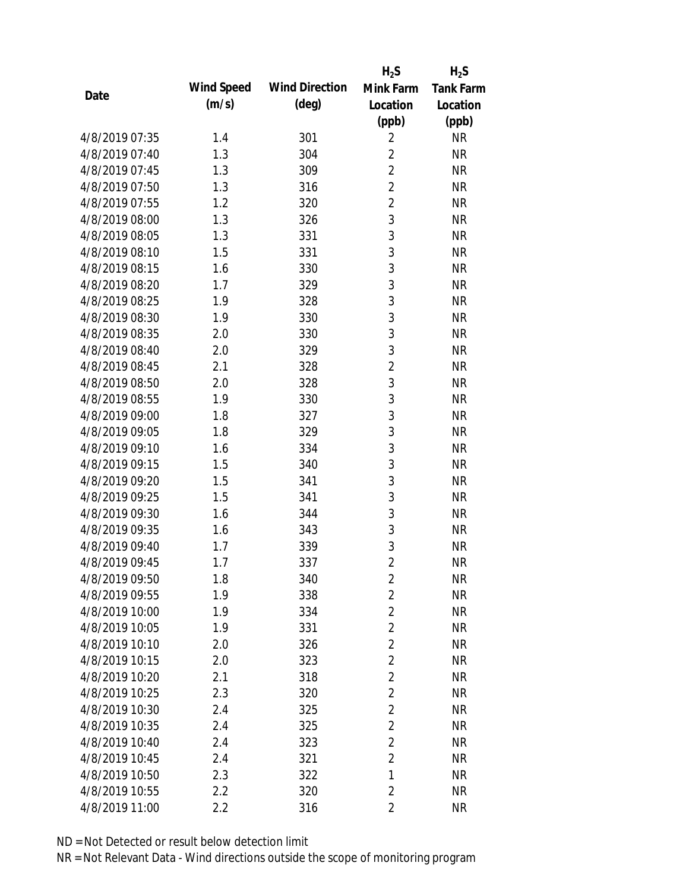|                |            |                       | $H_2S$         | $H_2S$           |
|----------------|------------|-----------------------|----------------|------------------|
|                | Wind Speed | <b>Wind Direction</b> | Mink Farm      | <b>Tank Farm</b> |
| Date           | (m/s)      | $(\text{deg})$        | Location       | Location         |
|                |            |                       | (ppb)          | (ppb)            |
| 4/8/2019 07:35 | 1.4        | 301                   | $\overline{2}$ | <b>NR</b>        |
| 4/8/2019 07:40 | 1.3        | 304                   | $\overline{2}$ | <b>NR</b>        |
| 4/8/2019 07:45 | 1.3        | 309                   | $\overline{2}$ | <b>NR</b>        |
| 4/8/2019 07:50 | 1.3        | 316                   | $\overline{2}$ | <b>NR</b>        |
| 4/8/2019 07:55 | 1.2        | 320                   | $\overline{2}$ | <b>NR</b>        |
| 4/8/2019 08:00 | 1.3        | 326                   | 3              | <b>NR</b>        |
| 4/8/2019 08:05 | 1.3        | 331                   | 3              | <b>NR</b>        |
| 4/8/2019 08:10 | 1.5        | 331                   | 3              | <b>NR</b>        |
| 4/8/2019 08:15 | 1.6        | 330                   | 3              | <b>NR</b>        |
| 4/8/2019 08:20 | 1.7        | 329                   | 3              | <b>NR</b>        |
| 4/8/2019 08:25 | 1.9        | 328                   | 3              | <b>NR</b>        |
| 4/8/2019 08:30 | 1.9        | 330                   | 3              | <b>NR</b>        |
| 4/8/2019 08:35 | 2.0        | 330                   | 3              | <b>NR</b>        |
| 4/8/2019 08:40 | 2.0        | 329                   | 3              | <b>NR</b>        |
| 4/8/2019 08:45 | 2.1        | 328                   | $\overline{2}$ | <b>NR</b>        |
| 4/8/2019 08:50 | 2.0        | 328                   | 3              | <b>NR</b>        |
| 4/8/2019 08:55 | 1.9        | 330                   | 3              | <b>NR</b>        |
| 4/8/2019 09:00 | 1.8        | 327                   | 3              | <b>NR</b>        |
| 4/8/2019 09:05 | 1.8        | 329                   | 3              | <b>NR</b>        |
| 4/8/2019 09:10 | 1.6        | 334                   | 3              | <b>NR</b>        |
| 4/8/2019 09:15 | 1.5        | 340                   | 3              | <b>NR</b>        |
| 4/8/2019 09:20 | 1.5        | 341                   | 3              | <b>NR</b>        |
| 4/8/2019 09:25 | 1.5        | 341                   | 3              | <b>NR</b>        |
| 4/8/2019 09:30 | 1.6        | 344                   | 3              | <b>NR</b>        |
| 4/8/2019 09:35 | 1.6        | 343                   | 3              | <b>NR</b>        |
| 4/8/2019 09:40 | 1.7        | 339                   | 3              | <b>NR</b>        |
| 4/8/2019 09:45 | 1.7        | 337                   | $\overline{2}$ | <b>NR</b>        |
| 4/8/2019 09:50 | 1.8        | 340                   | $\overline{2}$ | <b>NR</b>        |
| 4/8/2019 09:55 | 1.9        | 338                   | $\overline{2}$ | <b>NR</b>        |
| 4/8/2019 10:00 | 1.9        | 334                   | $\overline{2}$ | <b>NR</b>        |
| 4/8/2019 10:05 | 1.9        | 331                   | $\overline{2}$ | <b>NR</b>        |
| 4/8/2019 10:10 | 2.0        | 326                   | $\overline{2}$ | <b>NR</b>        |
| 4/8/2019 10:15 | 2.0        | 323                   | $\overline{2}$ | <b>NR</b>        |
| 4/8/2019 10:20 | 2.1        | 318                   | $\overline{2}$ | <b>NR</b>        |
| 4/8/2019 10:25 | 2.3        | 320                   | $\overline{2}$ | <b>NR</b>        |
| 4/8/2019 10:30 | 2.4        | 325                   | $\overline{2}$ | <b>NR</b>        |
| 4/8/2019 10:35 | 2.4        | 325                   | $\overline{2}$ | <b>NR</b>        |
| 4/8/2019 10:40 | 2.4        | 323                   | $\overline{2}$ | <b>NR</b>        |
| 4/8/2019 10:45 | 2.4        | 321                   | $\overline{2}$ | <b>NR</b>        |
| 4/8/2019 10:50 | 2.3        | 322                   | 1              | <b>NR</b>        |
| 4/8/2019 10:55 | 2.2        | 320                   | $\overline{2}$ | <b>NR</b>        |
| 4/8/2019 11:00 | 2.2        | 316                   | $\overline{2}$ | <b>NR</b>        |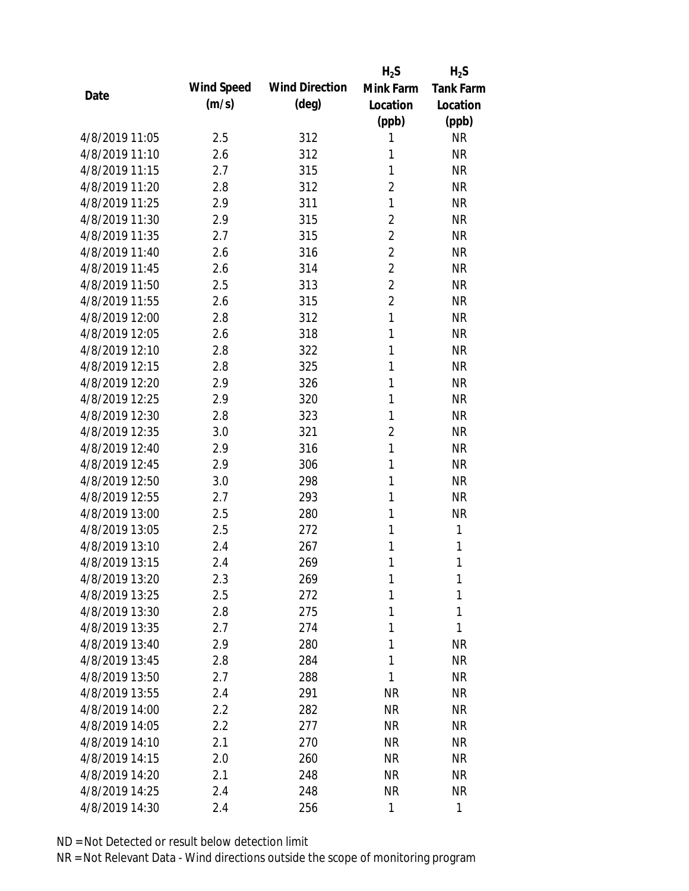|                |            |                       | $H_2S$         | $H_2S$           |
|----------------|------------|-----------------------|----------------|------------------|
| Date           | Wind Speed | <b>Wind Direction</b> | Mink Farm      | <b>Tank Farm</b> |
|                | (m/s)      | $(\text{deg})$        | Location       | Location         |
|                |            |                       | (ppb)          | (ppb)            |
| 4/8/2019 11:05 | 2.5        | 312                   | 1              | <b>NR</b>        |
| 4/8/2019 11:10 | 2.6        | 312                   | 1              | <b>NR</b>        |
| 4/8/2019 11:15 | 2.7        | 315                   | 1              | <b>NR</b>        |
| 4/8/2019 11:20 | 2.8        | 312                   | $\overline{2}$ | <b>NR</b>        |
| 4/8/2019 11:25 | 2.9        | 311                   | $\mathbf{1}$   | <b>NR</b>        |
| 4/8/2019 11:30 | 2.9        | 315                   | $\overline{2}$ | <b>NR</b>        |
| 4/8/2019 11:35 | 2.7        | 315                   | $\overline{2}$ | <b>NR</b>        |
| 4/8/2019 11:40 | 2.6        | 316                   | $\overline{2}$ | <b>NR</b>        |
| 4/8/2019 11:45 | 2.6        | 314                   | $\overline{2}$ | <b>NR</b>        |
| 4/8/2019 11:50 | 2.5        | 313                   | $\overline{2}$ | <b>NR</b>        |
| 4/8/2019 11:55 | 2.6        | 315                   | $\overline{2}$ | <b>NR</b>        |
| 4/8/2019 12:00 | 2.8        | 312                   | $\mathbf{1}$   | <b>NR</b>        |
| 4/8/2019 12:05 | 2.6        | 318                   | 1              | <b>NR</b>        |
| 4/8/2019 12:10 | 2.8        | 322                   | 1              | <b>NR</b>        |
| 4/8/2019 12:15 | 2.8        | 325                   | 1              | <b>NR</b>        |
| 4/8/2019 12:20 | 2.9        | 326                   | 1              | <b>NR</b>        |
| 4/8/2019 12:25 | 2.9        | 320                   | 1              | <b>NR</b>        |
| 4/8/2019 12:30 | 2.8        | 323                   | 1              | <b>NR</b>        |
| 4/8/2019 12:35 | 3.0        | 321                   | $\overline{2}$ | <b>NR</b>        |
| 4/8/2019 12:40 | 2.9        | 316                   | $\mathbf{1}$   | <b>NR</b>        |
| 4/8/2019 12:45 | 2.9        | 306                   | 1              | <b>NR</b>        |
| 4/8/2019 12:50 | 3.0        | 298                   | 1              | <b>NR</b>        |
| 4/8/2019 12:55 | 2.7        | 293                   | 1              | <b>NR</b>        |
| 4/8/2019 13:00 | 2.5        | 280                   | 1              | <b>NR</b>        |
| 4/8/2019 13:05 | 2.5        | 272                   | 1              | 1                |
| 4/8/2019 13:10 | 2.4        | 267                   | 1              | 1                |
| 4/8/2019 13:15 | 2.4        | 269                   | 1              | 1                |
| 4/8/2019 13:20 | 2.3        | 269                   | 1              | 1                |
| 4/8/2019 13:25 | 2.5        | 272                   | 1              | 1                |
| 4/8/2019 13:30 | 2.8        | 275                   | 1              | 1                |
| 4/8/2019 13:35 | 2.7        | 274                   | 1              | 1                |
| 4/8/2019 13:40 | 2.9        | 280                   | 1              | <b>NR</b>        |
| 4/8/2019 13:45 | 2.8        | 284                   | 1              | <b>NR</b>        |
| 4/8/2019 13:50 | 2.7        | 288                   | 1              | <b>NR</b>        |
| 4/8/2019 13:55 | 2.4        | 291                   | <b>NR</b>      | <b>NR</b>        |
| 4/8/2019 14:00 | 2.2        | 282                   | <b>NR</b>      | <b>NR</b>        |
| 4/8/2019 14:05 | 2.2        | 277                   | <b>NR</b>      | NR               |
| 4/8/2019 14:10 | 2.1        | 270                   | <b>NR</b>      | <b>NR</b>        |
| 4/8/2019 14:15 | 2.0        | 260                   | <b>NR</b>      | <b>NR</b>        |
| 4/8/2019 14:20 | 2.1        | 248                   | <b>NR</b>      | <b>NR</b>        |
| 4/8/2019 14:25 | 2.4        | 248                   | <b>NR</b>      | NR               |
| 4/8/2019 14:30 | 2.4        | 256                   | 1              | 1                |
|                |            |                       |                |                  |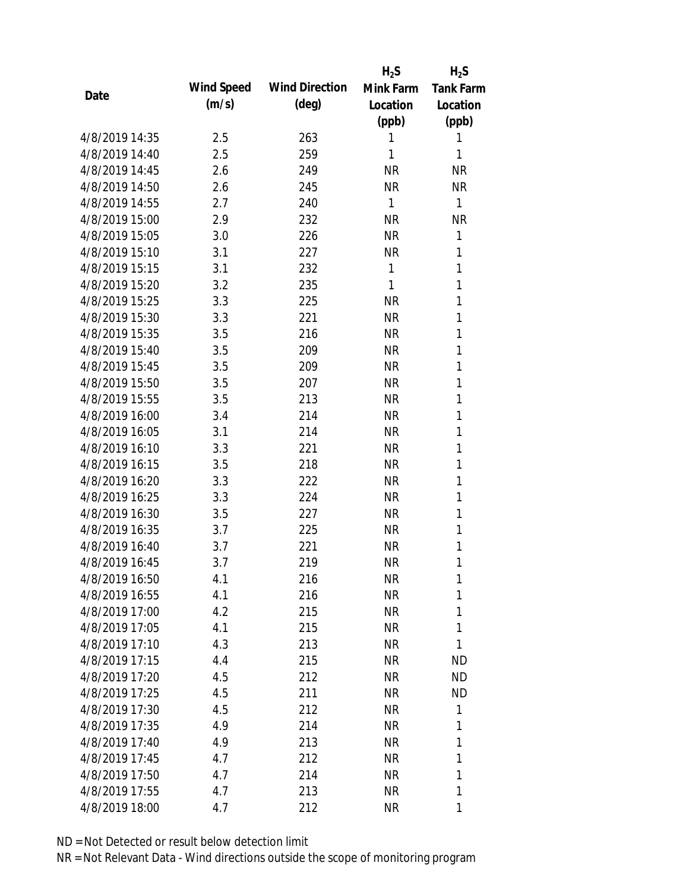|                |            |                       | $H_2S$    | $H_2S$           |
|----------------|------------|-----------------------|-----------|------------------|
| Date           | Wind Speed | <b>Wind Direction</b> | Mink Farm | <b>Tank Farm</b> |
|                | (m/s)      | $(\text{deg})$        | Location  | Location         |
|                |            |                       | (ppb)     | (ppb)            |
| 4/8/2019 14:35 | 2.5        | 263                   | 1         | 1                |
| 4/8/2019 14:40 | 2.5        | 259                   | 1         | 1                |
| 4/8/2019 14:45 | 2.6        | 249                   | <b>NR</b> | <b>NR</b>        |
| 4/8/2019 14:50 | 2.6        | 245                   | <b>NR</b> | <b>NR</b>        |
| 4/8/2019 14:55 | 2.7        | 240                   | 1         | 1                |
| 4/8/2019 15:00 | 2.9        | 232                   | <b>NR</b> | <b>NR</b>        |
| 4/8/2019 15:05 | 3.0        | 226                   | <b>NR</b> | 1                |
| 4/8/2019 15:10 | 3.1        | 227                   | <b>NR</b> | 1                |
| 4/8/2019 15:15 | 3.1        | 232                   | 1         | 1                |
| 4/8/2019 15:20 | 3.2        | 235                   | 1         | 1                |
| 4/8/2019 15:25 | 3.3        | 225                   | <b>NR</b> | 1                |
| 4/8/2019 15:30 | 3.3        | 221                   | <b>NR</b> | 1                |
| 4/8/2019 15:35 | 3.5        | 216                   | <b>NR</b> | 1                |
| 4/8/2019 15:40 | 3.5        | 209                   | <b>NR</b> | 1                |
| 4/8/2019 15:45 | 3.5        | 209                   | <b>NR</b> | 1                |
| 4/8/2019 15:50 | 3.5        | 207                   | <b>NR</b> | 1                |
| 4/8/2019 15:55 | 3.5        | 213                   | <b>NR</b> | 1                |
| 4/8/2019 16:00 | 3.4        | 214                   | <b>NR</b> | 1                |
| 4/8/2019 16:05 | 3.1        | 214                   | <b>NR</b> | 1                |
| 4/8/2019 16:10 | 3.3        | 221                   | <b>NR</b> | 1                |
| 4/8/2019 16:15 | 3.5        | 218                   | <b>NR</b> | 1                |
| 4/8/2019 16:20 | 3.3        | 222                   | <b>NR</b> | 1                |
| 4/8/2019 16:25 | 3.3        | 224                   | <b>NR</b> | 1                |
| 4/8/2019 16:30 | 3.5        | 227                   | <b>NR</b> | 1                |
| 4/8/2019 16:35 | 3.7        | 225                   | <b>NR</b> | 1                |
| 4/8/2019 16:40 | 3.7        | 221                   | <b>NR</b> | 1                |
| 4/8/2019 16:45 | 3.7        | 219                   | <b>NR</b> | 1                |
| 4/8/2019 16:50 | 4.1        | 216                   | <b>NR</b> | 1                |
| 4/8/2019 16:55 | 4.1        | 216                   | <b>NR</b> | 1                |
| 4/8/2019 17:00 | 4.2        | 215                   | <b>NR</b> | 1                |
| 4/8/2019 17:05 | 4.1        | 215                   | <b>NR</b> | 1                |
| 4/8/2019 17:10 | 4.3        | 213                   | <b>NR</b> | 1                |
| 4/8/2019 17:15 | 4.4        | 215                   | <b>NR</b> | <b>ND</b>        |
| 4/8/2019 17:20 | 4.5        | 212                   | <b>NR</b> | <b>ND</b>        |
| 4/8/2019 17:25 | 4.5        | 211                   | <b>NR</b> | <b>ND</b>        |
| 4/8/2019 17:30 | 4.5        | 212                   | <b>NR</b> | 1                |
| 4/8/2019 17:35 | 4.9        | 214                   | <b>NR</b> | 1                |
| 4/8/2019 17:40 | 4.9        | 213                   | NR        | 1                |
| 4/8/2019 17:45 | 4.7        | 212                   | <b>NR</b> | 1                |
| 4/8/2019 17:50 | 4.7        | 214                   | <b>NR</b> | 1                |
| 4/8/2019 17:55 | 4.7        | 213                   | <b>NR</b> | 1                |
| 4/8/2019 18:00 | 4.7        | 212                   | <b>NR</b> | 1                |
|                |            |                       |           |                  |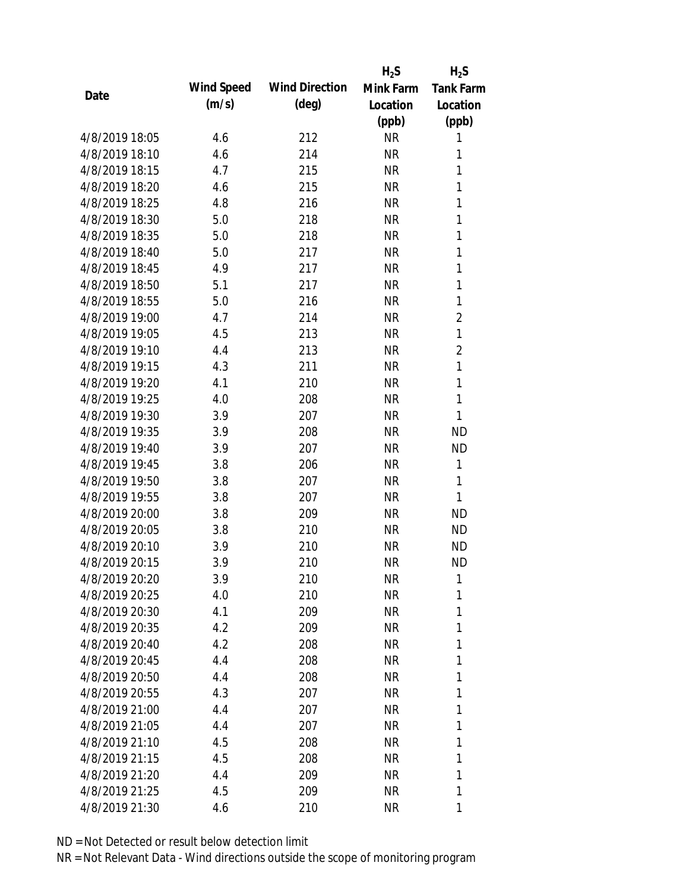|                |            |                       | $H_2S$    | $H_2S$           |
|----------------|------------|-----------------------|-----------|------------------|
|                | Wind Speed | <b>Wind Direction</b> | Mink Farm | <b>Tank Farm</b> |
| Date           | (m/s)      | $(\text{deg})$        | Location  | Location         |
|                |            |                       | (ppb)     | (ppb)            |
| 4/8/2019 18:05 | 4.6        | 212                   | <b>NR</b> | 1                |
| 4/8/2019 18:10 | 4.6        | 214                   | <b>NR</b> | 1                |
| 4/8/2019 18:15 | 4.7        | 215                   | <b>NR</b> | $\mathbf{1}$     |
| 4/8/2019 18:20 | 4.6        | 215                   | <b>NR</b> | 1                |
| 4/8/2019 18:25 | 4.8        | 216                   | <b>NR</b> | 1                |
| 4/8/2019 18:30 | 5.0        | 218                   | <b>NR</b> | 1                |
| 4/8/2019 18:35 | 5.0        | 218                   | <b>NR</b> | 1                |
| 4/8/2019 18:40 | 5.0        | 217                   | <b>NR</b> | 1                |
| 4/8/2019 18:45 | 4.9        | 217                   | <b>NR</b> | 1                |
| 4/8/2019 18:50 | 5.1        | 217                   | <b>NR</b> | 1                |
| 4/8/2019 18:55 | 5.0        | 216                   | <b>NR</b> | 1                |
| 4/8/2019 19:00 | 4.7        | 214                   | <b>NR</b> | $\overline{2}$   |
| 4/8/2019 19:05 | 4.5        | 213                   | <b>NR</b> | 1                |
| 4/8/2019 19:10 | 4.4        | 213                   | <b>NR</b> | $\overline{2}$   |
| 4/8/2019 19:15 | 4.3        | 211                   | <b>NR</b> | 1                |
| 4/8/2019 19:20 | 4.1        | 210                   | <b>NR</b> | 1                |
| 4/8/2019 19:25 | 4.0        | 208                   | <b>NR</b> | $\mathbf{1}$     |
| 4/8/2019 19:30 | 3.9        | 207                   | <b>NR</b> | 1                |
| 4/8/2019 19:35 | 3.9        | 208                   | <b>NR</b> | <b>ND</b>        |
| 4/8/2019 19:40 | 3.9        | 207                   | <b>NR</b> | <b>ND</b>        |
| 4/8/2019 19:45 | 3.8        | 206                   | <b>NR</b> | 1                |
| 4/8/2019 19:50 | 3.8        | 207                   | <b>NR</b> | 1                |
| 4/8/2019 19:55 | 3.8        | 207                   | <b>NR</b> | 1                |
| 4/8/2019 20:00 | 3.8        | 209                   | <b>NR</b> | <b>ND</b>        |
| 4/8/2019 20:05 | 3.8        | 210                   | <b>NR</b> | <b>ND</b>        |
| 4/8/2019 20:10 | 3.9        | 210                   | <b>NR</b> | <b>ND</b>        |
| 4/8/2019 20:15 | 3.9        | 210                   | <b>NR</b> | <b>ND</b>        |
| 4/8/2019 20:20 | 3.9        | 210                   | <b>NR</b> | 1                |
| 4/8/2019 20:25 | 4.0        | 210                   | <b>NR</b> | 1                |
| 4/8/2019 20:30 | 4.1        | 209                   | <b>NR</b> | 1                |
| 4/8/2019 20:35 | 4.2        | 209                   | <b>NR</b> | 1                |
| 4/8/2019 20:40 | 4.2        | 208                   | <b>NR</b> | 1                |
| 4/8/2019 20:45 | 4.4        | 208                   | <b>NR</b> | 1                |
| 4/8/2019 20:50 | 4.4        | 208                   | <b>NR</b> | 1                |
| 4/8/2019 20:55 | 4.3        | 207                   | <b>NR</b> | 1                |
| 4/8/2019 21:00 | 4.4        | 207                   | <b>NR</b> | 1                |
| 4/8/2019 21:05 | 4.4        | 207                   | NR        | 1                |
| 4/8/2019 21:10 | 4.5        | 208                   | <b>NR</b> | 1                |
| 4/8/2019 21:15 | 4.5        | 208                   | <b>NR</b> | 1                |
| 4/8/2019 21:20 | 4.4        | 209                   | <b>NR</b> | 1                |
| 4/8/2019 21:25 | 4.5        | 209                   | <b>NR</b> | 1                |
| 4/8/2019 21:30 | 4.6        | 210                   | <b>NR</b> | 1                |
|                |            |                       |           |                  |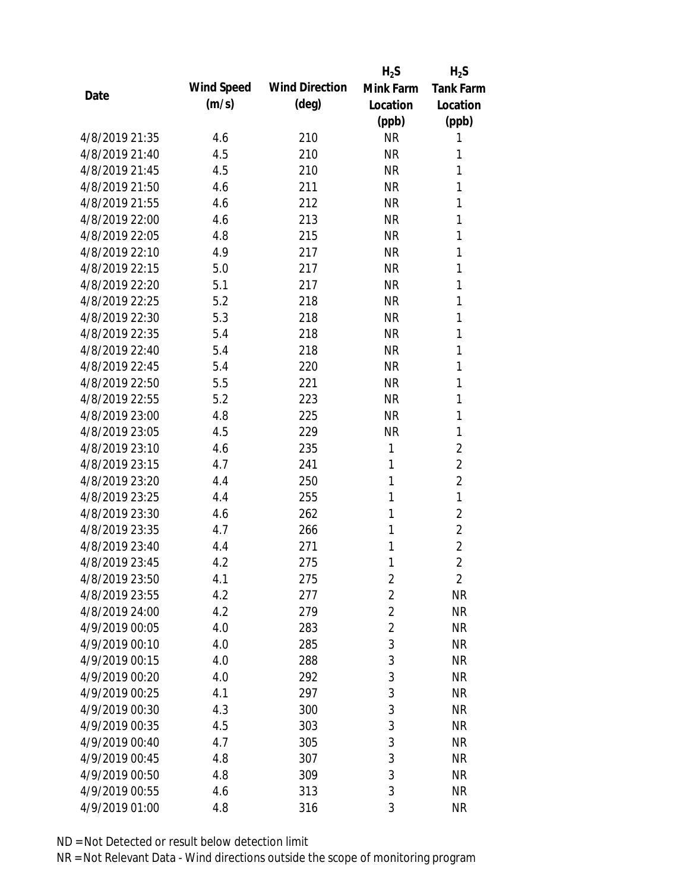|                |            |                       | $H_2S$         | $H_2S$           |
|----------------|------------|-----------------------|----------------|------------------|
| Date           | Wind Speed | <b>Wind Direction</b> | Mink Farm      | <b>Tank Farm</b> |
|                | (m/s)      | $(\text{deg})$        | Location       | Location         |
|                |            |                       | (ppb)          | (ppb)            |
| 4/8/2019 21:35 | 4.6        | 210                   | <b>NR</b>      | 1                |
| 4/8/2019 21:40 | 4.5        | 210                   | <b>NR</b>      | 1                |
| 4/8/2019 21:45 | 4.5        | 210                   | <b>NR</b>      | 1                |
| 4/8/2019 21:50 | 4.6        | 211                   | <b>NR</b>      | 1                |
| 4/8/2019 21:55 | 4.6        | 212                   | <b>NR</b>      | 1                |
| 4/8/2019 22:00 | 4.6        | 213                   | <b>NR</b>      | 1                |
| 4/8/2019 22:05 | 4.8        | 215                   | <b>NR</b>      | 1                |
| 4/8/2019 22:10 | 4.9        | 217                   | <b>NR</b>      | 1                |
| 4/8/2019 22:15 | 5.0        | 217                   | <b>NR</b>      | 1                |
| 4/8/2019 22:20 | 5.1        | 217                   | <b>NR</b>      | 1                |
| 4/8/2019 22:25 | 5.2        | 218                   | <b>NR</b>      | 1                |
| 4/8/2019 22:30 | 5.3        | 218                   | <b>NR</b>      | 1                |
| 4/8/2019 22:35 | 5.4        | 218                   | <b>NR</b>      | 1                |
| 4/8/2019 22:40 | 5.4        | 218                   | <b>NR</b>      | 1                |
| 4/8/2019 22:45 | 5.4        | 220                   | <b>NR</b>      | 1                |
| 4/8/2019 22:50 | 5.5        | 221                   | <b>NR</b>      | 1                |
| 4/8/2019 22:55 | 5.2        | 223                   | <b>NR</b>      | 1                |
| 4/8/2019 23:00 | 4.8        | 225                   | <b>NR</b>      | 1                |
| 4/8/2019 23:05 | 4.5        | 229                   | <b>NR</b>      | 1                |
| 4/8/2019 23:10 | 4.6        | 235                   | 1              | $\overline{2}$   |
| 4/8/2019 23:15 | 4.7        | 241                   | 1              | $\overline{2}$   |
| 4/8/2019 23:20 | 4.4        | 250                   | 1              | $\overline{2}$   |
| 4/8/2019 23:25 | 4.4        | 255                   | 1              | 1                |
| 4/8/2019 23:30 | 4.6        | 262                   | 1              | $\overline{2}$   |
| 4/8/2019 23:35 | 4.7        | 266                   | 1              | $\overline{2}$   |
| 4/8/2019 23:40 | 4.4        | 271                   | 1              | $\overline{2}$   |
| 4/8/2019 23:45 | 4.2        | 275                   | 1              | $\overline{2}$   |
| 4/8/2019 23:50 | 4.1        | 275                   | $\sqrt{2}$     | 2                |
| 4/8/2019 23:55 | 4.2        | 277                   | $\overline{2}$ | <b>NR</b>        |
| 4/8/2019 24:00 | 4.2        | 279                   | $\overline{2}$ | <b>NR</b>        |
| 4/9/2019 00:05 | 4.0        | 283                   | $\overline{2}$ | <b>NR</b>        |
| 4/9/2019 00:10 | 4.0        | 285                   | $\mathfrak{Z}$ | <b>NR</b>        |
| 4/9/2019 00:15 | 4.0        | 288                   | 3              | <b>NR</b>        |
| 4/9/2019 00:20 | 4.0        | 292                   | 3              | <b>NR</b>        |
| 4/9/2019 00:25 | 4.1        | 297                   | 3              | <b>NR</b>        |
| 4/9/2019 00:30 | 4.3        | 300                   | 3              | <b>NR</b>        |
| 4/9/2019 00:35 | 4.5        | 303                   | 3              | <b>NR</b>        |
| 4/9/2019 00:40 | 4.7        | 305                   | $\mathfrak{Z}$ | <b>NR</b>        |
| 4/9/2019 00:45 | 4.8        | 307                   | $\mathfrak{Z}$ | <b>NR</b>        |
| 4/9/2019 00:50 | 4.8        | 309                   | 3              | <b>NR</b>        |
| 4/9/2019 00:55 | 4.6        | 313                   | 3              | <b>NR</b>        |
| 4/9/2019 01:00 | 4.8        | 316                   | 3              | <b>NR</b>        |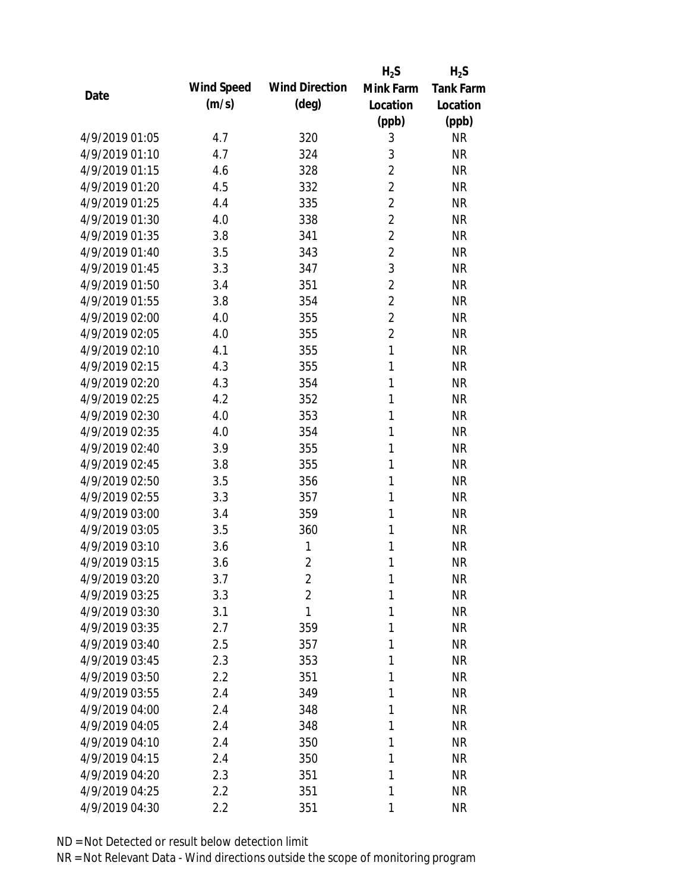|      |                |            |                       | $H_2S$         | $H_2S$           |
|------|----------------|------------|-----------------------|----------------|------------------|
| Date |                | Wind Speed | <b>Wind Direction</b> | Mink Farm      | <b>Tank Farm</b> |
|      |                | (m/s)      | $(\text{deg})$        | Location       | Location         |
|      |                |            |                       | (ppb)          | (ppb)            |
|      | 4/9/2019 01:05 | 4.7        | 320                   | 3              | <b>NR</b>        |
|      | 4/9/2019 01:10 | 4.7        | 324                   | 3              | <b>NR</b>        |
|      | 4/9/2019 01:15 | 4.6        | 328                   | $\overline{2}$ | <b>NR</b>        |
|      | 4/9/2019 01:20 | 4.5        | 332                   | $\overline{2}$ | <b>NR</b>        |
|      | 4/9/2019 01:25 | 4.4        | 335                   | $\overline{2}$ | <b>NR</b>        |
|      | 4/9/2019 01:30 | 4.0        | 338                   | $\overline{2}$ | <b>NR</b>        |
|      | 4/9/2019 01:35 | 3.8        | 341                   | $\overline{2}$ | <b>NR</b>        |
|      | 4/9/2019 01:40 | 3.5        | 343                   | $\overline{2}$ | <b>NR</b>        |
|      | 4/9/2019 01:45 | 3.3        | 347                   | 3              | <b>NR</b>        |
|      | 4/9/2019 01:50 | 3.4        | 351                   | $\overline{2}$ | <b>NR</b>        |
|      | 4/9/2019 01:55 | 3.8        | 354                   | $\overline{2}$ | <b>NR</b>        |
|      | 4/9/2019 02:00 | 4.0        | 355                   | $\overline{2}$ | <b>NR</b>        |
|      | 4/9/2019 02:05 | 4.0        | 355                   | $\overline{2}$ | <b>NR</b>        |
|      | 4/9/2019 02:10 | 4.1        | 355                   | $\mathbf{1}$   | <b>NR</b>        |
|      | 4/9/2019 02:15 | 4.3        | 355                   | 1              | <b>NR</b>        |
|      | 4/9/2019 02:20 | 4.3        | 354                   | 1              | <b>NR</b>        |
|      | 4/9/2019 02:25 | 4.2        | 352                   | 1              | <b>NR</b>        |
|      | 4/9/2019 02:30 | 4.0        | 353                   | 1              | <b>NR</b>        |
|      | 4/9/2019 02:35 | 4.0        | 354                   | $\mathbf{1}$   | <b>NR</b>        |
|      | 4/9/2019 02:40 | 3.9        | 355                   | 1              | <b>NR</b>        |
|      | 4/9/2019 02:45 | 3.8        | 355                   | 1              | <b>NR</b>        |
|      | 4/9/2019 02:50 | 3.5        | 356                   | 1              | <b>NR</b>        |
|      | 4/9/2019 02:55 | 3.3        | 357                   | 1              | <b>NR</b>        |
|      | 4/9/2019 03:00 | 3.4        | 359                   | 1              | <b>NR</b>        |
|      | 4/9/2019 03:05 | 3.5        | 360                   | 1              | <b>NR</b>        |
|      | 4/9/2019 03:10 | 3.6        | 1                     | 1              | <b>NR</b>        |
|      | 4/9/2019 03:15 | 3.6        | $\overline{2}$        | 1              | <b>NR</b>        |
|      | 4/9/2019 03:20 | 3.7        | $\overline{2}$        | 1              | <b>NR</b>        |
|      | 4/9/2019 03:25 | 3.3        | $\overline{2}$        | 1              | <b>NR</b>        |
|      | 4/9/2019 03:30 | 3.1        | 1                     | 1              | <b>NR</b>        |
|      | 4/9/2019 03:35 | 2.7        | 359                   | 1              | <b>NR</b>        |
|      | 4/9/2019 03:40 | 2.5        | 357                   | 1              | <b>NR</b>        |
|      | 4/9/2019 03:45 | 2.3        | 353                   | 1              | <b>NR</b>        |
|      | 4/9/2019 03:50 | 2.2        | 351                   | 1              | <b>NR</b>        |
|      | 4/9/2019 03:55 | 2.4        | 349                   | 1              | <b>NR</b>        |
|      | 4/9/2019 04:00 | 2.4        | 348                   | 1              | <b>NR</b>        |
|      | 4/9/2019 04:05 | 2.4        | 348                   | 1              | <b>NR</b>        |
|      | 4/9/2019 04:10 | 2.4        | 350                   | 1              | <b>NR</b>        |
|      | 4/9/2019 04:15 | 2.4        | 350                   | 1              | <b>NR</b>        |
|      | 4/9/2019 04:20 | 2.3        | 351                   | 1              | <b>NR</b>        |
|      | 4/9/2019 04:25 | 2.2        | 351                   | 1              | <b>NR</b>        |
|      | 4/9/2019 04:30 | 2.2        | 351                   | 1              | <b>NR</b>        |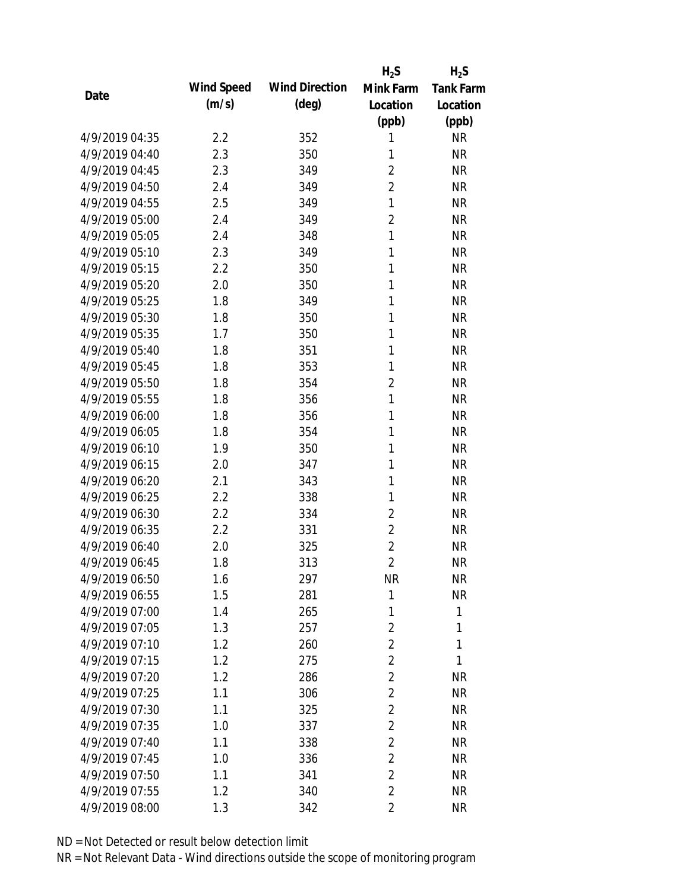|                |            |                       | $H_2S$         | $H_2S$           |
|----------------|------------|-----------------------|----------------|------------------|
| Date           | Wind Speed | <b>Wind Direction</b> | Mink Farm      | <b>Tank Farm</b> |
|                | (m/s)      | (deg)                 | Location       | Location         |
|                |            |                       | (ppb)          | (ppb)            |
| 4/9/2019 04:35 | 2.2        | 352                   | 1              | <b>NR</b>        |
| 4/9/2019 04:40 | 2.3        | 350                   | 1              | <b>NR</b>        |
| 4/9/2019 04:45 | 2.3        | 349                   | $\overline{2}$ | <b>NR</b>        |
| 4/9/2019 04:50 | 2.4        | 349                   | $\overline{2}$ | <b>NR</b>        |
| 4/9/2019 04:55 | 2.5        | 349                   | $\mathbf{1}$   | <b>NR</b>        |
| 4/9/2019 05:00 | 2.4        | 349                   | $\overline{2}$ | <b>NR</b>        |
| 4/9/2019 05:05 | 2.4        | 348                   | $\mathbf{1}$   | <b>NR</b>        |
| 4/9/2019 05:10 | 2.3        | 349                   | $\mathbf{1}$   | <b>NR</b>        |
| 4/9/2019 05:15 | 2.2        | 350                   | $\mathbf{1}$   | <b>NR</b>        |
| 4/9/2019 05:20 | 2.0        | 350                   | 1              | <b>NR</b>        |
| 4/9/2019 05:25 | 1.8        | 349                   | 1              | <b>NR</b>        |
| 4/9/2019 05:30 | 1.8        | 350                   | 1              | <b>NR</b>        |
| 4/9/2019 05:35 | 1.7        | 350                   | $\mathbf{1}$   | <b>NR</b>        |
| 4/9/2019 05:40 | 1.8        | 351                   | 1              | <b>NR</b>        |
| 4/9/2019 05:45 | 1.8        | 353                   | 1              | <b>NR</b>        |
| 4/9/2019 05:50 | 1.8        | 354                   | $\overline{2}$ | <b>NR</b>        |
| 4/9/2019 05:55 | 1.8        | 356                   | $\mathbf{1}$   | <b>NR</b>        |
| 4/9/2019 06:00 | 1.8        | 356                   | $\mathbf{1}$   | <b>NR</b>        |
| 4/9/2019 06:05 | 1.8        | 354                   | $\mathbf{1}$   | <b>NR</b>        |
| 4/9/2019 06:10 | 1.9        | 350                   | 1              | <b>NR</b>        |
| 4/9/2019 06:15 | 2.0        | 347                   | 1              | <b>NR</b>        |
| 4/9/2019 06:20 | 2.1        | 343                   | 1              | <b>NR</b>        |
| 4/9/2019 06:25 | 2.2        | 338                   | 1              | <b>NR</b>        |
| 4/9/2019 06:30 | 2.2        | 334                   | $\overline{2}$ | <b>NR</b>        |
| 4/9/2019 06:35 | 2.2        | 331                   | $\overline{2}$ | <b>NR</b>        |
| 4/9/2019 06:40 | 2.0        | 325                   | $\overline{2}$ | <b>NR</b>        |
| 4/9/2019 06:45 | 1.8        | 313                   | $\overline{2}$ | <b>NR</b>        |
| 4/9/2019 06:50 | 1.6        | 297                   | <b>NR</b>      | <b>NR</b>        |
| 4/9/2019 06:55 | 1.5        | 281                   | 1              | <b>NR</b>        |
| 4/9/2019 07:00 | 1.4        | 265                   | 1              | 1                |
| 4/9/2019 07:05 | 1.3        | 257                   | $\overline{2}$ | 1                |
| 4/9/2019 07:10 | 1.2        | 260                   | $\overline{2}$ | 1                |
| 4/9/2019 07:15 | 1.2        | 275                   | $\overline{2}$ | 1                |
| 4/9/2019 07:20 | 1.2        | 286                   | $\overline{2}$ | <b>NR</b>        |
| 4/9/2019 07:25 | 1.1        | 306                   | $\overline{2}$ | <b>NR</b>        |
| 4/9/2019 07:30 | 1.1        | 325                   | $\overline{2}$ | <b>NR</b>        |
| 4/9/2019 07:35 | 1.0        | 337                   | $\overline{2}$ | <b>NR</b>        |
| 4/9/2019 07:40 | 1.1        | 338                   | $\overline{2}$ | <b>NR</b>        |
| 4/9/2019 07:45 | 1.0        | 336                   | $\overline{2}$ | <b>NR</b>        |
| 4/9/2019 07:50 | 1.1        | 341                   | $\overline{2}$ | <b>NR</b>        |
| 4/9/2019 07:55 | 1.2        | 340                   | $\overline{2}$ | <b>NR</b>        |
| 4/9/2019 08:00 | 1.3        | 342                   | $\overline{2}$ | <b>NR</b>        |
|                |            |                       |                |                  |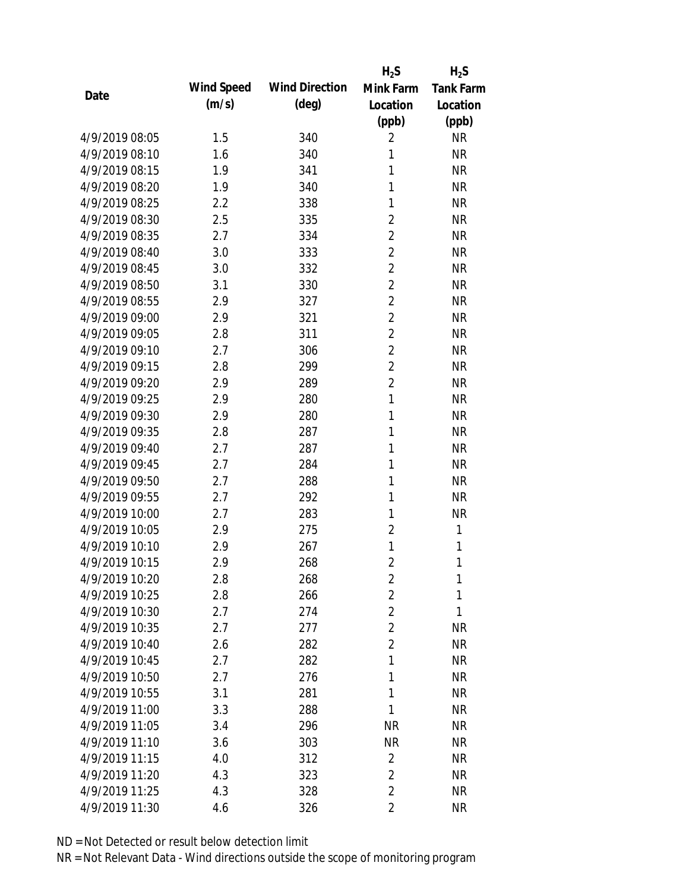|                |            |                       | $H_2S$         | $H_2S$           |
|----------------|------------|-----------------------|----------------|------------------|
|                | Wind Speed | <b>Wind Direction</b> | Mink Farm      | <b>Tank Farm</b> |
| Date           | (m/s)      | $(\text{deg})$        | Location       | Location         |
|                |            |                       | (ppb)          | (ppb)            |
| 4/9/2019 08:05 | 1.5        | 340                   | $\overline{2}$ | <b>NR</b>        |
| 4/9/2019 08:10 | 1.6        | 340                   | 1              | <b>NR</b>        |
| 4/9/2019 08:15 | 1.9        | 341                   | 1              | <b>NR</b>        |
| 4/9/2019 08:20 | 1.9        | 340                   | 1              | <b>NR</b>        |
| 4/9/2019 08:25 | 2.2        | 338                   | 1              | <b>NR</b>        |
| 4/9/2019 08:30 | 2.5        | 335                   | $\overline{2}$ | <b>NR</b>        |
| 4/9/2019 08:35 | 2.7        | 334                   | $\overline{2}$ | <b>NR</b>        |
| 4/9/2019 08:40 | 3.0        | 333                   | $\overline{2}$ | <b>NR</b>        |
| 4/9/2019 08:45 | 3.0        | 332                   | $\overline{2}$ | <b>NR</b>        |
| 4/9/2019 08:50 | 3.1        | 330                   | $\overline{2}$ | <b>NR</b>        |
| 4/9/2019 08:55 | 2.9        | 327                   | $\overline{2}$ | <b>NR</b>        |
| 4/9/2019 09:00 | 2.9        | 321                   | $\overline{2}$ | <b>NR</b>        |
| 4/9/2019 09:05 | 2.8        | 311                   | $\overline{2}$ | <b>NR</b>        |
| 4/9/2019 09:10 | 2.7        | 306                   | $\overline{2}$ | <b>NR</b>        |
| 4/9/2019 09:15 | 2.8        | 299                   | $\overline{2}$ | <b>NR</b>        |
| 4/9/2019 09:20 | 2.9        | 289                   | $\overline{2}$ | <b>NR</b>        |
| 4/9/2019 09:25 | 2.9        | 280                   | $\mathbf{1}$   | <b>NR</b>        |
| 4/9/2019 09:30 | 2.9        | 280                   | $\mathbf{1}$   | <b>NR</b>        |
| 4/9/2019 09:35 | 2.8        | 287                   | 1              | <b>NR</b>        |
| 4/9/2019 09:40 | 2.7        | 287                   | 1              | <b>NR</b>        |
| 4/9/2019 09:45 | 2.7        | 284                   | 1              | <b>NR</b>        |
| 4/9/2019 09:50 | 2.7        | 288                   | 1              | <b>NR</b>        |
| 4/9/2019 09:55 | 2.7        | 292                   | 1              | <b>NR</b>        |
| 4/9/2019 10:00 | 2.7        | 283                   | 1              | <b>NR</b>        |
| 4/9/2019 10:05 | 2.9        | 275                   | $\overline{2}$ | 1                |
| 4/9/2019 10:10 | 2.9        | 267                   | 1              | 1                |
| 4/9/2019 10:15 | 2.9        | 268                   | $\overline{2}$ | 1                |
| 4/9/2019 10:20 | 2.8        | 268                   | 2              | 1                |
| 4/9/2019 10:25 | 2.8        | 266                   | $\overline{2}$ | 1                |
| 4/9/2019 10:30 | 2.7        | 274                   | $\overline{2}$ | 1                |
| 4/9/2019 10:35 | 2.7        | 277                   | $\overline{2}$ | <b>NR</b>        |
| 4/9/2019 10:40 | 2.6        | 282                   | $\overline{2}$ | <b>NR</b>        |
| 4/9/2019 10:45 | 2.7        | 282                   | 1              | <b>NR</b>        |
| 4/9/2019 10:50 | 2.7        | 276                   | 1              | <b>NR</b>        |
| 4/9/2019 10:55 | 3.1        | 281                   | 1              | <b>NR</b>        |
| 4/9/2019 11:00 | 3.3        | 288                   | 1              | <b>NR</b>        |
| 4/9/2019 11:05 | 3.4        | 296                   | <b>NR</b>      | <b>NR</b>        |
| 4/9/2019 11:10 | 3.6        | 303                   | <b>NR</b>      | <b>NR</b>        |
| 4/9/2019 11:15 | 4.0        | 312                   | $\overline{2}$ | <b>NR</b>        |
| 4/9/2019 11:20 | 4.3        | 323                   | $\overline{2}$ | <b>NR</b>        |
| 4/9/2019 11:25 | 4.3        | 328                   | $\overline{2}$ | <b>NR</b>        |
| 4/9/2019 11:30 | 4.6        | 326                   | $\overline{2}$ | <b>NR</b>        |
|                |            |                       |                |                  |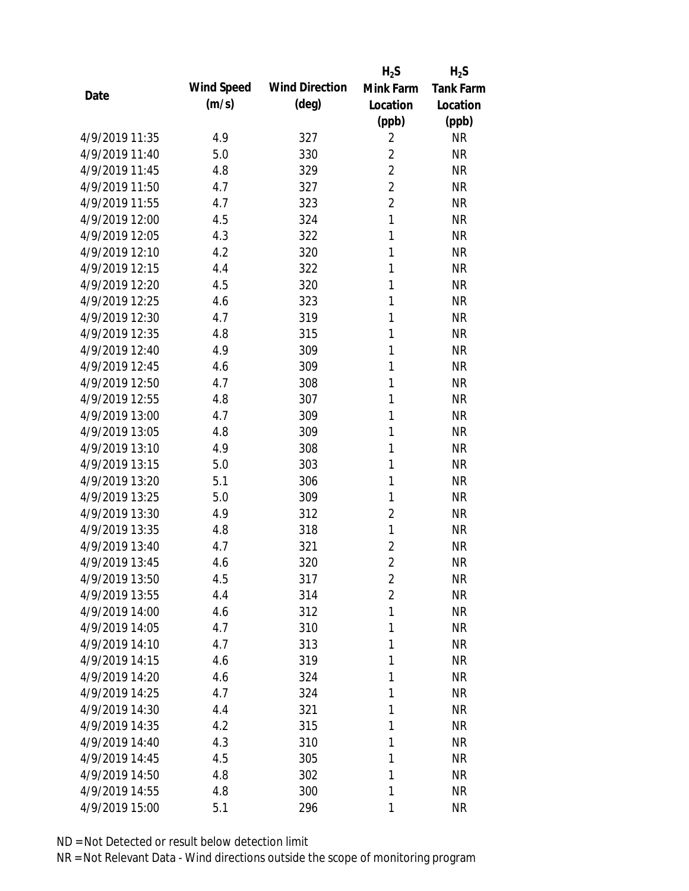|                |            |                       | $H_2S$         | $H_2S$           |
|----------------|------------|-----------------------|----------------|------------------|
| Date           | Wind Speed | <b>Wind Direction</b> | Mink Farm      | <b>Tank Farm</b> |
|                | (m/s)      | $(\text{deg})$        | Location       | Location         |
|                |            |                       | (ppb)          | (ppb)            |
| 4/9/2019 11:35 | 4.9        | 327                   | $\overline{2}$ | <b>NR</b>        |
| 4/9/2019 11:40 | 5.0        | 330                   | $\overline{2}$ | <b>NR</b>        |
| 4/9/2019 11:45 | 4.8        | 329                   | $\overline{2}$ | <b>NR</b>        |
| 4/9/2019 11:50 | 4.7        | 327                   | $\overline{2}$ | <b>NR</b>        |
| 4/9/2019 11:55 | 4.7        | 323                   | $\overline{2}$ | <b>NR</b>        |
| 4/9/2019 12:00 | 4.5        | 324                   | $\mathbf{1}$   | <b>NR</b>        |
| 4/9/2019 12:05 | 4.3        | 322                   | 1              | <b>NR</b>        |
| 4/9/2019 12:10 | 4.2        | 320                   | 1              | <b>NR</b>        |
| 4/9/2019 12:15 | 4.4        | 322                   | 1              | <b>NR</b>        |
| 4/9/2019 12:20 | 4.5        | 320                   | 1              | <b>NR</b>        |
| 4/9/2019 12:25 | 4.6        | 323                   | 1              | <b>NR</b>        |
| 4/9/2019 12:30 | 4.7        | 319                   | 1              | <b>NR</b>        |
| 4/9/2019 12:35 | 4.8        | 315                   | 1              | <b>NR</b>        |
| 4/9/2019 12:40 | 4.9        | 309                   | 1              | <b>NR</b>        |
| 4/9/2019 12:45 | 4.6        | 309                   | 1              | <b>NR</b>        |
| 4/9/2019 12:50 | 4.7        | 308                   | 1              | <b>NR</b>        |
| 4/9/2019 12:55 | 4.8        | 307                   | 1              | <b>NR</b>        |
| 4/9/2019 13:00 | 4.7        | 309                   | 1              | <b>NR</b>        |
| 4/9/2019 13:05 | 4.8        | 309                   | 1              | <b>NR</b>        |
| 4/9/2019 13:10 | 4.9        | 308                   | 1              | <b>NR</b>        |
| 4/9/2019 13:15 | 5.0        | 303                   | 1              | <b>NR</b>        |
| 4/9/2019 13:20 | 5.1        | 306                   | 1              | <b>NR</b>        |
| 4/9/2019 13:25 | 5.0        | 309                   | 1              | <b>NR</b>        |
| 4/9/2019 13:30 | 4.9        | 312                   | $\overline{2}$ | <b>NR</b>        |
| 4/9/2019 13:35 | 4.8        | 318                   | $\mathbf{1}$   | <b>NR</b>        |
| 4/9/2019 13:40 | 4.7        | 321                   | $\overline{2}$ | <b>NR</b>        |
| 4/9/2019 13:45 | 4.6        | 320                   | $\overline{2}$ | <b>NR</b>        |
| 4/9/2019 13:50 | 4.5        | 317                   | $\overline{2}$ | <b>NR</b>        |
| 4/9/2019 13:55 | 4.4        | 314                   | $\overline{2}$ | <b>NR</b>        |
| 4/9/2019 14:00 | 4.6        | 312                   | 1              | <b>NR</b>        |
| 4/9/2019 14:05 | 4.7        | 310                   | 1              | <b>NR</b>        |
| 4/9/2019 14:10 | 4.7        | 313                   | 1              | <b>NR</b>        |
| 4/9/2019 14:15 | 4.6        | 319                   | 1              | <b>NR</b>        |
| 4/9/2019 14:20 | 4.6        | 324                   | 1              | <b>NR</b>        |
| 4/9/2019 14:25 | 4.7        | 324                   | 1              | <b>NR</b>        |
| 4/9/2019 14:30 | 4.4        | 321                   | 1              | <b>NR</b>        |
| 4/9/2019 14:35 | 4.2        | 315                   | 1              | <b>NR</b>        |
| 4/9/2019 14:40 | 4.3        | 310                   | 1              | <b>NR</b>        |
| 4/9/2019 14:45 | 4.5        | 305                   | 1              | <b>NR</b>        |
| 4/9/2019 14:50 | 4.8        | 302                   | 1              | <b>NR</b>        |
| 4/9/2019 14:55 | 4.8        | 300                   | 1              | <b>NR</b>        |
| 4/9/2019 15:00 | 5.1        | 296                   | 1              | <b>NR</b>        |
|                |            |                       |                |                  |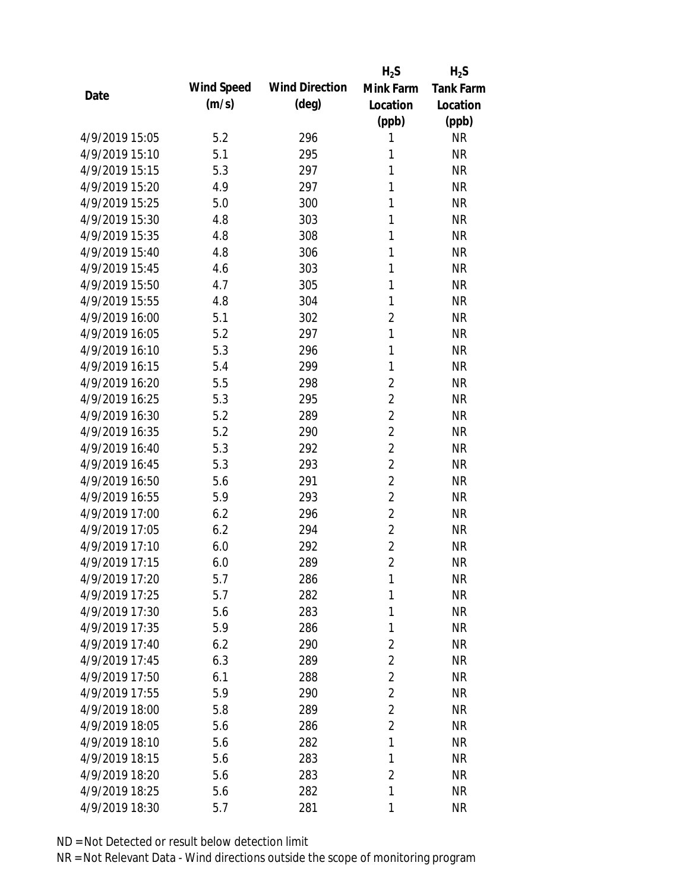|                |            |                       | $H_2S$         | $H_2S$           |
|----------------|------------|-----------------------|----------------|------------------|
| Date           | Wind Speed | <b>Wind Direction</b> | Mink Farm      | <b>Tank Farm</b> |
|                | (m/s)      | $(\text{deg})$        | Location       | Location         |
|                |            |                       | (ppb)          | (ppb)            |
| 4/9/2019 15:05 | 5.2        | 296                   | 1              | <b>NR</b>        |
| 4/9/2019 15:10 | 5.1        | 295                   | 1              | <b>NR</b>        |
| 4/9/2019 15:15 | 5.3        | 297                   | 1              | <b>NR</b>        |
| 4/9/2019 15:20 | 4.9        | 297                   | 1              | <b>NR</b>        |
| 4/9/2019 15:25 | 5.0        | 300                   | 1              | <b>NR</b>        |
| 4/9/2019 15:30 | 4.8        | 303                   | 1              | <b>NR</b>        |
| 4/9/2019 15:35 | 4.8        | 308                   | 1              | <b>NR</b>        |
| 4/9/2019 15:40 | 4.8        | 306                   | 1              | <b>NR</b>        |
| 4/9/2019 15:45 | 4.6        | 303                   | 1              | <b>NR</b>        |
| 4/9/2019 15:50 | 4.7        | 305                   | 1              | <b>NR</b>        |
| 4/9/2019 15:55 | 4.8        | 304                   | 1              | <b>NR</b>        |
| 4/9/2019 16:00 | 5.1        | 302                   | $\overline{2}$ | <b>NR</b>        |
| 4/9/2019 16:05 | 5.2        | 297                   | $\mathbf{1}$   | <b>NR</b>        |
| 4/9/2019 16:10 | 5.3        | 296                   | 1              | <b>NR</b>        |
| 4/9/2019 16:15 | 5.4        | 299                   | 1              | <b>NR</b>        |
| 4/9/2019 16:20 | 5.5        | 298                   | $\overline{2}$ | <b>NR</b>        |
| 4/9/2019 16:25 | 5.3        | 295                   | $\overline{2}$ | <b>NR</b>        |
| 4/9/2019 16:30 | 5.2        | 289                   | $\overline{2}$ | <b>NR</b>        |
| 4/9/2019 16:35 | 5.2        | 290                   | $\overline{2}$ | <b>NR</b>        |
| 4/9/2019 16:40 | 5.3        | 292                   | $\overline{2}$ | <b>NR</b>        |
| 4/9/2019 16:45 | 5.3        | 293                   | $\overline{2}$ | <b>NR</b>        |
| 4/9/2019 16:50 | 5.6        | 291                   | $\overline{2}$ | <b>NR</b>        |
| 4/9/2019 16:55 | 5.9        | 293                   | $\overline{2}$ | <b>NR</b>        |
| 4/9/2019 17:00 | 6.2        | 296                   | $\overline{2}$ | <b>NR</b>        |
| 4/9/2019 17:05 | 6.2        | 294                   | $\overline{2}$ | <b>NR</b>        |
| 4/9/2019 17:10 | 6.0        | 292                   | $\overline{2}$ | <b>NR</b>        |
| 4/9/2019 17:15 | 6.0        | 289                   | $\overline{2}$ | <b>NR</b>        |
| 4/9/2019 17:20 | 5.7        | 286                   | 1              | <b>NR</b>        |
| 4/9/2019 17:25 | 5.7        | 282                   | 1              | <b>NR</b>        |
| 4/9/2019 17:30 | 5.6        | 283                   | 1              | <b>NR</b>        |
| 4/9/2019 17:35 | 5.9        | 286                   | 1              | <b>NR</b>        |
| 4/9/2019 17:40 | 6.2        | 290                   | $\overline{2}$ | <b>NR</b>        |
| 4/9/2019 17:45 | 6.3        | 289                   | $\overline{2}$ | <b>NR</b>        |
| 4/9/2019 17:50 | 6.1        | 288                   | $\overline{2}$ | <b>NR</b>        |
| 4/9/2019 17:55 | 5.9        | 290                   | $\overline{2}$ | <b>NR</b>        |
| 4/9/2019 18:00 | 5.8        | 289                   | $\overline{2}$ | <b>NR</b>        |
| 4/9/2019 18:05 | 5.6        | 286                   | $\overline{2}$ | <b>NR</b>        |
| 4/9/2019 18:10 | 5.6        | 282                   | 1              | <b>NR</b>        |
| 4/9/2019 18:15 | 5.6        | 283                   | 1              | <b>NR</b>        |
| 4/9/2019 18:20 | 5.6        | 283                   | $\overline{2}$ | <b>NR</b>        |
| 4/9/2019 18:25 | 5.6        | 282                   | 1              | <b>NR</b>        |
| 4/9/2019 18:30 | 5.7        | 281                   | 1              | <b>NR</b>        |
|                |            |                       |                |                  |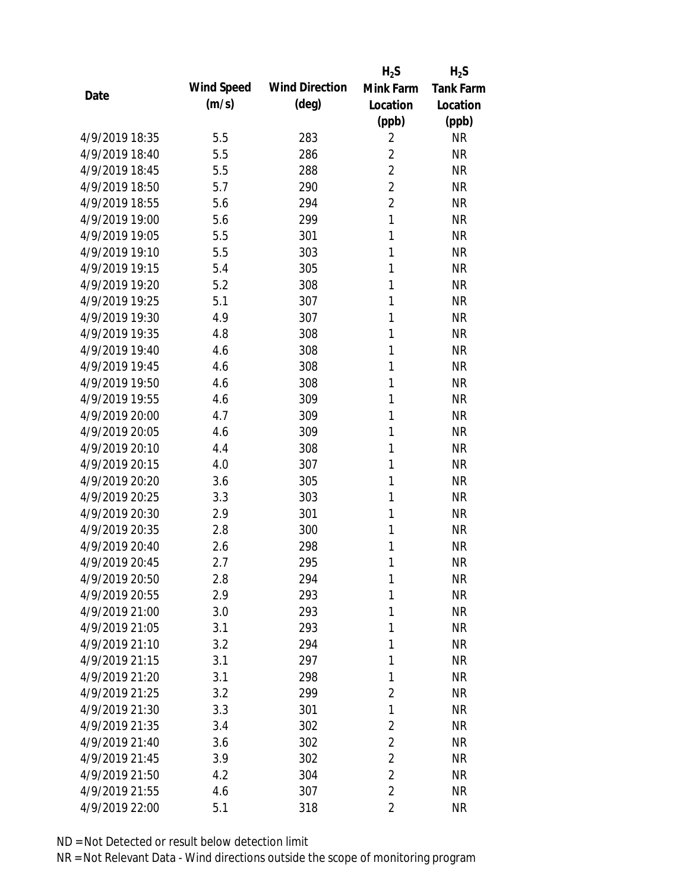|                |            |                       | $H_2S$         | $H_2S$           |
|----------------|------------|-----------------------|----------------|------------------|
| Date           | Wind Speed | <b>Wind Direction</b> | Mink Farm      | <b>Tank Farm</b> |
|                | (m/s)      | $(\text{deg})$        | Location       | Location         |
|                |            |                       | (ppb)          | (ppb)            |
| 4/9/2019 18:35 | 5.5        | 283                   | $\overline{2}$ | <b>NR</b>        |
| 4/9/2019 18:40 | 5.5        | 286                   | $\overline{2}$ | <b>NR</b>        |
| 4/9/2019 18:45 | 5.5        | 288                   | $\overline{2}$ | <b>NR</b>        |
| 4/9/2019 18:50 | 5.7        | 290                   | $\overline{2}$ | <b>NR</b>        |
| 4/9/2019 18:55 | 5.6        | 294                   | $\overline{2}$ | <b>NR</b>        |
| 4/9/2019 19:00 | 5.6        | 299                   | $\mathbf{1}$   | <b>NR</b>        |
| 4/9/2019 19:05 | 5.5        | 301                   | 1              | <b>NR</b>        |
| 4/9/2019 19:10 | 5.5        | 303                   | 1              | <b>NR</b>        |
| 4/9/2019 19:15 | 5.4        | 305                   | 1              | <b>NR</b>        |
| 4/9/2019 19:20 | 5.2        | 308                   | 1              | <b>NR</b>        |
| 4/9/2019 19:25 | 5.1        | 307                   | 1              | <b>NR</b>        |
| 4/9/2019 19:30 | 4.9        | 307                   | 1              | <b>NR</b>        |
| 4/9/2019 19:35 | 4.8        | 308                   | 1              | <b>NR</b>        |
| 4/9/2019 19:40 | 4.6        | 308                   | 1              | <b>NR</b>        |
| 4/9/2019 19:45 | 4.6        | 308                   | 1              | <b>NR</b>        |
| 4/9/2019 19:50 | 4.6        | 308                   | 1              | <b>NR</b>        |
| 4/9/2019 19:55 | 4.6        | 309                   | 1              | <b>NR</b>        |
| 4/9/2019 20:00 | 4.7        | 309                   | 1              | <b>NR</b>        |
| 4/9/2019 20:05 | 4.6        | 309                   | $\mathbf{1}$   | <b>NR</b>        |
| 4/9/2019 20:10 | 4.4        | 308                   | 1              | <b>NR</b>        |
| 4/9/2019 20:15 | 4.0        | 307                   | 1              | <b>NR</b>        |
| 4/9/2019 20:20 | 3.6        | 305                   | 1              | <b>NR</b>        |
| 4/9/2019 20:25 | 3.3        | 303                   | 1              | <b>NR</b>        |
| 4/9/2019 20:30 | 2.9        | 301                   | 1              | <b>NR</b>        |
| 4/9/2019 20:35 | 2.8        | 300                   | 1              | <b>NR</b>        |
| 4/9/2019 20:40 | 2.6        | 298                   | 1              | <b>NR</b>        |
| 4/9/2019 20:45 | 2.7        | 295                   | 1              | <b>NR</b>        |
| 4/9/2019 20:50 | 2.8        | 294                   | 1              | <b>NR</b>        |
| 4/9/2019 20:55 | 2.9        | 293                   | 1              | <b>NR</b>        |
| 4/9/2019 21:00 | 3.0        | 293                   | 1              | <b>NR</b>        |
| 4/9/2019 21:05 | 3.1        | 293                   | 1              | <b>NR</b>        |
| 4/9/2019 21:10 | 3.2        | 294                   | 1              | <b>NR</b>        |
| 4/9/2019 21:15 | 3.1        | 297                   | 1              | <b>NR</b>        |
| 4/9/2019 21:20 | 3.1        | 298                   | 1              | <b>NR</b>        |
| 4/9/2019 21:25 | 3.2        | 299                   | $\overline{2}$ | <b>NR</b>        |
| 4/9/2019 21:30 | 3.3        | 301                   | 1              | <b>NR</b>        |
| 4/9/2019 21:35 | 3.4        | 302                   | $\overline{2}$ | <b>NR</b>        |
| 4/9/2019 21:40 | 3.6        | 302                   | $\overline{2}$ | <b>NR</b>        |
| 4/9/2019 21:45 | 3.9        | 302                   | $\overline{2}$ | <b>NR</b>        |
| 4/9/2019 21:50 | 4.2        | 304                   | $\overline{2}$ | <b>NR</b>        |
| 4/9/2019 21:55 | 4.6        | 307                   | $\overline{2}$ | <b>NR</b>        |
| 4/9/2019 22:00 | 5.1        | 318                   | $\overline{2}$ | <b>NR</b>        |
|                |            |                       |                |                  |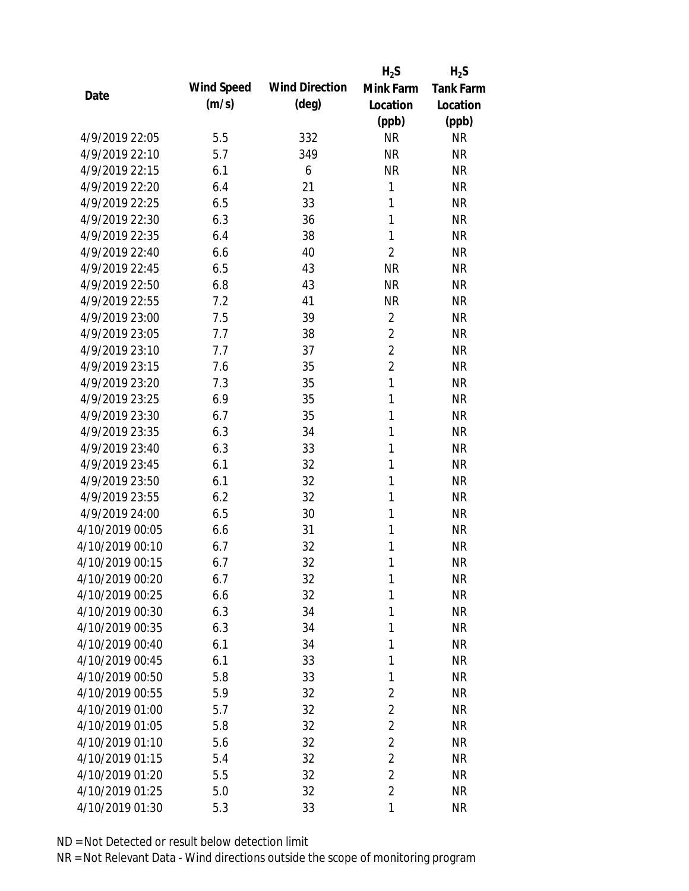|                 |            |                       | $H_2S$         | $H_2S$           |
|-----------------|------------|-----------------------|----------------|------------------|
| Date            | Wind Speed | <b>Wind Direction</b> | Mink Farm      | <b>Tank Farm</b> |
|                 | (m/s)      | $(\text{deg})$        | Location       | Location         |
|                 |            |                       | (ppb)          | (ppb)            |
| 4/9/2019 22:05  | 5.5        | 332                   | <b>NR</b>      | <b>NR</b>        |
| 4/9/2019 22:10  | 5.7        | 349                   | <b>NR</b>      | <b>NR</b>        |
| 4/9/2019 22:15  | 6.1        | 6                     | <b>NR</b>      | <b>NR</b>        |
| 4/9/2019 22:20  | 6.4        | 21                    | $\mathbf{1}$   | <b>NR</b>        |
| 4/9/2019 22:25  | 6.5        | 33                    | 1              | <b>NR</b>        |
| 4/9/2019 22:30  | 6.3        | 36                    | 1              | <b>NR</b>        |
| 4/9/2019 22:35  | 6.4        | 38                    | $\mathbf{1}$   | <b>NR</b>        |
| 4/9/2019 22:40  | 6.6        | 40                    | $\overline{2}$ | <b>NR</b>        |
| 4/9/2019 22:45  | 6.5        | 43                    | <b>NR</b>      | <b>NR</b>        |
| 4/9/2019 22:50  | 6.8        | 43                    | <b>NR</b>      | <b>NR</b>        |
| 4/9/2019 22:55  | 7.2        | 41                    | <b>NR</b>      | <b>NR</b>        |
| 4/9/2019 23:00  | 7.5        | 39                    | $\overline{2}$ | <b>NR</b>        |
| 4/9/2019 23:05  | 7.7        | 38                    | $\overline{2}$ | <b>NR</b>        |
| 4/9/2019 23:10  | 7.7        | 37                    | $\overline{2}$ | <b>NR</b>        |
| 4/9/2019 23:15  | 7.6        | 35                    | $\overline{2}$ | <b>NR</b>        |
| 4/9/2019 23:20  | 7.3        | 35                    | $\mathbf{1}$   | <b>NR</b>        |
| 4/9/2019 23:25  | 6.9        | 35                    | 1              | <b>NR</b>        |
| 4/9/2019 23:30  | 6.7        | 35                    | $\mathbf{1}$   | <b>NR</b>        |
| 4/9/2019 23:35  | 6.3        | 34                    | $\mathbf{1}$   | <b>NR</b>        |
| 4/9/2019 23:40  | 6.3        | 33                    | 1              | <b>NR</b>        |
| 4/9/2019 23:45  | 6.1        | 32                    | 1              | <b>NR</b>        |
| 4/9/2019 23:50  | 6.1        | 32                    | 1              | <b>NR</b>        |
| 4/9/2019 23:55  | 6.2        | 32                    | 1              | <b>NR</b>        |
| 4/9/2019 24:00  | 6.5        | 30                    | 1              | <b>NR</b>        |
| 4/10/2019 00:05 | 6.6        | 31                    | 1              | <b>NR</b>        |
| 4/10/2019 00:10 | 6.7        | 32                    | 1              | <b>NR</b>        |
| 4/10/2019 00:15 | 6.7        | 32                    | 1              | <b>NR</b>        |
| 4/10/2019 00:20 | 6.7        | 32                    | 1              | <b>NR</b>        |
| 4/10/2019 00:25 | 6.6        | 32                    | 1              | <b>NR</b>        |
| 4/10/2019 00:30 | 6.3        | 34                    | 1              | <b>NR</b>        |
| 4/10/2019 00:35 | 6.3        | 34                    | 1              | <b>NR</b>        |
| 4/10/2019 00:40 | 6.1        | 34                    | 1              | NR               |
| 4/10/2019 00:45 | 6.1        | 33                    | 1              | <b>NR</b>        |
| 4/10/2019 00:50 | 5.8        | 33                    | 1              | <b>NR</b>        |
| 4/10/2019 00:55 | 5.9        | 32                    | $\overline{2}$ | <b>NR</b>        |
| 4/10/2019 01:00 | 5.7        | 32                    | $\overline{2}$ | <b>NR</b>        |
| 4/10/2019 01:05 | 5.8        | 32                    | $\overline{2}$ | <b>NR</b>        |
| 4/10/2019 01:10 | 5.6        | 32                    | $\overline{2}$ | <b>NR</b>        |
| 4/10/2019 01:15 | 5.4        | 32                    | $\overline{2}$ | <b>NR</b>        |
| 4/10/2019 01:20 | 5.5        | 32                    | $\overline{2}$ | <b>NR</b>        |
| 4/10/2019 01:25 | 5.0        | 32                    | $\overline{2}$ | <b>NR</b>        |
| 4/10/2019 01:30 | 5.3        | 33                    | 1              | <b>NR</b>        |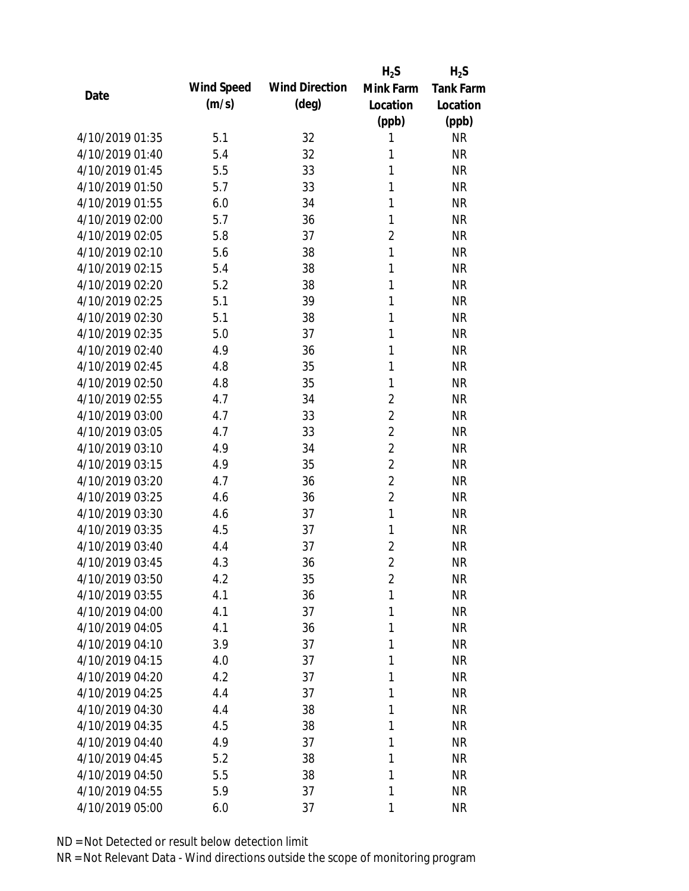|                 |            |                       | $H_2S$         | $H_2S$           |
|-----------------|------------|-----------------------|----------------|------------------|
| Date            | Wind Speed | <b>Wind Direction</b> | Mink Farm      | <b>Tank Farm</b> |
|                 | (m/s)      | $(\text{deg})$        | Location       | Location         |
|                 |            |                       | (ppb)          | (ppb)            |
| 4/10/2019 01:35 | 5.1        | 32                    | 1              | <b>NR</b>        |
| 4/10/2019 01:40 | 5.4        | 32                    | 1              | <b>NR</b>        |
| 4/10/2019 01:45 | 5.5        | 33                    | 1              | <b>NR</b>        |
| 4/10/2019 01:50 | 5.7        | 33                    | 1              | <b>NR</b>        |
| 4/10/2019 01:55 | 6.0        | 34                    | 1              | <b>NR</b>        |
| 4/10/2019 02:00 | 5.7        | 36                    | 1              | <b>NR</b>        |
| 4/10/2019 02:05 | 5.8        | 37                    | $\overline{2}$ | <b>NR</b>        |
| 4/10/2019 02:10 | 5.6        | 38                    | $\mathbf{1}$   | <b>NR</b>        |
| 4/10/2019 02:15 | 5.4        | 38                    | 1              | <b>NR</b>        |
| 4/10/2019 02:20 | 5.2        | 38                    | 1              | <b>NR</b>        |
| 4/10/2019 02:25 | 5.1        | 39                    | 1              | <b>NR</b>        |
| 4/10/2019 02:30 | 5.1        | 38                    | 1              | <b>NR</b>        |
| 4/10/2019 02:35 | 5.0        | 37                    | 1              | <b>NR</b>        |
| 4/10/2019 02:40 | 4.9        | 36                    | 1              | <b>NR</b>        |
| 4/10/2019 02:45 | 4.8        | 35                    | 1              | <b>NR</b>        |
| 4/10/2019 02:50 | 4.8        | 35                    | 1              | <b>NR</b>        |
| 4/10/2019 02:55 | 4.7        | 34                    | $\overline{2}$ | <b>NR</b>        |
| 4/10/2019 03:00 | 4.7        | 33                    | $\overline{2}$ | <b>NR</b>        |
| 4/10/2019 03:05 | 4.7        | 33                    | $\overline{2}$ | <b>NR</b>        |
| 4/10/2019 03:10 | 4.9        | 34                    | $\overline{2}$ | <b>NR</b>        |
| 4/10/2019 03:15 | 4.9        | 35                    | $\overline{2}$ | <b>NR</b>        |
| 4/10/2019 03:20 | 4.7        | 36                    | $\overline{2}$ | <b>NR</b>        |
| 4/10/2019 03:25 | 4.6        | 36                    | $\overline{2}$ | <b>NR</b>        |
| 4/10/2019 03:30 | 4.6        | 37                    | $\mathbf{1}$   | <b>NR</b>        |
| 4/10/2019 03:35 | 4.5        | 37                    | 1              | <b>NR</b>        |
| 4/10/2019 03:40 | 4.4        | 37                    | $\overline{2}$ | <b>NR</b>        |
| 4/10/2019 03:45 | 4.3        | 36                    | $\overline{2}$ | <b>NR</b>        |
| 4/10/2019 03:50 | 4.2        | 35                    | $\overline{2}$ | <b>NR</b>        |
| 4/10/2019 03:55 | 4.1        | 36                    | 1              | <b>NR</b>        |
| 4/10/2019 04:00 | 4.1        | 37                    | 1              | <b>NR</b>        |
| 4/10/2019 04:05 | 4.1        | 36                    | 1              | <b>NR</b>        |
| 4/10/2019 04:10 | 3.9        | 37                    | 1              | <b>NR</b>        |
| 4/10/2019 04:15 | 4.0        | 37                    | 1              | <b>NR</b>        |
| 4/10/2019 04:20 | 4.2        | 37                    | 1              | <b>NR</b>        |
| 4/10/2019 04:25 | 4.4        | 37                    | 1              | <b>NR</b>        |
| 4/10/2019 04:30 | 4.4        | 38                    | 1              | <b>NR</b>        |
| 4/10/2019 04:35 | 4.5        | 38                    | 1              | <b>NR</b>        |
| 4/10/2019 04:40 | 4.9        | 37                    | 1              | <b>NR</b>        |
| 4/10/2019 04:45 | 5.2        | 38                    | 1              | <b>NR</b>        |
| 4/10/2019 04:50 | 5.5        | 38                    | 1              | <b>NR</b>        |
| 4/10/2019 04:55 | 5.9        | 37                    | 1              | <b>NR</b>        |
| 4/10/2019 05:00 | 6.0        | 37                    | 1              | <b>NR</b>        |
|                 |            |                       |                |                  |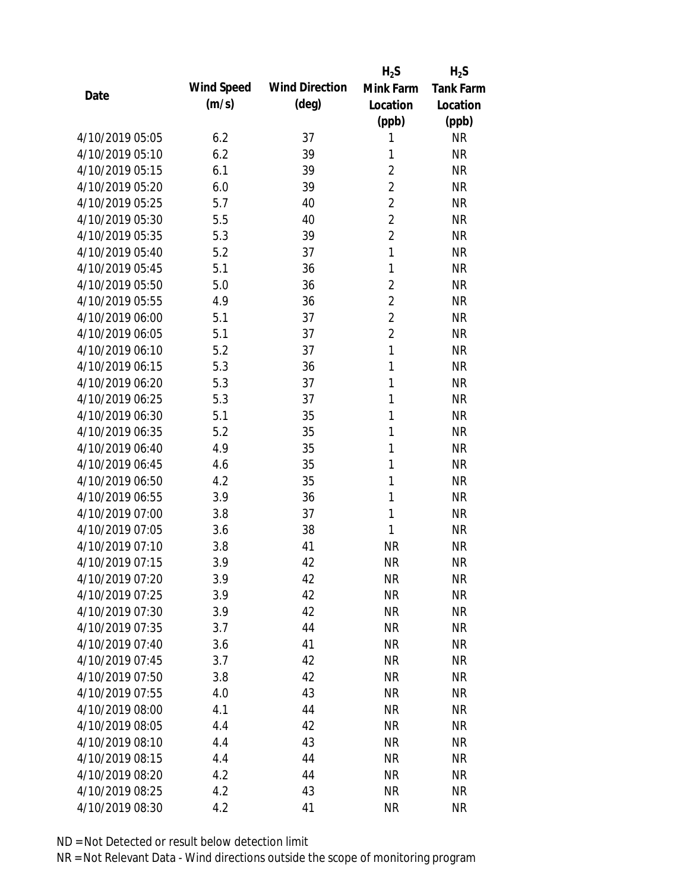|                 |            |                       | $H_2S$         | $H_2S$           |
|-----------------|------------|-----------------------|----------------|------------------|
| Date            | Wind Speed | <b>Wind Direction</b> | Mink Farm      | <b>Tank Farm</b> |
|                 | (m/s)      | $(\text{deg})$        | Location       | Location         |
|                 |            |                       | (ppb)          | (ppb)            |
| 4/10/2019 05:05 | 6.2        | 37                    | 1              | <b>NR</b>        |
| 4/10/2019 05:10 | 6.2        | 39                    | 1              | <b>NR</b>        |
| 4/10/2019 05:15 | 6.1        | 39                    | $\overline{2}$ | <b>NR</b>        |
| 4/10/2019 05:20 | 6.0        | 39                    | $\overline{2}$ | <b>NR</b>        |
| 4/10/2019 05:25 | 5.7        | 40                    | $\overline{2}$ | <b>NR</b>        |
| 4/10/2019 05:30 | 5.5        | 40                    | $\overline{2}$ | <b>NR</b>        |
| 4/10/2019 05:35 | 5.3        | 39                    | $\overline{2}$ | <b>NR</b>        |
| 4/10/2019 05:40 | 5.2        | 37                    | $\mathbf{1}$   | <b>NR</b>        |
| 4/10/2019 05:45 | 5.1        | 36                    | 1              | <b>NR</b>        |
| 4/10/2019 05:50 | 5.0        | 36                    | $\overline{2}$ | <b>NR</b>        |
| 4/10/2019 05:55 | 4.9        | 36                    | $\overline{2}$ | <b>NR</b>        |
| 4/10/2019 06:00 | 5.1        | 37                    | $\overline{2}$ | <b>NR</b>        |
| 4/10/2019 06:05 | 5.1        | 37                    | $\overline{2}$ | <b>NR</b>        |
| 4/10/2019 06:10 | 5.2        | 37                    | $\mathbf{1}$   | <b>NR</b>        |
| 4/10/2019 06:15 | 5.3        | 36                    | 1              | <b>NR</b>        |
| 4/10/2019 06:20 | 5.3        | 37                    | 1              | <b>NR</b>        |
| 4/10/2019 06:25 | 5.3        | 37                    | 1              | <b>NR</b>        |
| 4/10/2019 06:30 | 5.1        | 35                    | 1              | <b>NR</b>        |
| 4/10/2019 06:35 | 5.2        | 35                    | $\mathbf{1}$   | <b>NR</b>        |
| 4/10/2019 06:40 | 4.9        | 35                    | 1              | <b>NR</b>        |
| 4/10/2019 06:45 | 4.6        | 35                    | 1              | <b>NR</b>        |
| 4/10/2019 06:50 | 4.2        | 35                    | 1              | <b>NR</b>        |
| 4/10/2019 06:55 | 3.9        | 36                    | 1              | <b>NR</b>        |
| 4/10/2019 07:00 | 3.8        | 37                    | 1              | <b>NR</b>        |
| 4/10/2019 07:05 | 3.6        | 38                    | 1              | <b>NR</b>        |
| 4/10/2019 07:10 | 3.8        | 41                    | <b>NR</b>      | <b>NR</b>        |
| 4/10/2019 07:15 | 3.9        | 42                    | <b>NR</b>      | <b>NR</b>        |
| 4/10/2019 07:20 | 3.9        | 42                    | <b>NR</b>      | <b>NR</b>        |
| 4/10/2019 07:25 | 3.9        | 42                    | <b>NR</b>      | <b>NR</b>        |
| 4/10/2019 07:30 | 3.9        | 42                    | <b>NR</b>      | <b>NR</b>        |
| 4/10/2019 07:35 | 3.7        | 44                    | <b>NR</b>      | <b>NR</b>        |
| 4/10/2019 07:40 | 3.6        | 41                    | <b>NR</b>      | <b>NR</b>        |
| 4/10/2019 07:45 | 3.7        | 42                    | <b>NR</b>      | <b>NR</b>        |
| 4/10/2019 07:50 | 3.8        | 42                    | <b>NR</b>      | <b>NR</b>        |
| 4/10/2019 07:55 | 4.0        | 43                    | <b>NR</b>      | <b>NR</b>        |
| 4/10/2019 08:00 | 4.1        | 44                    | <b>NR</b>      | <b>NR</b>        |
| 4/10/2019 08:05 | 4.4        | 42                    | <b>NR</b>      | <b>NR</b>        |
| 4/10/2019 08:10 | 4.4        | 43                    | <b>NR</b>      | <b>NR</b>        |
| 4/10/2019 08:15 | 4.4        | 44                    | <b>NR</b>      | <b>NR</b>        |
| 4/10/2019 08:20 | 4.2        | 44                    | <b>NR</b>      | <b>NR</b>        |
| 4/10/2019 08:25 | 4.2        | 43                    | <b>NR</b>      | <b>NR</b>        |
| 4/10/2019 08:30 | 4.2        | 41                    | <b>NR</b>      | <b>NR</b>        |
|                 |            |                       |                |                  |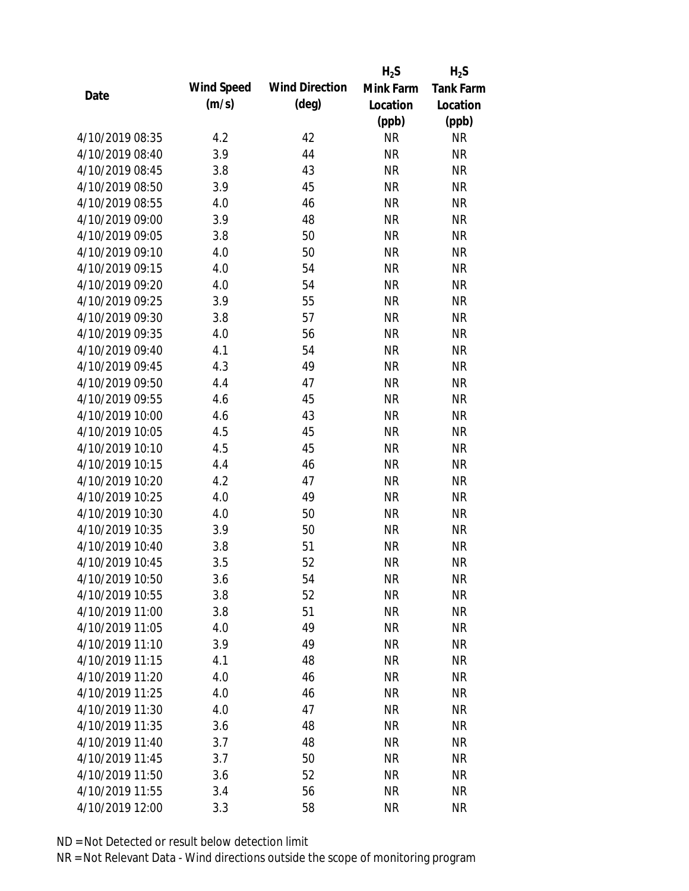|      |                 |            |                       | $H_2S$    | $H_2S$           |
|------|-----------------|------------|-----------------------|-----------|------------------|
| Date |                 | Wind Speed | <b>Wind Direction</b> | Mink Farm | <b>Tank Farm</b> |
|      |                 | (m/s)      | $(\text{deg})$        | Location  | Location         |
|      |                 |            |                       | (ppb)     | (ppb)            |
|      | 4/10/2019 08:35 | 4.2        | 42                    | <b>NR</b> | NR               |
|      | 4/10/2019 08:40 | 3.9        | 44                    | <b>NR</b> | <b>NR</b>        |
|      | 4/10/2019 08:45 | 3.8        | 43                    | <b>NR</b> | <b>NR</b>        |
|      | 4/10/2019 08:50 | 3.9        | 45                    | <b>NR</b> | <b>NR</b>        |
|      | 4/10/2019 08:55 | 4.0        | 46                    | <b>NR</b> | <b>NR</b>        |
|      | 4/10/2019 09:00 | 3.9        | 48                    | <b>NR</b> | <b>NR</b>        |
|      | 4/10/2019 09:05 | 3.8        | 50                    | <b>NR</b> | <b>NR</b>        |
|      | 4/10/2019 09:10 | 4.0        | 50                    | <b>NR</b> | <b>NR</b>        |
|      | 4/10/2019 09:15 | 4.0        | 54                    | <b>NR</b> | <b>NR</b>        |
|      | 4/10/2019 09:20 | 4.0        | 54                    | <b>NR</b> | <b>NR</b>        |
|      | 4/10/2019 09:25 | 3.9        | 55                    | <b>NR</b> | <b>NR</b>        |
|      | 4/10/2019 09:30 | 3.8        | 57                    | <b>NR</b> | <b>NR</b>        |
|      | 4/10/2019 09:35 | 4.0        | 56                    | <b>NR</b> | <b>NR</b>        |
|      | 4/10/2019 09:40 | 4.1        | 54                    | <b>NR</b> | <b>NR</b>        |
|      | 4/10/2019 09:45 | 4.3        | 49                    | <b>NR</b> | <b>NR</b>        |
|      | 4/10/2019 09:50 | 4.4        | 47                    | <b>NR</b> | <b>NR</b>        |
|      | 4/10/2019 09:55 | 4.6        | 45                    | <b>NR</b> | <b>NR</b>        |
|      | 4/10/2019 10:00 | 4.6        | 43                    | <b>NR</b> | <b>NR</b>        |
|      | 4/10/2019 10:05 | 4.5        | 45                    | <b>NR</b> | <b>NR</b>        |
|      | 4/10/2019 10:10 | 4.5        | 45                    | <b>NR</b> | <b>NR</b>        |
|      | 4/10/2019 10:15 | 4.4        | 46                    | <b>NR</b> | <b>NR</b>        |
|      | 4/10/2019 10:20 | 4.2        | 47                    | <b>NR</b> | <b>NR</b>        |
|      | 4/10/2019 10:25 | 4.0        | 49                    | <b>NR</b> | <b>NR</b>        |
|      | 4/10/2019 10:30 | 4.0        | 50                    | <b>NR</b> | <b>NR</b>        |
|      | 4/10/2019 10:35 | 3.9        | 50                    | <b>NR</b> | <b>NR</b>        |
|      | 4/10/2019 10:40 | 3.8        | 51                    | <b>NR</b> | <b>NR</b>        |
|      | 4/10/2019 10:45 | 3.5        | 52                    | <b>NR</b> | <b>NR</b>        |
|      | 4/10/2019 10:50 | 3.6        | 54                    | <b>NR</b> | <b>NR</b>        |
|      | 4/10/2019 10:55 | 3.8        | 52                    | <b>NR</b> | <b>NR</b>        |
|      | 4/10/2019 11:00 | 3.8        | 51                    | <b>NR</b> | <b>NR</b>        |
|      | 4/10/2019 11:05 | 4.0        | 49                    | <b>NR</b> | <b>NR</b>        |
|      | 4/10/2019 11:10 | 3.9        | 49                    | <b>NR</b> | <b>NR</b>        |
|      | 4/10/2019 11:15 | 4.1        | 48                    | <b>NR</b> | <b>NR</b>        |
|      | 4/10/2019 11:20 | 4.0        | 46                    | <b>NR</b> | <b>NR</b>        |
|      | 4/10/2019 11:25 | 4.0        | 46                    | <b>NR</b> | NR               |
|      | 4/10/2019 11:30 | 4.0        | 47                    | <b>NR</b> | <b>NR</b>        |
|      | 4/10/2019 11:35 | 3.6        | 48                    | <b>NR</b> | <b>NR</b>        |
|      | 4/10/2019 11:40 | 3.7        | 48                    | NR        | <b>NR</b>        |
|      | 4/10/2019 11:45 | 3.7        | 50                    | <b>NR</b> | NR               |
|      | 4/10/2019 11:50 | 3.6        | 52                    | <b>NR</b> | NR               |
|      | 4/10/2019 11:55 | 3.4        | 56                    | <b>NR</b> | <b>NR</b>        |
|      | 4/10/2019 12:00 | 3.3        | 58                    | <b>NR</b> | <b>NR</b>        |
|      |                 |            |                       |           |                  |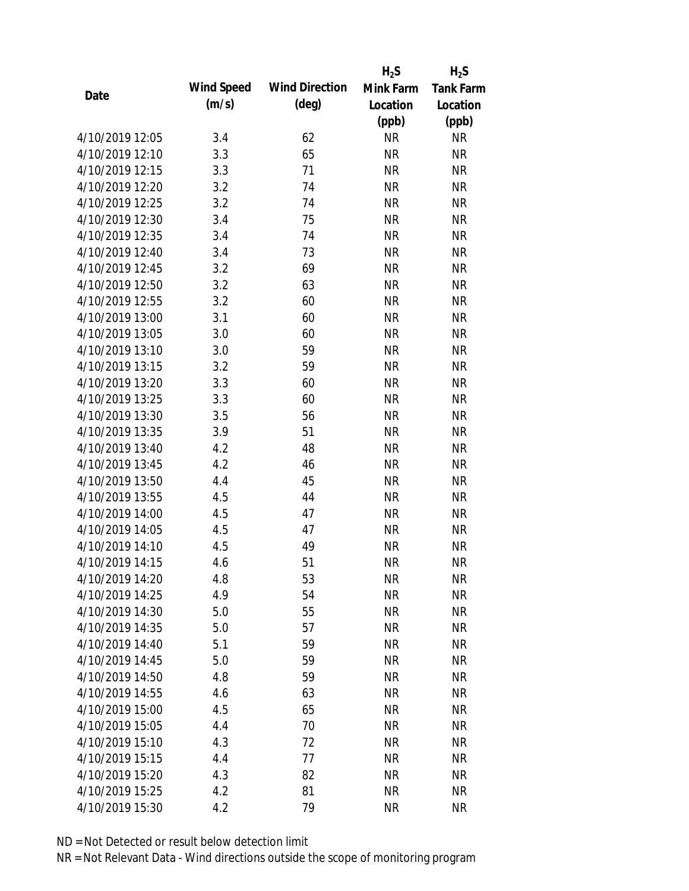|                 |            |                       | $H_2S$    | $H_2S$           |
|-----------------|------------|-----------------------|-----------|------------------|
|                 | Wind Speed | <b>Wind Direction</b> | Mink Farm | <b>Tank Farm</b> |
| Date            | (m/s)      | $(\text{deg})$        | Location  | Location         |
|                 |            |                       | (ppb)     | (ppb)            |
| 4/10/2019 12:05 | 3.4        | 62                    | <b>NR</b> | <b>NR</b>        |
| 4/10/2019 12:10 | 3.3        | 65                    | <b>NR</b> | <b>NR</b>        |
| 4/10/2019 12:15 | 3.3        | 71                    | <b>NR</b> | <b>NR</b>        |
| 4/10/2019 12:20 | 3.2        | 74                    | <b>NR</b> | <b>NR</b>        |
| 4/10/2019 12:25 | 3.2        | 74                    | <b>NR</b> | <b>NR</b>        |
| 4/10/2019 12:30 | 3.4        | 75                    | <b>NR</b> | <b>NR</b>        |
| 4/10/2019 12:35 | 3.4        | 74                    | <b>NR</b> | <b>NR</b>        |
| 4/10/2019 12:40 | 3.4        | 73                    | <b>NR</b> | <b>NR</b>        |
| 4/10/2019 12:45 | 3.2        | 69                    | <b>NR</b> | <b>NR</b>        |
| 4/10/2019 12:50 | 3.2        | 63                    | <b>NR</b> | <b>NR</b>        |
| 4/10/2019 12:55 | 3.2        | 60                    | <b>NR</b> | <b>NR</b>        |
| 4/10/2019 13:00 | 3.1        | 60                    | <b>NR</b> | <b>NR</b>        |
| 4/10/2019 13:05 | 3.0        | 60                    | <b>NR</b> | <b>NR</b>        |
| 4/10/2019 13:10 | 3.0        | 59                    | <b>NR</b> | <b>NR</b>        |
| 4/10/2019 13:15 | 3.2        | 59                    | <b>NR</b> | <b>NR</b>        |
| 4/10/2019 13:20 | 3.3        | 60                    | <b>NR</b> | <b>NR</b>        |
| 4/10/2019 13:25 | 3.3        | 60                    | <b>NR</b> | <b>NR</b>        |
| 4/10/2019 13:30 | 3.5        | 56                    | <b>NR</b> | <b>NR</b>        |
| 4/10/2019 13:35 | 3.9        | 51                    | <b>NR</b> | <b>NR</b>        |
| 4/10/2019 13:40 | 4.2        | 48                    | <b>NR</b> | <b>NR</b>        |
| 4/10/2019 13:45 | 4.2        | 46                    | <b>NR</b> | <b>NR</b>        |
| 4/10/2019 13:50 | 4.4        | 45                    | <b>NR</b> | <b>NR</b>        |
| 4/10/2019 13:55 | 4.5        | 44                    | <b>NR</b> | <b>NR</b>        |
| 4/10/2019 14:00 | 4.5        | 47                    | <b>NR</b> | <b>NR</b>        |
| 4/10/2019 14:05 | 4.5        | 47                    | <b>NR</b> | <b>NR</b>        |
| 4/10/2019 14:10 | 4.5        | 49                    | <b>NR</b> | <b>NR</b>        |
| 4/10/2019 14:15 | 4.6        | 51                    | <b>NR</b> | <b>NR</b>        |
| 4/10/2019 14:20 | 4.8        | 53                    | <b>NR</b> | <b>NR</b>        |
| 4/10/2019 14:25 | 4.9        | 54                    | <b>NR</b> | <b>NR</b>        |
| 4/10/2019 14:30 | 5.0        | 55                    | <b>NR</b> | <b>NR</b>        |
| 4/10/2019 14:35 | 5.0        | 57                    | <b>NR</b> | <b>NR</b>        |
| 4/10/2019 14:40 | 5.1        | 59                    | <b>NR</b> | <b>NR</b>        |
| 4/10/2019 14:45 | 5.0        | 59                    | <b>NR</b> | <b>NR</b>        |
| 4/10/2019 14:50 | 4.8        | 59                    | <b>NR</b> | <b>NR</b>        |
| 4/10/2019 14:55 | 4.6        | 63                    | <b>NR</b> | <b>NR</b>        |
| 4/10/2019 15:00 | 4.5        | 65                    | <b>NR</b> | <b>NR</b>        |
| 4/10/2019 15:05 | 4.4        | 70                    | <b>NR</b> | NR               |
| 4/10/2019 15:10 | 4.3        | 72                    | <b>NR</b> | NR               |
| 4/10/2019 15:15 | 4.4        | 77                    | <b>NR</b> | NR               |
| 4/10/2019 15:20 | 4.3        | 82                    | <b>NR</b> | NR               |
| 4/10/2019 15:25 | 4.2        | 81                    | <b>NR</b> | <b>NR</b>        |
| 4/10/2019 15:30 | 4.2        | 79                    | <b>NR</b> | <b>NR</b>        |
|                 |            |                       |           |                  |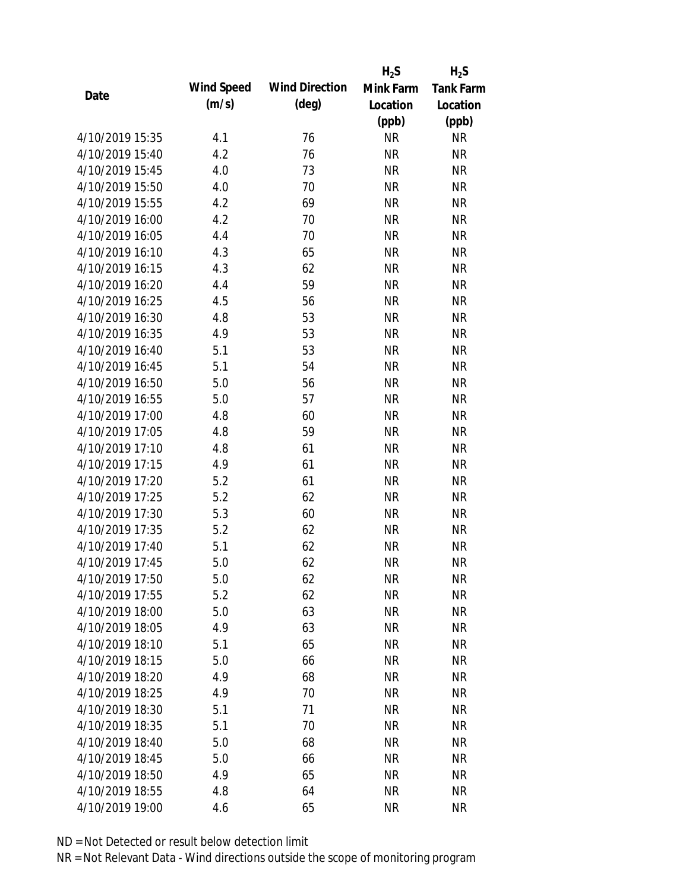|                 |            |                       | $H_2S$    | $H_2S$           |
|-----------------|------------|-----------------------|-----------|------------------|
| Date            | Wind Speed | <b>Wind Direction</b> | Mink Farm | <b>Tank Farm</b> |
|                 | (m/s)      | $(\text{deg})$        | Location  | Location         |
|                 |            |                       | (ppb)     | (ppb)            |
| 4/10/2019 15:35 | 4.1        | 76                    | <b>NR</b> | NR               |
| 4/10/2019 15:40 | 4.2        | 76                    | <b>NR</b> | <b>NR</b>        |
| 4/10/2019 15:45 | 4.0        | 73                    | <b>NR</b> | <b>NR</b>        |
| 4/10/2019 15:50 | 4.0        | 70                    | <b>NR</b> | <b>NR</b>        |
| 4/10/2019 15:55 | 4.2        | 69                    | <b>NR</b> | <b>NR</b>        |
| 4/10/2019 16:00 | 4.2        | 70                    | <b>NR</b> | <b>NR</b>        |
| 4/10/2019 16:05 | 4.4        | 70                    | <b>NR</b> | <b>NR</b>        |
| 4/10/2019 16:10 | 4.3        | 65                    | <b>NR</b> | <b>NR</b>        |
| 4/10/2019 16:15 | 4.3        | 62                    | <b>NR</b> | <b>NR</b>        |
| 4/10/2019 16:20 | 4.4        | 59                    | <b>NR</b> | <b>NR</b>        |
| 4/10/2019 16:25 | 4.5        | 56                    | <b>NR</b> | <b>NR</b>        |
| 4/10/2019 16:30 | 4.8        | 53                    | <b>NR</b> | <b>NR</b>        |
| 4/10/2019 16:35 | 4.9        | 53                    | <b>NR</b> | <b>NR</b>        |
| 4/10/2019 16:40 | 5.1        | 53                    | <b>NR</b> | <b>NR</b>        |
| 4/10/2019 16:45 | 5.1        | 54                    | <b>NR</b> | <b>NR</b>        |
| 4/10/2019 16:50 | 5.0        | 56                    | <b>NR</b> | <b>NR</b>        |
| 4/10/2019 16:55 | 5.0        | 57                    | <b>NR</b> | <b>NR</b>        |
| 4/10/2019 17:00 | 4.8        | 60                    | <b>NR</b> | <b>NR</b>        |
| 4/10/2019 17:05 | 4.8        | 59                    | <b>NR</b> | <b>NR</b>        |
| 4/10/2019 17:10 | 4.8        | 61                    | <b>NR</b> | <b>NR</b>        |
| 4/10/2019 17:15 | 4.9        | 61                    | <b>NR</b> | <b>NR</b>        |
| 4/10/2019 17:20 | 5.2        | 61                    | <b>NR</b> | <b>NR</b>        |
| 4/10/2019 17:25 | 5.2        | 62                    | <b>NR</b> | <b>NR</b>        |
| 4/10/2019 17:30 | 5.3        | 60                    | <b>NR</b> | <b>NR</b>        |
| 4/10/2019 17:35 | 5.2        | 62                    | <b>NR</b> | <b>NR</b>        |
| 4/10/2019 17:40 | 5.1        | 62                    | <b>NR</b> | <b>NR</b>        |
| 4/10/2019 17:45 | 5.0        | 62                    | <b>NR</b> | <b>NR</b>        |
| 4/10/2019 17:50 | 5.0        | 62                    | <b>NR</b> | <b>NR</b>        |
| 4/10/2019 17:55 | 5.2        | 62                    | <b>NR</b> | <b>NR</b>        |
| 4/10/2019 18:00 | 5.0        | 63                    | <b>NR</b> | <b>NR</b>        |
| 4/10/2019 18:05 | 4.9        | 63                    | <b>NR</b> | <b>NR</b>        |
| 4/10/2019 18:10 | 5.1        | 65                    | <b>NR</b> | <b>NR</b>        |
| 4/10/2019 18:15 | 5.0        | 66                    | <b>NR</b> | <b>NR</b>        |
| 4/10/2019 18:20 | 4.9        | 68                    | <b>NR</b> | <b>NR</b>        |
| 4/10/2019 18:25 | 4.9        | 70                    | <b>NR</b> | NR               |
| 4/10/2019 18:30 | 5.1        | 71                    | <b>NR</b> | <b>NR</b>        |
| 4/10/2019 18:35 | 5.1        | 70                    | <b>NR</b> | <b>NR</b>        |
| 4/10/2019 18:40 | 5.0        | 68                    | NR        | <b>NR</b>        |
| 4/10/2019 18:45 | 5.0        | 66                    | <b>NR</b> | NR               |
| 4/10/2019 18:50 | 4.9        | 65                    | <b>NR</b> | NR               |
| 4/10/2019 18:55 | 4.8        | 64                    | <b>NR</b> | <b>NR</b>        |
| 4/10/2019 19:00 | 4.6        | 65                    | <b>NR</b> | <b>NR</b>        |
|                 |            |                       |           |                  |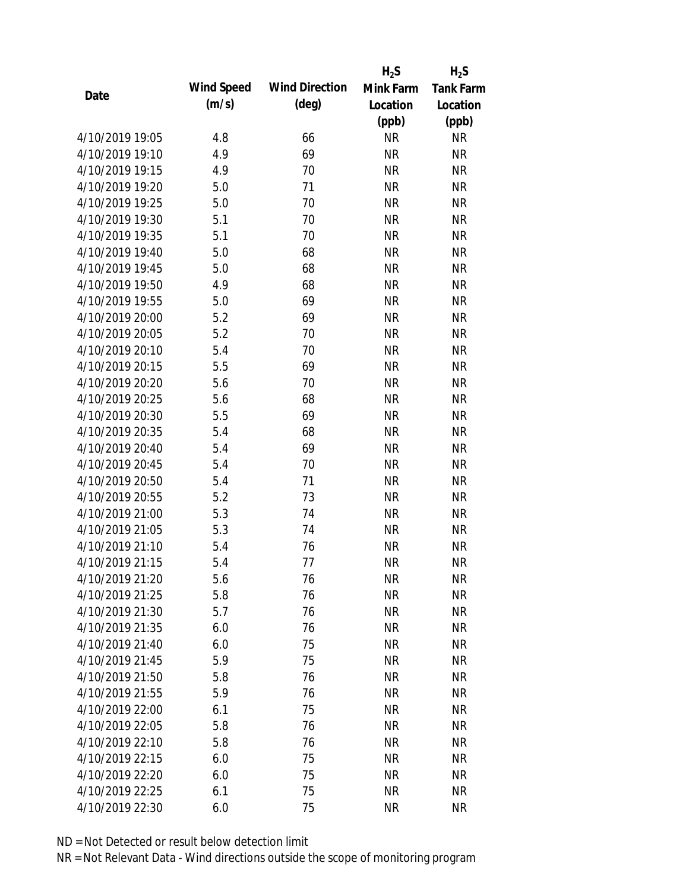|                 |            |                       | $H_2S$    | $H_2S$           |
|-----------------|------------|-----------------------|-----------|------------------|
| Date            | Wind Speed | <b>Wind Direction</b> | Mink Farm | <b>Tank Farm</b> |
|                 | (m/s)      | $(\text{deg})$        | Location  | Location         |
|                 |            |                       | (ppb)     | (ppb)            |
| 4/10/2019 19:05 | 4.8        | 66                    | <b>NR</b> | NR               |
| 4/10/2019 19:10 | 4.9        | 69                    | <b>NR</b> | <b>NR</b>        |
| 4/10/2019 19:15 | 4.9        | 70                    | <b>NR</b> | <b>NR</b>        |
| 4/10/2019 19:20 | 5.0        | 71                    | <b>NR</b> | <b>NR</b>        |
| 4/10/2019 19:25 | 5.0        | 70                    | <b>NR</b> | <b>NR</b>        |
| 4/10/2019 19:30 | 5.1        | 70                    | <b>NR</b> | <b>NR</b>        |
| 4/10/2019 19:35 | 5.1        | 70                    | <b>NR</b> | <b>NR</b>        |
| 4/10/2019 19:40 | 5.0        | 68                    | <b>NR</b> | <b>NR</b>        |
| 4/10/2019 19:45 | 5.0        | 68                    | <b>NR</b> | <b>NR</b>        |
| 4/10/2019 19:50 | 4.9        | 68                    | <b>NR</b> | <b>NR</b>        |
| 4/10/2019 19:55 | 5.0        | 69                    | <b>NR</b> | <b>NR</b>        |
| 4/10/2019 20:00 | 5.2        | 69                    | <b>NR</b> | <b>NR</b>        |
| 4/10/2019 20:05 | 5.2        | 70                    | <b>NR</b> | <b>NR</b>        |
| 4/10/2019 20:10 | 5.4        | 70                    | <b>NR</b> | <b>NR</b>        |
| 4/10/2019 20:15 | 5.5        | 69                    | <b>NR</b> | <b>NR</b>        |
| 4/10/2019 20:20 | 5.6        | 70                    | <b>NR</b> | <b>NR</b>        |
| 4/10/2019 20:25 | 5.6        | 68                    | <b>NR</b> | <b>NR</b>        |
| 4/10/2019 20:30 | 5.5        | 69                    | <b>NR</b> | <b>NR</b>        |
| 4/10/2019 20:35 | 5.4        | 68                    | <b>NR</b> | <b>NR</b>        |
| 4/10/2019 20:40 | 5.4        | 69                    | <b>NR</b> | <b>NR</b>        |
| 4/10/2019 20:45 | 5.4        | 70                    | <b>NR</b> | <b>NR</b>        |
| 4/10/2019 20:50 | 5.4        | 71                    | <b>NR</b> | <b>NR</b>        |
| 4/10/2019 20:55 | 5.2        | 73                    | <b>NR</b> | <b>NR</b>        |
| 4/10/2019 21:00 | 5.3        | 74                    | <b>NR</b> | <b>NR</b>        |
| 4/10/2019 21:05 | 5.3        | 74                    | <b>NR</b> | <b>NR</b>        |
| 4/10/2019 21:10 | 5.4        | 76                    | <b>NR</b> | <b>NR</b>        |
| 4/10/2019 21:15 | 5.4        | 77                    | <b>NR</b> | <b>NR</b>        |
| 4/10/2019 21:20 | 5.6        | 76                    | <b>NR</b> | <b>NR</b>        |
| 4/10/2019 21:25 | 5.8        | 76                    | <b>NR</b> | <b>NR</b>        |
| 4/10/2019 21:30 | 5.7        | 76                    | <b>NR</b> | <b>NR</b>        |
| 4/10/2019 21:35 | 6.0        | 76                    | <b>NR</b> | <b>NR</b>        |
| 4/10/2019 21:40 | 6.0        | 75                    | <b>NR</b> | NR               |
| 4/10/2019 21:45 | 5.9        | 75                    | <b>NR</b> | <b>NR</b>        |
| 4/10/2019 21:50 | 5.8        | 76                    | <b>NR</b> | <b>NR</b>        |
| 4/10/2019 21:55 | 5.9        | 76                    | <b>NR</b> | NR               |
| 4/10/2019 22:00 | 6.1        | 75                    | <b>NR</b> | <b>NR</b>        |
| 4/10/2019 22:05 | 5.8        | 76                    | <b>NR</b> | <b>NR</b>        |
| 4/10/2019 22:10 | 5.8        | 76                    | NR        | <b>NR</b>        |
| 4/10/2019 22:15 | 6.0        | 75                    | <b>NR</b> | NR               |
| 4/10/2019 22:20 | 6.0        | 75                    | <b>NR</b> | NR               |
| 4/10/2019 22:25 | 6.1        | 75                    | <b>NR</b> | <b>NR</b>        |
| 4/10/2019 22:30 | 6.0        | 75                    | <b>NR</b> | <b>NR</b>        |
|                 |            |                       |           |                  |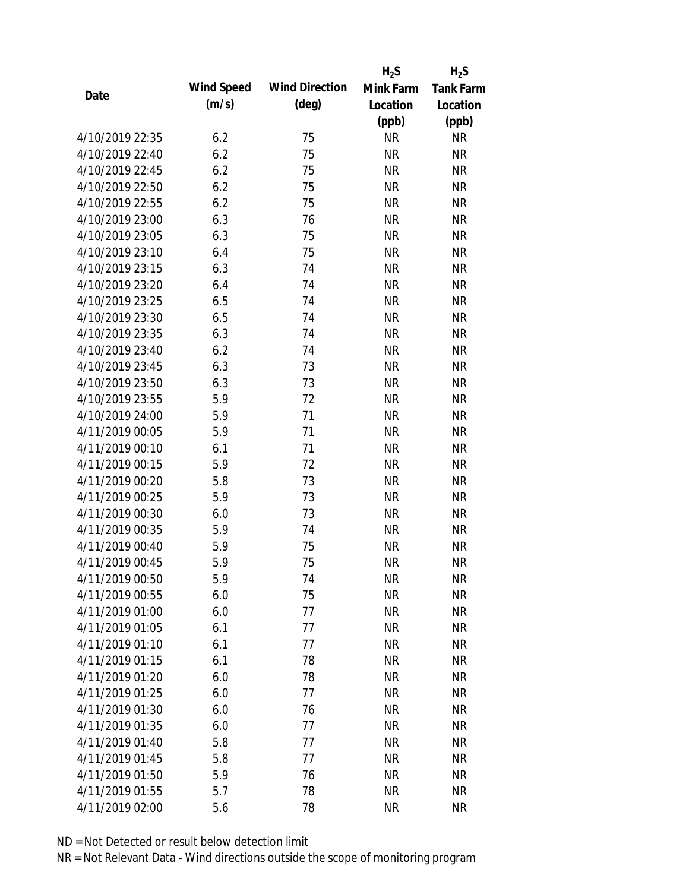|                 |            |                       | $H_2S$    | $H_2S$           |
|-----------------|------------|-----------------------|-----------|------------------|
|                 | Wind Speed | <b>Wind Direction</b> | Mink Farm | <b>Tank Farm</b> |
| Date            | (m/s)      | $(\text{deg})$        | Location  | Location         |
|                 |            |                       | (ppb)     | (ppb)            |
| 4/10/2019 22:35 | 6.2        | 75                    | <b>NR</b> | <b>NR</b>        |
| 4/10/2019 22:40 | 6.2        | 75                    | <b>NR</b> | <b>NR</b>        |
| 4/10/2019 22:45 | 6.2        | 75                    | <b>NR</b> | <b>NR</b>        |
| 4/10/2019 22:50 | 6.2        | 75                    | <b>NR</b> | <b>NR</b>        |
| 4/10/2019 22:55 | 6.2        | 75                    | <b>NR</b> | <b>NR</b>        |
| 4/10/2019 23:00 | 6.3        | 76                    | <b>NR</b> | <b>NR</b>        |
| 4/10/2019 23:05 | 6.3        | 75                    | <b>NR</b> | <b>NR</b>        |
| 4/10/2019 23:10 | 6.4        | 75                    | <b>NR</b> | <b>NR</b>        |
| 4/10/2019 23:15 | 6.3        | 74                    | <b>NR</b> | <b>NR</b>        |
| 4/10/2019 23:20 | 6.4        | 74                    | <b>NR</b> | <b>NR</b>        |
| 4/10/2019 23:25 | 6.5        | 74                    | <b>NR</b> | <b>NR</b>        |
| 4/10/2019 23:30 | 6.5        | 74                    | <b>NR</b> | <b>NR</b>        |
| 4/10/2019 23:35 | 6.3        | 74                    | <b>NR</b> | <b>NR</b>        |
| 4/10/2019 23:40 | 6.2        | 74                    | <b>NR</b> | <b>NR</b>        |
| 4/10/2019 23:45 | 6.3        | 73                    | <b>NR</b> | <b>NR</b>        |
| 4/10/2019 23:50 | 6.3        | 73                    | <b>NR</b> | <b>NR</b>        |
| 4/10/2019 23:55 | 5.9        | 72                    | <b>NR</b> | <b>NR</b>        |
| 4/10/2019 24:00 | 5.9        | 71                    | <b>NR</b> | <b>NR</b>        |
| 4/11/2019 00:05 | 5.9        | 71                    | <b>NR</b> | <b>NR</b>        |
| 4/11/2019 00:10 | 6.1        | 71                    | <b>NR</b> | <b>NR</b>        |
| 4/11/2019 00:15 | 5.9        | 72                    | <b>NR</b> | <b>NR</b>        |
| 4/11/2019 00:20 | 5.8        | 73                    | <b>NR</b> | <b>NR</b>        |
| 4/11/2019 00:25 | 5.9        | 73                    | <b>NR</b> | <b>NR</b>        |
| 4/11/2019 00:30 | 6.0        | 73                    | <b>NR</b> | <b>NR</b>        |
| 4/11/2019 00:35 | 5.9        | 74                    | <b>NR</b> | <b>NR</b>        |
| 4/11/2019 00:40 | 5.9        | 75                    | <b>NR</b> | <b>NR</b>        |
| 4/11/2019 00:45 | 5.9        | 75                    | <b>NR</b> | <b>NR</b>        |
| 4/11/2019 00:50 | 5.9        | 74                    | <b>NR</b> | <b>NR</b>        |
| 4/11/2019 00:55 | 6.0        | 75                    | <b>NR</b> | <b>NR</b>        |
| 4/11/2019 01:00 | 6.0        | 77                    | <b>NR</b> | <b>NR</b>        |
| 4/11/2019 01:05 | 6.1        | 77                    | <b>NR</b> | <b>NR</b>        |
| 4/11/2019 01:10 | 6.1        | 77                    | <b>NR</b> | <b>NR</b>        |
| 4/11/2019 01:15 | 6.1        | 78                    | <b>NR</b> | <b>NR</b>        |
| 4/11/2019 01:20 | 6.0        | 78                    | <b>NR</b> | <b>NR</b>        |
| 4/11/2019 01:25 | 6.0        | 77                    | <b>NR</b> | <b>NR</b>        |
| 4/11/2019 01:30 | 6.0        | 76                    | <b>NR</b> | <b>NR</b>        |
| 4/11/2019 01:35 | 6.0        | 77                    | <b>NR</b> | <b>NR</b>        |
| 4/11/2019 01:40 | 5.8        | 77                    | <b>NR</b> | <b>NR</b>        |
| 4/11/2019 01:45 | 5.8        | 77                    | <b>NR</b> | NR               |
| 4/11/2019 01:50 | 5.9        | 76                    | <b>NR</b> | NR               |
| 4/11/2019 01:55 | 5.7        | 78                    | <b>NR</b> | <b>NR</b>        |
| 4/11/2019 02:00 |            | 78                    | <b>NR</b> | <b>NR</b>        |
|                 | 5.6        |                       |           |                  |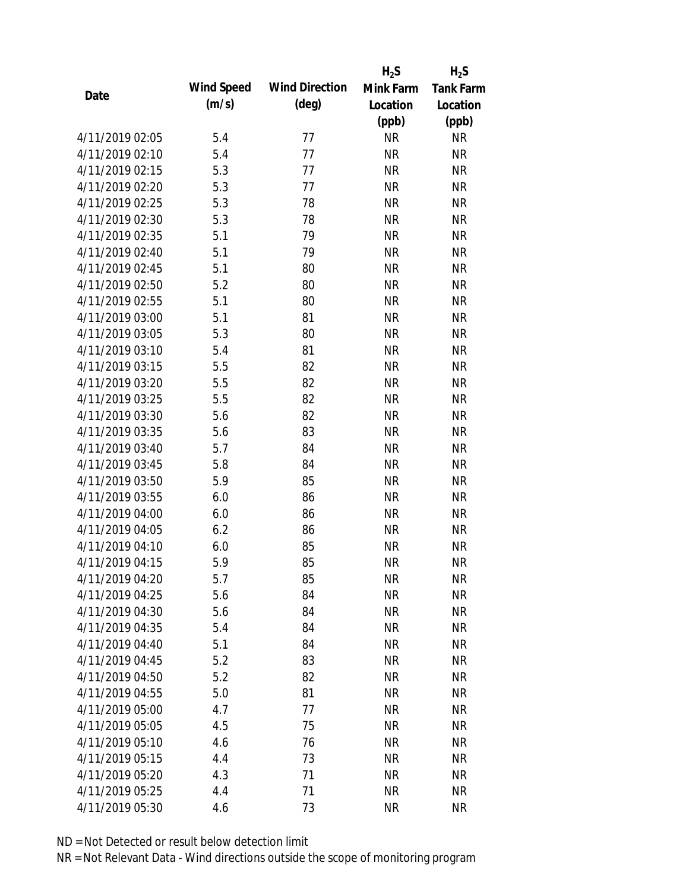|                 |            |                       | $H_2S$    | $H_2S$           |
|-----------------|------------|-----------------------|-----------|------------------|
|                 | Wind Speed | <b>Wind Direction</b> | Mink Farm | <b>Tank Farm</b> |
| Date            | (m/s)      | $(\text{deg})$        | Location  | Location         |
|                 |            |                       | (ppb)     | (ppb)            |
| 4/11/2019 02:05 | 5.4        | 77                    | <b>NR</b> | <b>NR</b>        |
| 4/11/2019 02:10 | 5.4        | 77                    | <b>NR</b> | <b>NR</b>        |
| 4/11/2019 02:15 | 5.3        | 77                    | <b>NR</b> | <b>NR</b>        |
| 4/11/2019 02:20 | 5.3        | 77                    | <b>NR</b> | <b>NR</b>        |
| 4/11/2019 02:25 | 5.3        | 78                    | <b>NR</b> | <b>NR</b>        |
| 4/11/2019 02:30 | 5.3        | 78                    | <b>NR</b> | <b>NR</b>        |
| 4/11/2019 02:35 | 5.1        | 79                    | <b>NR</b> | <b>NR</b>        |
| 4/11/2019 02:40 | 5.1        | 79                    | <b>NR</b> | <b>NR</b>        |
| 4/11/2019 02:45 | 5.1        | 80                    | <b>NR</b> | <b>NR</b>        |
| 4/11/2019 02:50 | 5.2        | 80                    | <b>NR</b> | <b>NR</b>        |
| 4/11/2019 02:55 | 5.1        | 80                    | <b>NR</b> | <b>NR</b>        |
| 4/11/2019 03:00 | 5.1        | 81                    | <b>NR</b> | <b>NR</b>        |
| 4/11/2019 03:05 | 5.3        | 80                    | <b>NR</b> | <b>NR</b>        |
| 4/11/2019 03:10 | 5.4        | 81                    | <b>NR</b> | <b>NR</b>        |
| 4/11/2019 03:15 | 5.5        | 82                    | <b>NR</b> | <b>NR</b>        |
| 4/11/2019 03:20 | 5.5        | 82                    | <b>NR</b> | <b>NR</b>        |
| 4/11/2019 03:25 | 5.5        | 82                    | <b>NR</b> | <b>NR</b>        |
| 4/11/2019 03:30 | 5.6        | 82                    | <b>NR</b> | <b>NR</b>        |
| 4/11/2019 03:35 | 5.6        | 83                    | <b>NR</b> | <b>NR</b>        |
| 4/11/2019 03:40 | 5.7        | 84                    | <b>NR</b> | <b>NR</b>        |
| 4/11/2019 03:45 | 5.8        | 84                    | <b>NR</b> | <b>NR</b>        |
| 4/11/2019 03:50 | 5.9        | 85                    | <b>NR</b> | <b>NR</b>        |
| 4/11/2019 03:55 | 6.0        | 86                    | <b>NR</b> | <b>NR</b>        |
| 4/11/2019 04:00 | 6.0        | 86                    | <b>NR</b> | <b>NR</b>        |
| 4/11/2019 04:05 | 6.2        | 86                    | <b>NR</b> | <b>NR</b>        |
| 4/11/2019 04:10 | 6.0        | 85                    | <b>NR</b> | <b>NR</b>        |
| 4/11/2019 04:15 | 5.9        | 85                    | <b>NR</b> | <b>NR</b>        |
| 4/11/2019 04:20 | 5.7        | 85                    | <b>NR</b> | <b>NR</b>        |
| 4/11/2019 04:25 | 5.6        | 84                    | <b>NR</b> | <b>NR</b>        |
| 4/11/2019 04:30 | 5.6        | 84                    | <b>NR</b> | <b>NR</b>        |
| 4/11/2019 04:35 | 5.4        | 84                    | <b>NR</b> | <b>NR</b>        |
| 4/11/2019 04:40 | 5.1        | 84                    | <b>NR</b> | NR               |
| 4/11/2019 04:45 | 5.2        | 83                    | <b>NR</b> | <b>NR</b>        |
| 4/11/2019 04:50 | 5.2        | 82                    | <b>NR</b> | <b>NR</b>        |
| 4/11/2019 04:55 | 5.0        | 81                    | <b>NR</b> | <b>NR</b>        |
| 4/11/2019 05:00 | 4.7        | 77                    | <b>NR</b> | <b>NR</b>        |
| 4/11/2019 05:05 | 4.5        | 75                    | <b>NR</b> | NR               |
| 4/11/2019 05:10 | 4.6        | 76                    | <b>NR</b> | NR               |
| 4/11/2019 05:15 | 4.4        | 73                    | <b>NR</b> | NR               |
| 4/11/2019 05:20 | 4.3        | 71                    | <b>NR</b> | NR               |
| 4/11/2019 05:25 | 4.4        | 71                    | <b>NR</b> | <b>NR</b>        |
| 4/11/2019 05:30 | 4.6        | 73                    | <b>NR</b> | <b>NR</b>        |
|                 |            |                       |           |                  |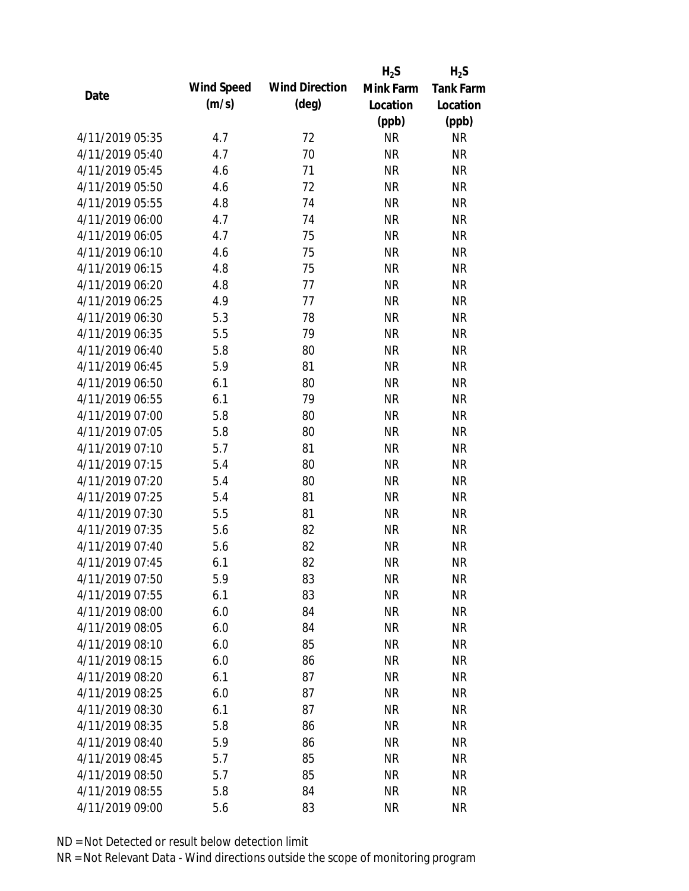|                 |            |                       | $H_2S$    | $H_2S$           |
|-----------------|------------|-----------------------|-----------|------------------|
| Date            | Wind Speed | <b>Wind Direction</b> | Mink Farm | <b>Tank Farm</b> |
|                 | (m/s)      | $(\text{deg})$        | Location  | Location         |
|                 |            |                       | (ppb)     | (ppb)            |
| 4/11/2019 05:35 | 4.7        | 72                    | <b>NR</b> | <b>NR</b>        |
| 4/11/2019 05:40 | 4.7        | 70                    | <b>NR</b> | <b>NR</b>        |
| 4/11/2019 05:45 | 4.6        | 71                    | <b>NR</b> | <b>NR</b>        |
| 4/11/2019 05:50 | 4.6        | 72                    | <b>NR</b> | <b>NR</b>        |
| 4/11/2019 05:55 | 4.8        | 74                    | <b>NR</b> | <b>NR</b>        |
| 4/11/2019 06:00 | 4.7        | 74                    | <b>NR</b> | <b>NR</b>        |
| 4/11/2019 06:05 | 4.7        | 75                    | <b>NR</b> | <b>NR</b>        |
| 4/11/2019 06:10 | 4.6        | 75                    | <b>NR</b> | <b>NR</b>        |
| 4/11/2019 06:15 | 4.8        | 75                    | <b>NR</b> | <b>NR</b>        |
| 4/11/2019 06:20 | 4.8        | 77                    | <b>NR</b> | <b>NR</b>        |
| 4/11/2019 06:25 | 4.9        | 77                    | <b>NR</b> | <b>NR</b>        |
| 4/11/2019 06:30 | 5.3        | 78                    | <b>NR</b> | <b>NR</b>        |
| 4/11/2019 06:35 | 5.5        | 79                    | <b>NR</b> | <b>NR</b>        |
| 4/11/2019 06:40 | 5.8        | 80                    | <b>NR</b> | <b>NR</b>        |
| 4/11/2019 06:45 | 5.9        | 81                    | <b>NR</b> | <b>NR</b>        |
| 4/11/2019 06:50 | 6.1        | 80                    | <b>NR</b> | <b>NR</b>        |
| 4/11/2019 06:55 | 6.1        | 79                    | <b>NR</b> | <b>NR</b>        |
| 4/11/2019 07:00 | 5.8        | 80                    | <b>NR</b> | <b>NR</b>        |
| 4/11/2019 07:05 | 5.8        | 80                    | <b>NR</b> | <b>NR</b>        |
| 4/11/2019 07:10 | 5.7        | 81                    | <b>NR</b> | <b>NR</b>        |
| 4/11/2019 07:15 | 5.4        | 80                    | <b>NR</b> | <b>NR</b>        |
| 4/11/2019 07:20 | 5.4        | 80                    | <b>NR</b> | <b>NR</b>        |
| 4/11/2019 07:25 | 5.4        | 81                    | <b>NR</b> | <b>NR</b>        |
| 4/11/2019 07:30 | 5.5        | 81                    | <b>NR</b> | <b>NR</b>        |
| 4/11/2019 07:35 | 5.6        | 82                    | <b>NR</b> | <b>NR</b>        |
| 4/11/2019 07:40 | 5.6        | 82                    | <b>NR</b> | <b>NR</b>        |
| 4/11/2019 07:45 | 6.1        | 82                    | <b>NR</b> | <b>NR</b>        |
| 4/11/2019 07:50 | 5.9        | 83                    | <b>NR</b> | <b>NR</b>        |
| 4/11/2019 07:55 | 6.1        | 83                    | <b>NR</b> | <b>NR</b>        |
| 4/11/2019 08:00 | 6.0        | 84                    | <b>NR</b> | <b>NR</b>        |
| 4/11/2019 08:05 | 6.0        | 84                    | <b>NR</b> | <b>NR</b>        |
| 4/11/2019 08:10 | 6.0        | 85                    | <b>NR</b> | <b>NR</b>        |
| 4/11/2019 08:15 | 6.0        | 86                    | <b>NR</b> | <b>NR</b>        |
| 4/11/2019 08:20 | 6.1        | 87                    | <b>NR</b> | <b>NR</b>        |
| 4/11/2019 08:25 | 6.0        | 87                    | <b>NR</b> | NR               |
| 4/11/2019 08:30 | 6.1        | 87                    | <b>NR</b> | <b>NR</b>        |
| 4/11/2019 08:35 | 5.8        | 86                    | <b>NR</b> | <b>NR</b>        |
| 4/11/2019 08:40 | 5.9        | 86                    | NR        | <b>NR</b>        |
| 4/11/2019 08:45 | 5.7        | 85                    | <b>NR</b> | NR               |
| 4/11/2019 08:50 | 5.7        | 85                    | <b>NR</b> | NR               |
| 4/11/2019 08:55 | 5.8        | 84                    | <b>NR</b> | <b>NR</b>        |
| 4/11/2019 09:00 | 5.6        | 83                    | <b>NR</b> | <b>NR</b>        |
|                 |            |                       |           |                  |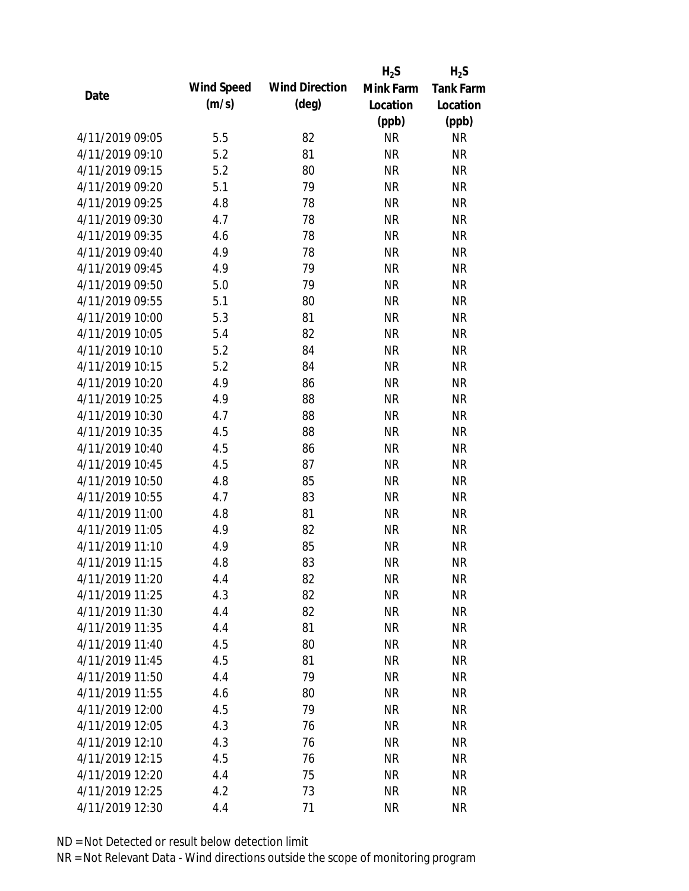|                 |            |                       | $H_2S$    | $H_2S$           |
|-----------------|------------|-----------------------|-----------|------------------|
| Date            | Wind Speed | <b>Wind Direction</b> | Mink Farm | <b>Tank Farm</b> |
|                 | (m/s)      | $(\text{deg})$        | Location  | Location         |
|                 |            |                       | (ppb)     | (ppb)            |
| 4/11/2019 09:05 | 5.5        | 82                    | <b>NR</b> | <b>NR</b>        |
| 4/11/2019 09:10 | 5.2        | 81                    | <b>NR</b> | <b>NR</b>        |
| 4/11/2019 09:15 | 5.2        | 80                    | <b>NR</b> | <b>NR</b>        |
| 4/11/2019 09:20 | 5.1        | 79                    | <b>NR</b> | <b>NR</b>        |
| 4/11/2019 09:25 | 4.8        | 78                    | <b>NR</b> | <b>NR</b>        |
| 4/11/2019 09:30 | 4.7        | 78                    | <b>NR</b> | <b>NR</b>        |
| 4/11/2019 09:35 | 4.6        | 78                    | <b>NR</b> | <b>NR</b>        |
| 4/11/2019 09:40 | 4.9        | 78                    | <b>NR</b> | <b>NR</b>        |
| 4/11/2019 09:45 | 4.9        | 79                    | <b>NR</b> | <b>NR</b>        |
| 4/11/2019 09:50 | 5.0        | 79                    | <b>NR</b> | <b>NR</b>        |
| 4/11/2019 09:55 | 5.1        | 80                    | <b>NR</b> | <b>NR</b>        |
| 4/11/2019 10:00 | 5.3        | 81                    | <b>NR</b> | <b>NR</b>        |
| 4/11/2019 10:05 | 5.4        | 82                    | <b>NR</b> | <b>NR</b>        |
| 4/11/2019 10:10 | 5.2        | 84                    | <b>NR</b> | <b>NR</b>        |
| 4/11/2019 10:15 | 5.2        | 84                    | <b>NR</b> | <b>NR</b>        |
| 4/11/2019 10:20 | 4.9        | 86                    | <b>NR</b> | <b>NR</b>        |
| 4/11/2019 10:25 | 4.9        | 88                    | <b>NR</b> | <b>NR</b>        |
| 4/11/2019 10:30 | 4.7        | 88                    | <b>NR</b> | <b>NR</b>        |
| 4/11/2019 10:35 | 4.5        | 88                    | <b>NR</b> | <b>NR</b>        |
| 4/11/2019 10:40 | 4.5        | 86                    | <b>NR</b> | <b>NR</b>        |
| 4/11/2019 10:45 | 4.5        | 87                    | <b>NR</b> | <b>NR</b>        |
| 4/11/2019 10:50 | 4.8        | 85                    | <b>NR</b> | <b>NR</b>        |
| 4/11/2019 10:55 | 4.7        | 83                    | <b>NR</b> | <b>NR</b>        |
| 4/11/2019 11:00 | 4.8        | 81                    | <b>NR</b> | <b>NR</b>        |
| 4/11/2019 11:05 | 4.9        | 82                    | <b>NR</b> | <b>NR</b>        |
| 4/11/2019 11:10 | 4.9        | 85                    | <b>NR</b> | <b>NR</b>        |
| 4/11/2019 11:15 | 4.8        | 83                    | <b>NR</b> | <b>NR</b>        |
| 4/11/2019 11:20 | 4.4        | 82                    | <b>NR</b> | <b>NR</b>        |
| 4/11/2019 11:25 | 4.3        | 82                    | <b>NR</b> | <b>NR</b>        |
| 4/11/2019 11:30 | 4.4        | 82                    | NR        | <b>NR</b>        |
| 4/11/2019 11:35 | 4.4        | 81                    | <b>NR</b> | <b>NR</b>        |
| 4/11/2019 11:40 | 4.5        | 80                    | <b>NR</b> | <b>NR</b>        |
| 4/11/2019 11:45 | 4.5        | 81                    | <b>NR</b> | <b>NR</b>        |
| 4/11/2019 11:50 | 4.4        | 79                    | <b>NR</b> | <b>NR</b>        |
| 4/11/2019 11:55 | 4.6        | 80                    | <b>NR</b> | <b>NR</b>        |
| 4/11/2019 12:00 | 4.5        | 79                    | <b>NR</b> | <b>NR</b>        |
| 4/11/2019 12:05 | 4.3        | 76                    | <b>NR</b> | <b>NR</b>        |
| 4/11/2019 12:10 | 4.3        | 76                    | <b>NR</b> | <b>NR</b>        |
| 4/11/2019 12:15 | 4.5        | 76                    | <b>NR</b> | <b>NR</b>        |
| 4/11/2019 12:20 | 4.4        | 75                    | <b>NR</b> | <b>NR</b>        |
| 4/11/2019 12:25 | 4.2        | 73                    | <b>NR</b> | <b>NR</b>        |
| 4/11/2019 12:30 |            |                       |           |                  |
|                 | 4.4        | 71                    | <b>NR</b> | <b>NR</b>        |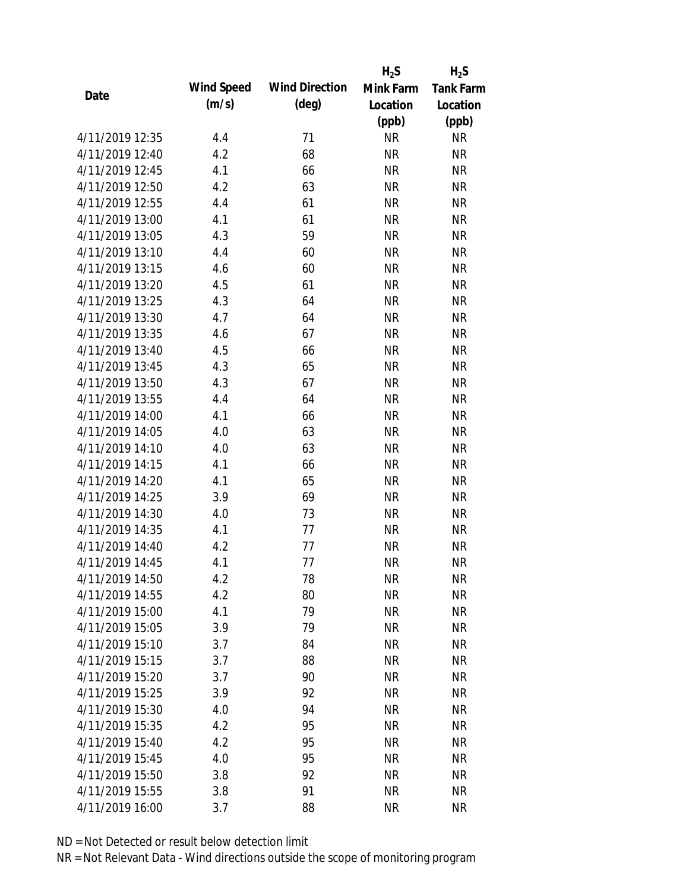|                 |            |                       | $H_2S$    | $H_2S$           |
|-----------------|------------|-----------------------|-----------|------------------|
| Date            | Wind Speed | <b>Wind Direction</b> | Mink Farm | <b>Tank Farm</b> |
|                 | (m/s)      | $(\text{deg})$        | Location  | Location         |
|                 |            |                       | (ppb)     | (ppb)            |
| 4/11/2019 12:35 | 4.4        | 71                    | <b>NR</b> | <b>NR</b>        |
| 4/11/2019 12:40 | 4.2        | 68                    | <b>NR</b> | <b>NR</b>        |
| 4/11/2019 12:45 | 4.1        | 66                    | <b>NR</b> | <b>NR</b>        |
| 4/11/2019 12:50 | 4.2        | 63                    | <b>NR</b> | <b>NR</b>        |
| 4/11/2019 12:55 | 4.4        | 61                    | <b>NR</b> | <b>NR</b>        |
| 4/11/2019 13:00 | 4.1        | 61                    | <b>NR</b> | <b>NR</b>        |
| 4/11/2019 13:05 | 4.3        | 59                    | <b>NR</b> | <b>NR</b>        |
| 4/11/2019 13:10 | 4.4        | 60                    | <b>NR</b> | <b>NR</b>        |
| 4/11/2019 13:15 | 4.6        | 60                    | <b>NR</b> | <b>NR</b>        |
| 4/11/2019 13:20 | 4.5        | 61                    | <b>NR</b> | <b>NR</b>        |
| 4/11/2019 13:25 | 4.3        | 64                    | <b>NR</b> | <b>NR</b>        |
| 4/11/2019 13:30 | 4.7        | 64                    | <b>NR</b> | <b>NR</b>        |
| 4/11/2019 13:35 | 4.6        | 67                    | <b>NR</b> | <b>NR</b>        |
| 4/11/2019 13:40 | 4.5        | 66                    | <b>NR</b> | <b>NR</b>        |
| 4/11/2019 13:45 | 4.3        | 65                    | <b>NR</b> | <b>NR</b>        |
| 4/11/2019 13:50 | 4.3        | 67                    | <b>NR</b> | <b>NR</b>        |
| 4/11/2019 13:55 | 4.4        | 64                    | <b>NR</b> | <b>NR</b>        |
| 4/11/2019 14:00 | 4.1        | 66                    | <b>NR</b> | <b>NR</b>        |
| 4/11/2019 14:05 | 4.0        | 63                    | <b>NR</b> | <b>NR</b>        |
| 4/11/2019 14:10 | 4.0        | 63                    | <b>NR</b> | <b>NR</b>        |
| 4/11/2019 14:15 | 4.1        | 66                    | <b>NR</b> | <b>NR</b>        |
| 4/11/2019 14:20 | 4.1        | 65                    | <b>NR</b> | <b>NR</b>        |
| 4/11/2019 14:25 | 3.9        | 69                    | <b>NR</b> | <b>NR</b>        |
| 4/11/2019 14:30 | 4.0        | 73                    | <b>NR</b> | <b>NR</b>        |
| 4/11/2019 14:35 | 4.1        | 77                    | <b>NR</b> | <b>NR</b>        |
| 4/11/2019 14:40 | 4.2        | 77                    | <b>NR</b> | <b>NR</b>        |
| 4/11/2019 14:45 | 4.1        | 77                    | <b>NR</b> | <b>NR</b>        |
| 4/11/2019 14:50 | 4.2        | 78                    | <b>NR</b> | <b>NR</b>        |
| 4/11/2019 14:55 | 4.2        | 80                    | <b>NR</b> | <b>NR</b>        |
| 4/11/2019 15:00 | 4.1        | 79                    | <b>NR</b> | <b>NR</b>        |
| 4/11/2019 15:05 | 3.9        | 79                    | <b>NR</b> | <b>NR</b>        |
| 4/11/2019 15:10 | 3.7        | 84                    | <b>NR</b> | <b>NR</b>        |
| 4/11/2019 15:15 | 3.7        | 88                    | <b>NR</b> | <b>NR</b>        |
| 4/11/2019 15:20 | 3.7        | 90                    | <b>NR</b> | <b>NR</b>        |
| 4/11/2019 15:25 | 3.9        | 92                    | <b>NR</b> | <b>NR</b>        |
| 4/11/2019 15:30 | 4.0        | 94                    | <b>NR</b> | <b>NR</b>        |
| 4/11/2019 15:35 | 4.2        | 95                    | <b>NR</b> | <b>NR</b>        |
| 4/11/2019 15:40 | 4.2        | 95                    | <b>NR</b> | <b>NR</b>        |
| 4/11/2019 15:45 | 4.0        | 95                    | <b>NR</b> | <b>NR</b>        |
| 4/11/2019 15:50 | 3.8        | 92                    | <b>NR</b> | <b>NR</b>        |
| 4/11/2019 15:55 | 3.8        | 91                    | <b>NR</b> | <b>NR</b>        |
| 4/11/2019 16:00 | 3.7        | 88                    | <b>NR</b> | <b>NR</b>        |
|                 |            |                       |           |                  |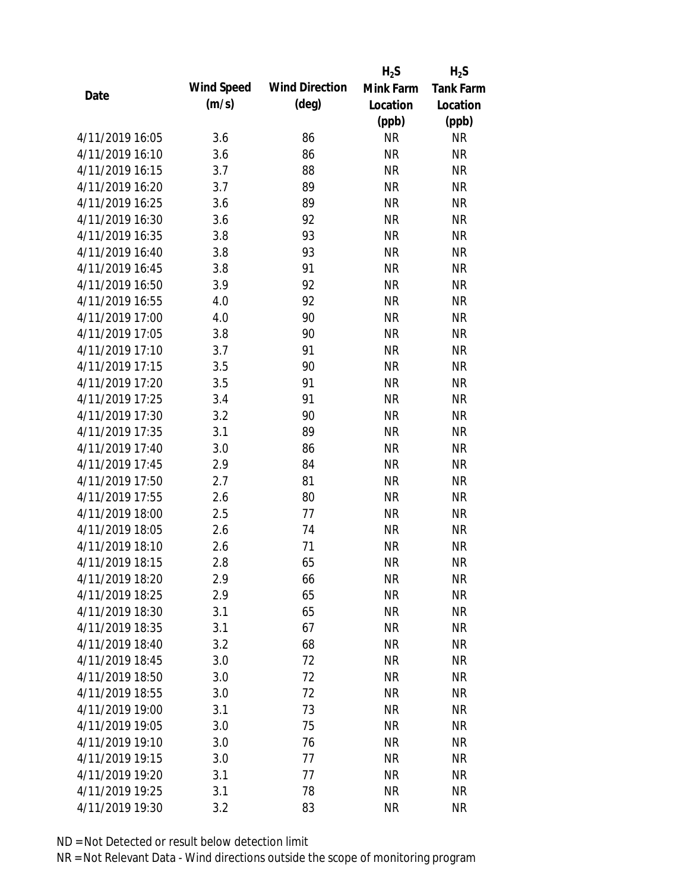|                 |            |                       | $H_2S$    | $H_2S$           |
|-----------------|------------|-----------------------|-----------|------------------|
| Date            | Wind Speed | <b>Wind Direction</b> | Mink Farm | <b>Tank Farm</b> |
|                 | (m/s)      | $(\text{deg})$        | Location  | Location         |
|                 |            |                       | (ppb)     | (ppb)            |
| 4/11/2019 16:05 | 3.6        | 86                    | <b>NR</b> | <b>NR</b>        |
| 4/11/2019 16:10 | 3.6        | 86                    | <b>NR</b> | <b>NR</b>        |
| 4/11/2019 16:15 | 3.7        | 88                    | <b>NR</b> | <b>NR</b>        |
| 4/11/2019 16:20 | 3.7        | 89                    | <b>NR</b> | <b>NR</b>        |
| 4/11/2019 16:25 | 3.6        | 89                    | <b>NR</b> | <b>NR</b>        |
| 4/11/2019 16:30 | 3.6        | 92                    | <b>NR</b> | <b>NR</b>        |
| 4/11/2019 16:35 | 3.8        | 93                    | <b>NR</b> | <b>NR</b>        |
| 4/11/2019 16:40 | 3.8        | 93                    | <b>NR</b> | <b>NR</b>        |
| 4/11/2019 16:45 | 3.8        | 91                    | <b>NR</b> | <b>NR</b>        |
| 4/11/2019 16:50 | 3.9        | 92                    | <b>NR</b> | <b>NR</b>        |
| 4/11/2019 16:55 | 4.0        | 92                    | <b>NR</b> | <b>NR</b>        |
| 4/11/2019 17:00 | 4.0        | 90                    | <b>NR</b> | <b>NR</b>        |
| 4/11/2019 17:05 | 3.8        | 90                    | <b>NR</b> | <b>NR</b>        |
| 4/11/2019 17:10 | 3.7        | 91                    | <b>NR</b> | <b>NR</b>        |
| 4/11/2019 17:15 | 3.5        | 90                    | <b>NR</b> | <b>NR</b>        |
| 4/11/2019 17:20 | 3.5        | 91                    | <b>NR</b> | <b>NR</b>        |
| 4/11/2019 17:25 | 3.4        | 91                    | <b>NR</b> | <b>NR</b>        |
| 4/11/2019 17:30 | 3.2        | 90                    | <b>NR</b> | <b>NR</b>        |
| 4/11/2019 17:35 | 3.1        | 89                    | <b>NR</b> | <b>NR</b>        |
| 4/11/2019 17:40 | 3.0        | 86                    | <b>NR</b> | <b>NR</b>        |
| 4/11/2019 17:45 | 2.9        | 84                    | <b>NR</b> | <b>NR</b>        |
| 4/11/2019 17:50 | 2.7        | 81                    | <b>NR</b> | <b>NR</b>        |
| 4/11/2019 17:55 | 2.6        | 80                    | <b>NR</b> | <b>NR</b>        |
| 4/11/2019 18:00 | 2.5        | 77                    | <b>NR</b> | <b>NR</b>        |
| 4/11/2019 18:05 | 2.6        | 74                    | <b>NR</b> | <b>NR</b>        |
| 4/11/2019 18:10 | 2.6        | 71                    | <b>NR</b> | <b>NR</b>        |
| 4/11/2019 18:15 | 2.8        | 65                    | <b>NR</b> | <b>NR</b>        |
| 4/11/2019 18:20 | 2.9        | 66                    | <b>NR</b> | <b>NR</b>        |
| 4/11/2019 18:25 | 2.9        | 65                    | <b>NR</b> | <b>NR</b>        |
| 4/11/2019 18:30 | 3.1        | 65                    | <b>NR</b> | <b>NR</b>        |
| 4/11/2019 18:35 | 3.1        | 67                    | <b>NR</b> | <b>NR</b>        |
| 4/11/2019 18:40 | 3.2        | 68                    | <b>NR</b> | <b>NR</b>        |
| 4/11/2019 18:45 | 3.0        | 72                    | <b>NR</b> | <b>NR</b>        |
| 4/11/2019 18:50 | 3.0        | 72                    | <b>NR</b> | <b>NR</b>        |
| 4/11/2019 18:55 | 3.0        | 72                    | <b>NR</b> | <b>NR</b>        |
| 4/11/2019 19:00 | 3.1        | 73                    | <b>NR</b> | <b>NR</b>        |
| 4/11/2019 19:05 | 3.0        | 75                    | <b>NR</b> | <b>NR</b>        |
| 4/11/2019 19:10 | 3.0        | 76                    | NR        | <b>NR</b>        |
| 4/11/2019 19:15 | 3.0        | 77                    | <b>NR</b> | <b>NR</b>        |
| 4/11/2019 19:20 | 3.1        | 77                    | <b>NR</b> | NR               |
| 4/11/2019 19:25 | 3.1        | 78                    | <b>NR</b> | <b>NR</b>        |
| 4/11/2019 19:30 | 3.2        | 83                    | <b>NR</b> | <b>NR</b>        |
|                 |            |                       |           |                  |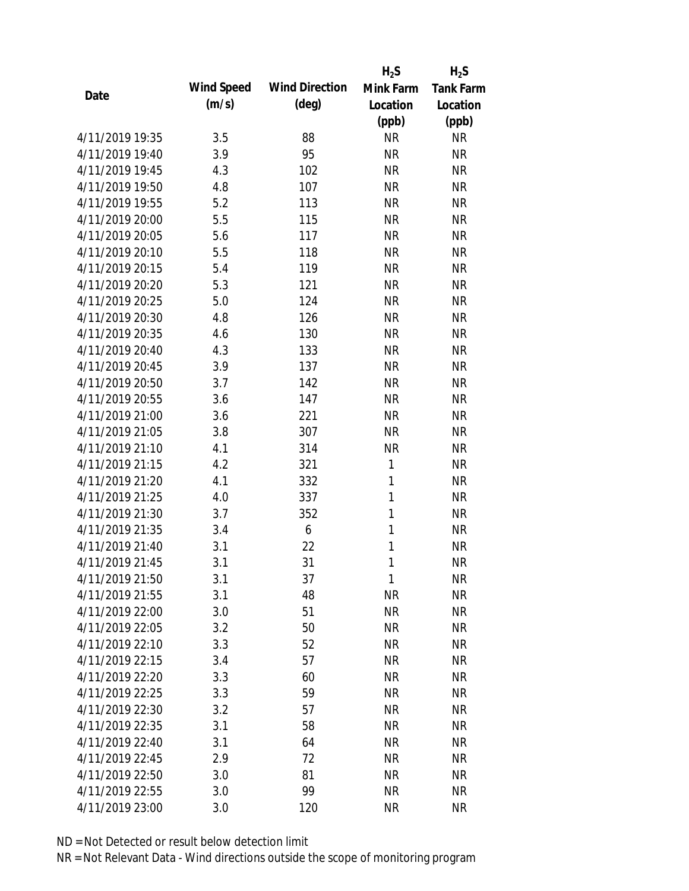|                 |            |                       | $H_2S$       | $H_2S$           |
|-----------------|------------|-----------------------|--------------|------------------|
| Date            | Wind Speed | <b>Wind Direction</b> | Mink Farm    | <b>Tank Farm</b> |
|                 | (m/s)      | $(\text{deg})$        | Location     | Location         |
|                 |            |                       | (ppb)        | (ppb)            |
| 4/11/2019 19:35 | 3.5        | 88                    | <b>NR</b>    | <b>NR</b>        |
| 4/11/2019 19:40 | 3.9        | 95                    | <b>NR</b>    | <b>NR</b>        |
| 4/11/2019 19:45 | 4.3        | 102                   | <b>NR</b>    | <b>NR</b>        |
| 4/11/2019 19:50 | 4.8        | 107                   | <b>NR</b>    | <b>NR</b>        |
| 4/11/2019 19:55 | 5.2        | 113                   | <b>NR</b>    | <b>NR</b>        |
| 4/11/2019 20:00 | 5.5        | 115                   | <b>NR</b>    | <b>NR</b>        |
| 4/11/2019 20:05 | 5.6        | 117                   | <b>NR</b>    | <b>NR</b>        |
| 4/11/2019 20:10 | 5.5        | 118                   | <b>NR</b>    | <b>NR</b>        |
| 4/11/2019 20:15 | 5.4        | 119                   | <b>NR</b>    | <b>NR</b>        |
| 4/11/2019 20:20 | 5.3        | 121                   | <b>NR</b>    | <b>NR</b>        |
| 4/11/2019 20:25 | 5.0        | 124                   | <b>NR</b>    | <b>NR</b>        |
| 4/11/2019 20:30 | 4.8        | 126                   | <b>NR</b>    | <b>NR</b>        |
| 4/11/2019 20:35 | 4.6        | 130                   | <b>NR</b>    | <b>NR</b>        |
| 4/11/2019 20:40 | 4.3        | 133                   | <b>NR</b>    | <b>NR</b>        |
| 4/11/2019 20:45 | 3.9        | 137                   | <b>NR</b>    | <b>NR</b>        |
| 4/11/2019 20:50 | 3.7        | 142                   | <b>NR</b>    | <b>NR</b>        |
| 4/11/2019 20:55 | 3.6        | 147                   | <b>NR</b>    | <b>NR</b>        |
| 4/11/2019 21:00 | 3.6        | 221                   | <b>NR</b>    | <b>NR</b>        |
| 4/11/2019 21:05 | 3.8        | 307                   | <b>NR</b>    | <b>NR</b>        |
| 4/11/2019 21:10 | 4.1        | 314                   | <b>NR</b>    | <b>NR</b>        |
| 4/11/2019 21:15 | 4.2        | 321                   | 1            | <b>NR</b>        |
| 4/11/2019 21:20 | 4.1        | 332                   | $\mathbf{1}$ | <b>NR</b>        |
| 4/11/2019 21:25 | 4.0        | 337                   | 1            | <b>NR</b>        |
| 4/11/2019 21:30 | 3.7        | 352                   | 1            | <b>NR</b>        |
| 4/11/2019 21:35 | 3.4        | 6                     | 1            | <b>NR</b>        |
| 4/11/2019 21:40 | 3.1        | 22                    | 1            | <b>NR</b>        |
| 4/11/2019 21:45 | 3.1        | 31                    | 1            | <b>NR</b>        |
| 4/11/2019 21:50 | 3.1        | 37                    | 1            | <b>NR</b>        |
| 4/11/2019 21:55 | 3.1        | 48                    | <b>NR</b>    | <b>NR</b>        |
| 4/11/2019 22:00 | 3.0        | 51                    | <b>NR</b>    | <b>NR</b>        |
| 4/11/2019 22:05 | 3.2        | 50                    | <b>NR</b>    | <b>NR</b>        |
| 4/11/2019 22:10 | 3.3        | 52                    | <b>NR</b>    | NR               |
| 4/11/2019 22:15 | 3.4        | 57                    | <b>NR</b>    | <b>NR</b>        |
| 4/11/2019 22:20 | 3.3        | 60                    | <b>NR</b>    | <b>NR</b>        |
| 4/11/2019 22:25 | 3.3        | 59                    | <b>NR</b>    | <b>NR</b>        |
| 4/11/2019 22:30 | 3.2        | 57                    | <b>NR</b>    | <b>NR</b>        |
| 4/11/2019 22:35 | 3.1        | 58                    | <b>NR</b>    | <b>NR</b>        |
| 4/11/2019 22:40 | 3.1        | 64                    | <b>NR</b>    | <b>NR</b>        |
| 4/11/2019 22:45 | 2.9        | 72                    | <b>NR</b>    | <b>NR</b>        |
| 4/11/2019 22:50 | 3.0        | 81                    | <b>NR</b>    | <b>NR</b>        |
| 4/11/2019 22:55 | 3.0        | 99                    | <b>NR</b>    | <b>NR</b>        |
| 4/11/2019 23:00 | 3.0        | 120                   | <b>NR</b>    | <b>NR</b>        |
|                 |            |                       |              |                  |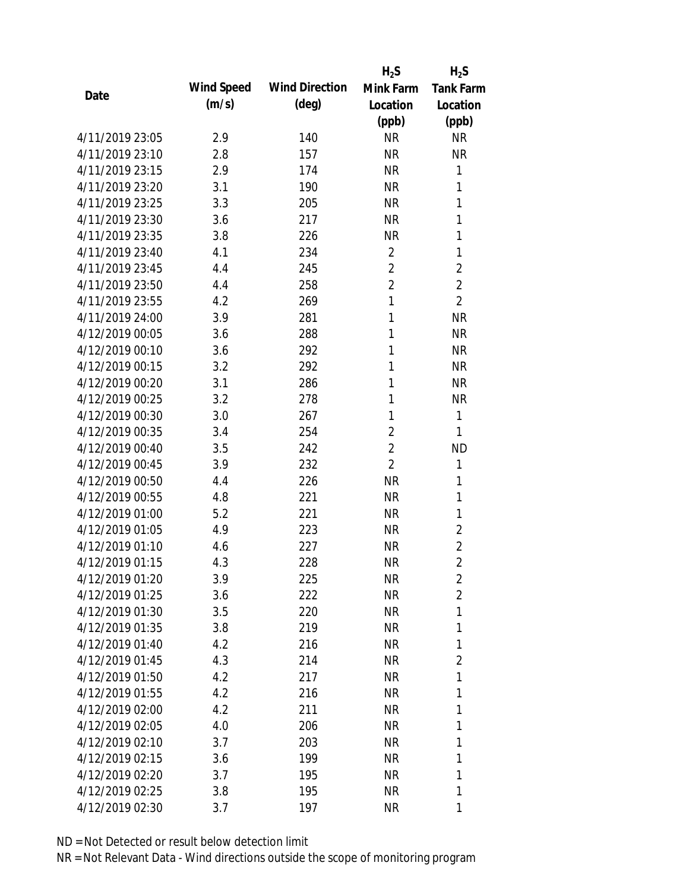|                 |            |                       | $H_2S$         | $H_2S$           |
|-----------------|------------|-----------------------|----------------|------------------|
| Date            | Wind Speed | <b>Wind Direction</b> | Mink Farm      | <b>Tank Farm</b> |
|                 | (m/s)      | $(\text{deg})$        | Location       | Location         |
|                 |            |                       | (ppb)          | (ppb)            |
| 4/11/2019 23:05 | 2.9        | 140                   | <b>NR</b>      | <b>NR</b>        |
| 4/11/2019 23:10 | 2.8        | 157                   | <b>NR</b>      | <b>NR</b>        |
| 4/11/2019 23:15 | 2.9        | 174                   | <b>NR</b>      | 1                |
| 4/11/2019 23:20 | 3.1        | 190                   | <b>NR</b>      | 1                |
| 4/11/2019 23:25 | 3.3        | 205                   | <b>NR</b>      | 1                |
| 4/11/2019 23:30 | 3.6        | 217                   | <b>NR</b>      | 1                |
| 4/11/2019 23:35 | 3.8        | 226                   | <b>NR</b>      | 1                |
| 4/11/2019 23:40 | 4.1        | 234                   | $\overline{2}$ | 1                |
| 4/11/2019 23:45 | 4.4        | 245                   | $\overline{2}$ | $\overline{2}$   |
| 4/11/2019 23:50 | 4.4        | 258                   | $\overline{2}$ | $\overline{2}$   |
| 4/11/2019 23:55 | 4.2        | 269                   | 1              | $\overline{2}$   |
| 4/11/2019 24:00 | 3.9        | 281                   | 1              | <b>NR</b>        |
| 4/12/2019 00:05 | 3.6        | 288                   | 1              | <b>NR</b>        |
| 4/12/2019 00:10 | 3.6        | 292                   | 1              | <b>NR</b>        |
| 4/12/2019 00:15 | 3.2        | 292                   | 1              | <b>NR</b>        |
| 4/12/2019 00:20 | 3.1        | 286                   | 1              | <b>NR</b>        |
| 4/12/2019 00:25 | 3.2        | 278                   | 1              | <b>NR</b>        |
| 4/12/2019 00:30 | 3.0        | 267                   | 1              | 1                |
| 4/12/2019 00:35 | 3.4        | 254                   | $\overline{2}$ | 1                |
| 4/12/2019 00:40 | 3.5        | 242                   | $\overline{2}$ | <b>ND</b>        |
| 4/12/2019 00:45 | 3.9        | 232                   | $\overline{2}$ | 1                |
| 4/12/2019 00:50 | 4.4        | 226                   | <b>NR</b>      | 1                |
| 4/12/2019 00:55 | 4.8        | 221                   | <b>NR</b>      | 1                |
| 4/12/2019 01:00 | 5.2        | 221                   | <b>NR</b>      | 1                |
| 4/12/2019 01:05 | 4.9        | 223                   | <b>NR</b>      | $\overline{2}$   |
| 4/12/2019 01:10 | 4.6        | 227                   | <b>NR</b>      | $\overline{2}$   |
| 4/12/2019 01:15 | 4.3        | 228                   | <b>NR</b>      | $\overline{2}$   |
| 4/12/2019 01:20 | 3.9        | 225                   | <b>NR</b>      | 2                |
| 4/12/2019 01:25 | 3.6        | 222                   | NR             | $\overline{2}$   |
| 4/12/2019 01:30 | 3.5        | 220                   | NR             | 1                |
| 4/12/2019 01:35 | 3.8        | 219                   | NR             | $\mathbf{1}$     |
| 4/12/2019 01:40 | 4.2        | 216                   | NR             | 1                |
| 4/12/2019 01:45 | 4.3        | 214                   | NR             | $\overline{2}$   |
| 4/12/2019 01:50 | 4.2        | 217                   | NR             | 1                |
| 4/12/2019 01:55 | 4.2        | 216                   | NR             | 1                |
| 4/12/2019 02:00 | 4.2        | 211                   | NR             | 1                |
| 4/12/2019 02:05 | 4.0        | 206                   | NR             | 1                |
| 4/12/2019 02:10 | 3.7        | 203                   | NR             | 1                |
| 4/12/2019 02:15 | 3.6        | 199                   | NR.            | 1                |
| 4/12/2019 02:20 | 3.7        | 195                   | NR             | 1                |
| 4/12/2019 02:25 | 3.8        | 195                   | <b>NR</b>      | 1                |
| 4/12/2019 02:30 | 3.7        | 197                   | <b>NR</b>      | 1                |
|                 |            |                       |                |                  |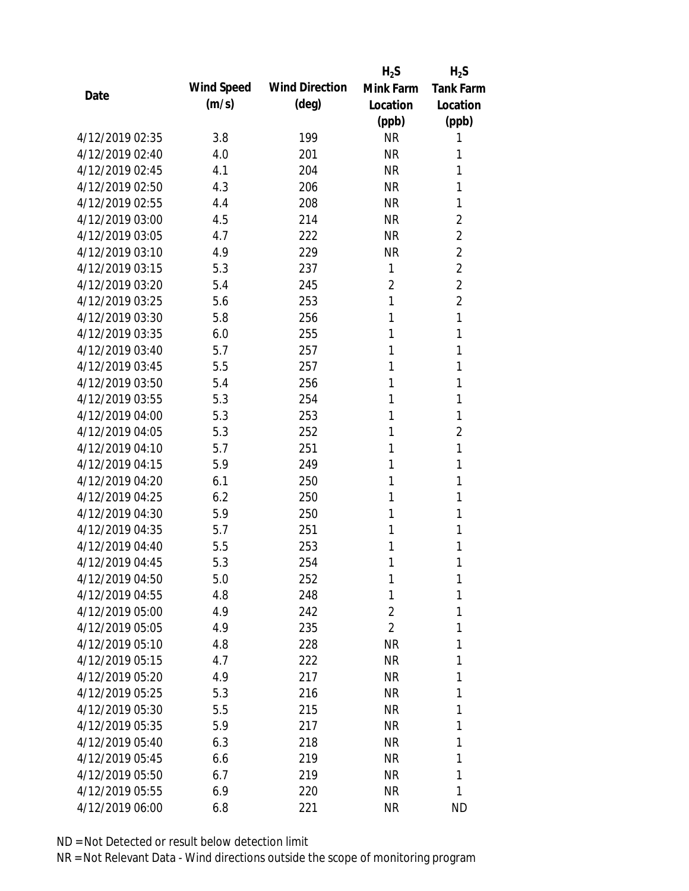|                 |            |                       | $H_2S$         | $H_2S$           |
|-----------------|------------|-----------------------|----------------|------------------|
|                 | Wind Speed | <b>Wind Direction</b> | Mink Farm      | <b>Tank Farm</b> |
| Date            | (m/s)      | $(\text{deg})$        | Location       | Location         |
|                 |            |                       | (ppb)          | (ppb)            |
| 4/12/2019 02:35 | 3.8        | 199                   | <b>NR</b>      | 1                |
| 4/12/2019 02:40 | 4.0        | 201                   | <b>NR</b>      | 1                |
| 4/12/2019 02:45 | 4.1        | 204                   | <b>NR</b>      | 1                |
| 4/12/2019 02:50 | 4.3        | 206                   | <b>NR</b>      | 1                |
| 4/12/2019 02:55 | 4.4        | 208                   | <b>NR</b>      | 1                |
| 4/12/2019 03:00 | 4.5        | 214                   | <b>NR</b>      | 2                |
| 4/12/2019 03:05 | 4.7        | 222                   | <b>NR</b>      | 2                |
| 4/12/2019 03:10 | 4.9        | 229                   | <b>NR</b>      | $\overline{2}$   |
| 4/12/2019 03:15 | 5.3        | 237                   | 1              | $\overline{2}$   |
| 4/12/2019 03:20 | 5.4        | 245                   | $\overline{2}$ | $\overline{2}$   |
| 4/12/2019 03:25 | 5.6        | 253                   | 1              | $\overline{2}$   |
| 4/12/2019 03:30 | 5.8        | 256                   | 1              | 1                |
| 4/12/2019 03:35 | 6.0        | 255                   | 1              | 1                |
| 4/12/2019 03:40 | 5.7        | 257                   | 1              | 1                |
| 4/12/2019 03:45 | 5.5        | 257                   | 1              | 1                |
| 4/12/2019 03:50 | 5.4        | 256                   | 1              | 1                |
| 4/12/2019 03:55 | 5.3        | 254                   | 1              | 1                |
| 4/12/2019 04:00 | 5.3        | 253                   | 1              | 1                |
| 4/12/2019 04:05 | 5.3        | 252                   | 1              | $\overline{2}$   |
| 4/12/2019 04:10 | 5.7        | 251                   | 1              | 1                |
| 4/12/2019 04:15 | 5.9        | 249                   | 1              | 1                |
| 4/12/2019 04:20 | 6.1        | 250                   | 1              | 1                |
| 4/12/2019 04:25 | 6.2        | 250                   | 1              | 1                |
| 4/12/2019 04:30 | 5.9        | 250                   | 1              | 1                |
| 4/12/2019 04:35 | 5.7        | 251                   | 1              | 1                |
| 4/12/2019 04:40 | 5.5        | 253                   | 1              | 1                |
| 4/12/2019 04:45 | 5.3        | 254                   | 1              | 1                |
| 4/12/2019 04:50 | 5.0        | 252                   | 1              | 1                |
| 4/12/2019 04:55 | 4.8        | 248                   | 1              | 1                |
| 4/12/2019 05:00 | 4.9        | 242                   | 2              | 1                |
| 4/12/2019 05:05 | 4.9        | 235                   | $\overline{2}$ | 1                |
| 4/12/2019 05:10 | 4.8        | 228                   | <b>NR</b>      | 1                |
| 4/12/2019 05:15 | 4.7        | 222                   | <b>NR</b>      | 1                |
| 4/12/2019 05:20 | 4.9        | 217                   | <b>NR</b>      | 1                |
| 4/12/2019 05:25 | 5.3        | 216                   | <b>NR</b>      | 1                |
| 4/12/2019 05:30 | 5.5        | 215                   | <b>NR</b>      | 1                |
| 4/12/2019 05:35 | 5.9        | 217                   | <b>NR</b>      | 1                |
| 4/12/2019 05:40 | 6.3        | 218                   | NR             | 1                |
| 4/12/2019 05:45 | 6.6        | 219                   | <b>NR</b>      | 1                |
| 4/12/2019 05:50 | 6.7        | 219                   | <b>NR</b>      | 1                |
| 4/12/2019 05:55 | 6.9        | 220                   | <b>NR</b>      | 1                |
| 4/12/2019 06:00 | 6.8        | 221                   | <b>NR</b>      | <b>ND</b>        |
|                 |            |                       |                |                  |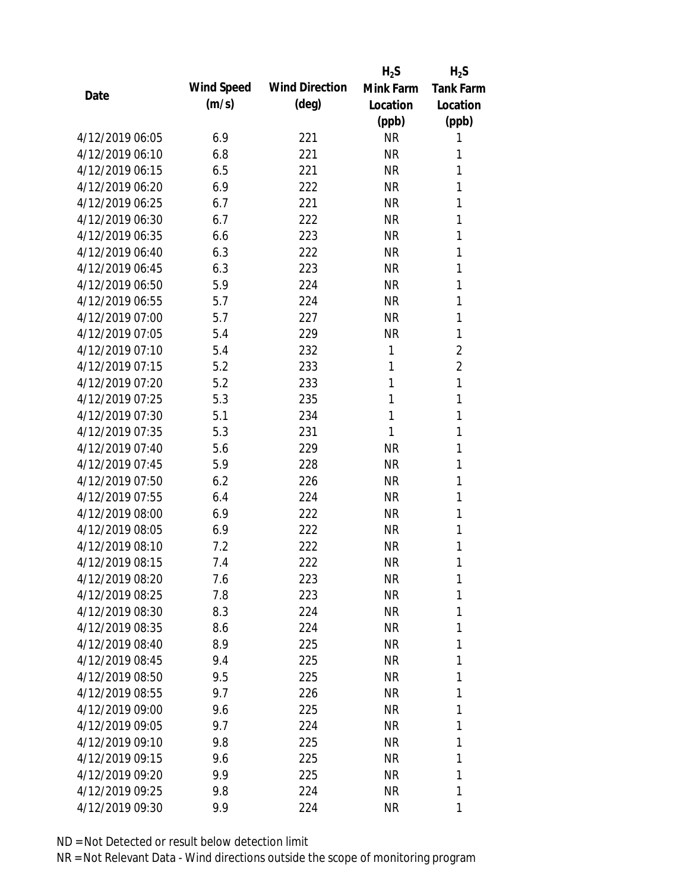|                 |            |                       | $H_2S$    | $H_2S$           |
|-----------------|------------|-----------------------|-----------|------------------|
| Date            | Wind Speed | <b>Wind Direction</b> | Mink Farm | <b>Tank Farm</b> |
|                 | (m/s)      | $(\text{deg})$        | Location  | Location         |
|                 |            |                       | (ppb)     | (ppb)            |
| 4/12/2019 06:05 | 6.9        | 221                   | <b>NR</b> | 1                |
| 4/12/2019 06:10 | 6.8        | 221                   | <b>NR</b> | 1                |
| 4/12/2019 06:15 | 6.5        | 221                   | <b>NR</b> | 1                |
| 4/12/2019 06:20 | 6.9        | 222                   | <b>NR</b> | 1                |
| 4/12/2019 06:25 | 6.7        | 221                   | <b>NR</b> | 1                |
| 4/12/2019 06:30 | 6.7        | 222                   | <b>NR</b> | 1                |
| 4/12/2019 06:35 | 6.6        | 223                   | <b>NR</b> | 1                |
| 4/12/2019 06:40 | 6.3        | 222                   | <b>NR</b> | 1                |
| 4/12/2019 06:45 | 6.3        | 223                   | <b>NR</b> | 1                |
| 4/12/2019 06:50 | 5.9        | 224                   | <b>NR</b> | 1                |
| 4/12/2019 06:55 | 5.7        | 224                   | <b>NR</b> | 1                |
| 4/12/2019 07:00 | 5.7        | 227                   | <b>NR</b> | 1                |
| 4/12/2019 07:05 | 5.4        | 229                   | <b>NR</b> | 1                |
| 4/12/2019 07:10 | 5.4        | 232                   | 1         | $\overline{2}$   |
| 4/12/2019 07:15 | 5.2        | 233                   | 1         | $\overline{2}$   |
| 4/12/2019 07:20 | 5.2        | 233                   | 1         | 1                |
| 4/12/2019 07:25 | 5.3        | 235                   | 1         | 1                |
| 4/12/2019 07:30 | 5.1        | 234                   | 1         | 1                |
| 4/12/2019 07:35 | 5.3        | 231                   | 1         | 1                |
| 4/12/2019 07:40 | 5.6        | 229                   | <b>NR</b> | 1                |
| 4/12/2019 07:45 | 5.9        | 228                   | <b>NR</b> | 1                |
| 4/12/2019 07:50 | 6.2        | 226                   | <b>NR</b> | 1                |
| 4/12/2019 07:55 | 6.4        | 224                   | <b>NR</b> | 1                |
| 4/12/2019 08:00 | 6.9        | 222                   | <b>NR</b> | 1                |
| 4/12/2019 08:05 | 6.9        | 222                   | <b>NR</b> | 1                |
| 4/12/2019 08:10 | 7.2        | 222                   | <b>NR</b> | 1                |
| 4/12/2019 08:15 | 7.4        | 222                   | <b>NR</b> | 1                |
| 4/12/2019 08:20 | 7.6        | 223                   | <b>NR</b> | 1                |
| 4/12/2019 08:25 | 7.8        | 223                   | <b>NR</b> | 1                |
| 4/12/2019 08:30 | 8.3        | 224                   | <b>NR</b> | 1                |
| 4/12/2019 08:35 | 8.6        | 224                   | <b>NR</b> | 1                |
| 4/12/2019 08:40 | 8.9        | 225                   | <b>NR</b> | 1                |
| 4/12/2019 08:45 | 9.4        | 225                   | <b>NR</b> | 1                |
| 4/12/2019 08:50 | 9.5        | 225                   | <b>NR</b> | 1                |
| 4/12/2019 08:55 | 9.7        | 226                   | <b>NR</b> | 1                |
| 4/12/2019 09:00 | 9.6        | 225                   | <b>NR</b> | 1                |
| 4/12/2019 09:05 | 9.7        | 224                   | <b>NR</b> | 1                |
| 4/12/2019 09:10 | 9.8        | 225                   | NR        | 1                |
| 4/12/2019 09:15 | 9.6        | 225                   | <b>NR</b> | 1                |
| 4/12/2019 09:20 | 9.9        | 225                   | <b>NR</b> | 1                |
| 4/12/2019 09:25 | 9.8        | 224                   | <b>NR</b> | 1                |
| 4/12/2019 09:30 | 9.9        | 224                   | <b>NR</b> | 1                |
|                 |            |                       |           |                  |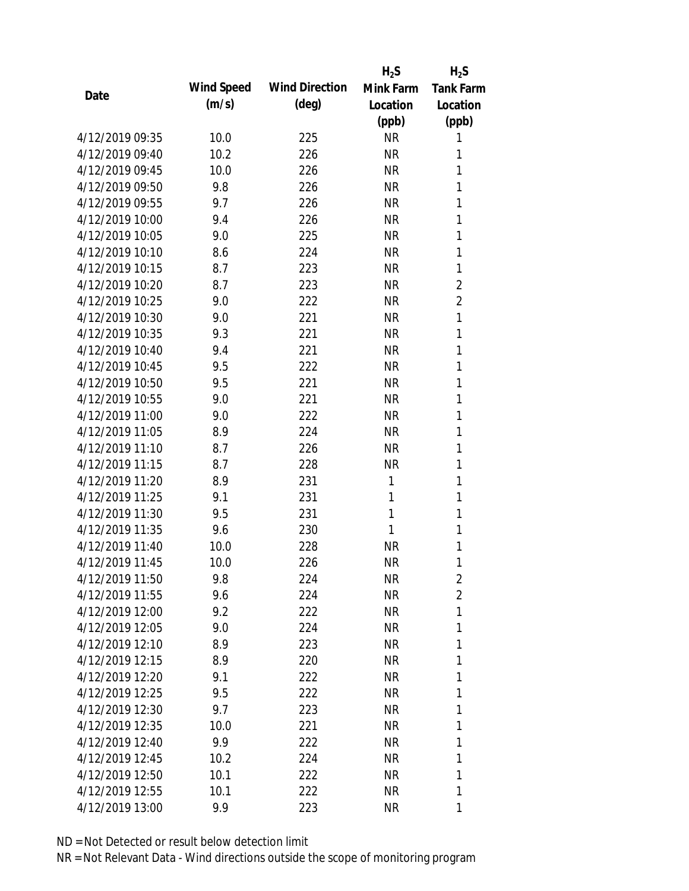|                 |            |                       | $H_2S$    | $H_2S$           |
|-----------------|------------|-----------------------|-----------|------------------|
| Date            | Wind Speed | <b>Wind Direction</b> | Mink Farm | <b>Tank Farm</b> |
|                 | (m/s)      | $(\text{deg})$        | Location  | Location         |
|                 |            |                       | (ppb)     | (ppb)            |
| 4/12/2019 09:35 | 10.0       | 225                   | <b>NR</b> | 1                |
| 4/12/2019 09:40 | 10.2       | 226                   | <b>NR</b> | 1                |
| 4/12/2019 09:45 | 10.0       | 226                   | <b>NR</b> | 1                |
| 4/12/2019 09:50 | 9.8        | 226                   | <b>NR</b> | 1                |
| 4/12/2019 09:55 | 9.7        | 226                   | <b>NR</b> | 1                |
| 4/12/2019 10:00 | 9.4        | 226                   | <b>NR</b> | 1                |
| 4/12/2019 10:05 | 9.0        | 225                   | <b>NR</b> | 1                |
| 4/12/2019 10:10 | 8.6        | 224                   | <b>NR</b> | 1                |
| 4/12/2019 10:15 | 8.7        | 223                   | <b>NR</b> | 1                |
| 4/12/2019 10:20 | 8.7        | 223                   | <b>NR</b> | $\overline{2}$   |
| 4/12/2019 10:25 | 9.0        | 222                   | <b>NR</b> | $\overline{2}$   |
| 4/12/2019 10:30 | 9.0        | 221                   | <b>NR</b> | 1                |
| 4/12/2019 10:35 | 9.3        | 221                   | <b>NR</b> | 1                |
| 4/12/2019 10:40 | 9.4        | 221                   | <b>NR</b> | 1                |
| 4/12/2019 10:45 | 9.5        | 222                   | <b>NR</b> | 1                |
| 4/12/2019 10:50 | 9.5        | 221                   | <b>NR</b> | 1                |
| 4/12/2019 10:55 | 9.0        | 221                   | <b>NR</b> | 1                |
| 4/12/2019 11:00 | 9.0        | 222                   | <b>NR</b> | 1                |
| 4/12/2019 11:05 | 8.9        | 224                   | <b>NR</b> | 1                |
| 4/12/2019 11:10 | 8.7        | 226                   | <b>NR</b> | 1                |
| 4/12/2019 11:15 | 8.7        | 228                   | <b>NR</b> | 1                |
| 4/12/2019 11:20 | 8.9        | 231                   | 1         | 1                |
| 4/12/2019 11:25 | 9.1        | 231                   | 1         | 1                |
| 4/12/2019 11:30 | 9.5        | 231                   | 1         | 1                |
| 4/12/2019 11:35 | 9.6        | 230                   | 1         | 1                |
| 4/12/2019 11:40 | 10.0       | 228                   | <b>NR</b> | 1                |
| 4/12/2019 11:45 | 10.0       | 226                   | <b>NR</b> | 1                |
| 4/12/2019 11:50 | 9.8        | 224                   | <b>NR</b> | 2                |
| 4/12/2019 11:55 | 9.6        | 224                   | NR        | $\overline{2}$   |
| 4/12/2019 12:00 | 9.2        | 222                   | NR        | 1                |
| 4/12/2019 12:05 | 9.0        | 224                   | NR        | 1                |
| 4/12/2019 12:10 | 8.9        | 223                   | NR        | 1                |
| 4/12/2019 12:15 | 8.9        | 220                   | NR        | 1                |
| 4/12/2019 12:20 | 9.1        | 222                   | NR        | 1                |
| 4/12/2019 12:25 | 9.5        | 222                   | NR        | 1                |
| 4/12/2019 12:30 | 9.7        | 223                   | NR        | 1                |
| 4/12/2019 12:35 | 10.0       | 221                   | NR        | 1                |
| 4/12/2019 12:40 | 9.9        | 222                   | NR        | 1                |
| 4/12/2019 12:45 | 10.2       | 224                   | NR.       | 1                |
| 4/12/2019 12:50 | 10.1       | 222                   | NR        | 1                |
| 4/12/2019 12:55 | 10.1       | 222                   | NR        | 1                |
| 4/12/2019 13:00 | 9.9        | 223                   | <b>NR</b> | 1                |
|                 |            |                       |           |                  |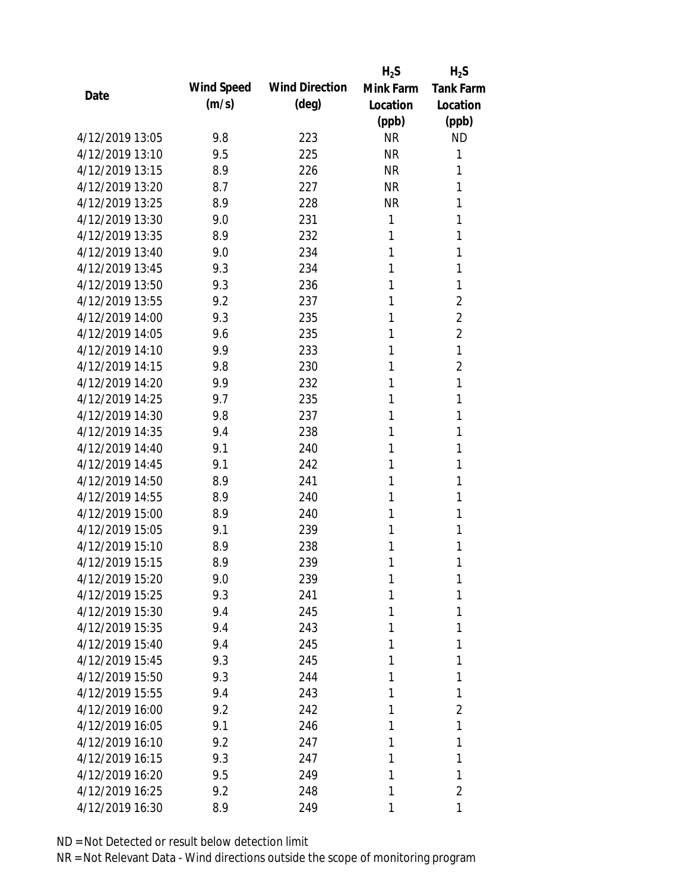|                 |            |                       | $H_2S$    | $H_2S$           |
|-----------------|------------|-----------------------|-----------|------------------|
|                 | Wind Speed | <b>Wind Direction</b> | Mink Farm | <b>Tank Farm</b> |
| Date            | (m/s)      | $(\text{deg})$        | Location  | Location         |
|                 |            |                       | (ppb)     | (ppb)            |
| 4/12/2019 13:05 | 9.8        | 223                   | <b>NR</b> | <b>ND</b>        |
| 4/12/2019 13:10 | 9.5        | 225                   | <b>NR</b> | 1                |
| 4/12/2019 13:15 | 8.9        | 226                   | <b>NR</b> | 1                |
| 4/12/2019 13:20 | 8.7        | 227                   | <b>NR</b> | 1                |
| 4/12/2019 13:25 | 8.9        | 228                   | <b>NR</b> | 1                |
| 4/12/2019 13:30 | 9.0        | 231                   | 1         | 1                |
| 4/12/2019 13:35 | 8.9        | 232                   | 1         | 1                |
| 4/12/2019 13:40 | 9.0        | 234                   | 1         | 1                |
| 4/12/2019 13:45 | 9.3        | 234                   | 1         | 1                |
| 4/12/2019 13:50 | 9.3        | 236                   | 1         | 1                |
| 4/12/2019 13:55 | 9.2        | 237                   | 1         | 2                |
| 4/12/2019 14:00 | 9.3        | 235                   | 1         | $\overline{2}$   |
| 4/12/2019 14:05 | 9.6        | 235                   | 1         | $\overline{2}$   |
| 4/12/2019 14:10 | 9.9        | 233                   | 1         | 1                |
| 4/12/2019 14:15 | 9.8        | 230                   | 1         | $\overline{2}$   |
| 4/12/2019 14:20 | 9.9        | 232                   | 1         | 1                |
| 4/12/2019 14:25 | 9.7        | 235                   | 1         | 1                |
| 4/12/2019 14:30 | 9.8        | 237                   | 1         | 1                |
| 4/12/2019 14:35 | 9.4        | 238                   | 1         | 1                |
| 4/12/2019 14:40 | 9.1        | 240                   | 1         | 1                |
| 4/12/2019 14:45 | 9.1        | 242                   | 1         | 1                |
| 4/12/2019 14:50 | 8.9        | 241                   | 1         | 1                |
| 4/12/2019 14:55 | 8.9        | 240                   | 1         | 1                |
| 4/12/2019 15:00 | 8.9        | 240                   | 1         | 1                |
| 4/12/2019 15:05 | 9.1        | 239                   | 1         | 1                |
| 4/12/2019 15:10 | 8.9        | 238                   | 1         | 1                |
| 4/12/2019 15:15 | 8.9        | 239                   | 1         | 1                |
| 4/12/2019 15:20 | 9.0        | 239                   | 1         | 1                |
| 4/12/2019 15:25 | 9.3        | 241                   | 1         | 1                |
| 4/12/2019 15:30 | 9.4        | 245                   | 1         | 1                |
| 4/12/2019 15:35 | 9.4        | 243                   | 1         | 1                |
| 4/12/2019 15:40 | 9.4        | 245                   | 1         | 1                |
| 4/12/2019 15:45 | 9.3        | 245                   | 1         | 1                |
| 4/12/2019 15:50 | 9.3        | 244                   | 1         | 1                |
| 4/12/2019 15:55 | 9.4        | 243                   | 1         | 1                |
| 4/12/2019 16:00 | 9.2        | 242                   | 1         | 2                |
| 4/12/2019 16:05 | 9.1        | 246                   | 1         | 1                |
| 4/12/2019 16:10 | 9.2        | 247                   | 1         | 1                |
| 4/12/2019 16:15 | 9.3        | 247                   | 1         | 1                |
| 4/12/2019 16:20 | 9.5        | 249                   | 1         | 1                |
| 4/12/2019 16:25 | 9.2        | 248                   | 1         | 2                |
| 4/12/2019 16:30 | 8.9        | 249                   | 1         | 1                |
|                 |            |                       |           |                  |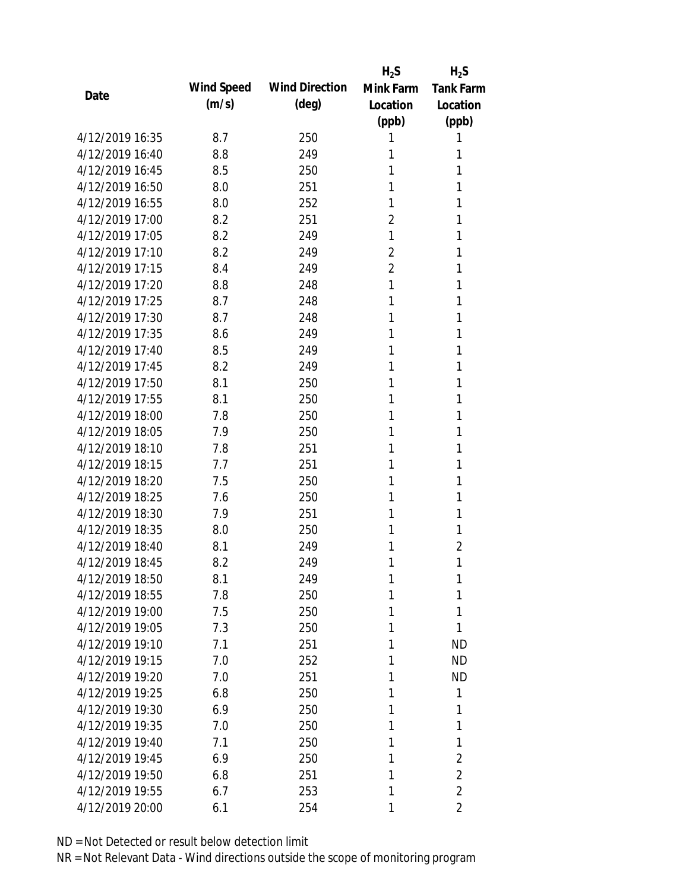|                 |            |                       | $H_2S$         | $H_2S$           |
|-----------------|------------|-----------------------|----------------|------------------|
| Date            | Wind Speed | <b>Wind Direction</b> | Mink Farm      | <b>Tank Farm</b> |
|                 | (m/s)      | $(\text{deg})$        | Location       | Location         |
|                 |            |                       | (ppb)          | (ppb)            |
| 4/12/2019 16:35 | 8.7        | 250                   | 1              | 1                |
| 4/12/2019 16:40 | 8.8        | 249                   | 1              | 1                |
| 4/12/2019 16:45 | 8.5        | 250                   | 1              | 1                |
| 4/12/2019 16:50 | 8.0        | 251                   | 1              | 1                |
| 4/12/2019 16:55 | 8.0        | 252                   | 1              | 1                |
| 4/12/2019 17:00 | 8.2        | 251                   | $\overline{2}$ | 1                |
| 4/12/2019 17:05 | 8.2        | 249                   | 1              | 1                |
| 4/12/2019 17:10 | 8.2        | 249                   | $\overline{2}$ | 1                |
| 4/12/2019 17:15 | 8.4        | 249                   | $\overline{2}$ | 1                |
| 4/12/2019 17:20 | 8.8        | 248                   | 1              | 1                |
| 4/12/2019 17:25 | 8.7        | 248                   | 1              | 1                |
| 4/12/2019 17:30 | 8.7        | 248                   | 1              | 1                |
| 4/12/2019 17:35 | 8.6        | 249                   | 1              | 1                |
| 4/12/2019 17:40 | 8.5        | 249                   | 1              | 1                |
| 4/12/2019 17:45 | 8.2        | 249                   | 1              | 1                |
| 4/12/2019 17:50 | 8.1        | 250                   | 1              | 1                |
| 4/12/2019 17:55 | 8.1        | 250                   | 1              | 1                |
| 4/12/2019 18:00 | 7.8        | 250                   | 1              | 1                |
| 4/12/2019 18:05 | 7.9        | 250                   | 1              | 1                |
| 4/12/2019 18:10 | 7.8        | 251                   | 1              | 1                |
| 4/12/2019 18:15 | 7.7        | 251                   | 1              | 1                |
| 4/12/2019 18:20 | 7.5        | 250                   | 1              | 1                |
| 4/12/2019 18:25 | 7.6        | 250                   | 1              | 1                |
| 4/12/2019 18:30 | 7.9        | 251                   | 1              | 1                |
| 4/12/2019 18:35 | 8.0        | 250                   | 1              | 1                |
| 4/12/2019 18:40 | 8.1        | 249                   | 1              | $\overline{2}$   |
| 4/12/2019 18:45 | 8.2        | 249                   | 1              | 1                |
| 4/12/2019 18:50 | 8.1        | 249                   | 1              | 1                |
| 4/12/2019 18:55 | 7.8        | 250                   | 1              | 1                |
| 4/12/2019 19:00 | 7.5        | 250                   | 1              | 1                |
| 4/12/2019 19:05 | 7.3        | 250                   | 1              | 1                |
| 4/12/2019 19:10 | 7.1        | 251                   | 1              | <b>ND</b>        |
| 4/12/2019 19:15 | 7.0        | 252                   | 1              | <b>ND</b>        |
| 4/12/2019 19:20 | 7.0        | 251                   | 1              | <b>ND</b>        |
| 4/12/2019 19:25 | 6.8        | 250                   | 1              | 1                |
| 4/12/2019 19:30 | 6.9        | 250                   | 1              | 1                |
| 4/12/2019 19:35 | 7.0        | 250                   | 1              | 1                |
| 4/12/2019 19:40 | 7.1        | 250                   | 1              | 1                |
| 4/12/2019 19:45 | 6.9        | 250                   | 1              | 2                |
| 4/12/2019 19:50 | 6.8        | 251                   | 1              | $\overline{2}$   |
| 4/12/2019 19:55 | 6.7        | 253                   | 1              | $\overline{2}$   |
| 4/12/2019 20:00 | 6.1        | 254                   | 1              | 2                |
|                 |            |                       |                |                  |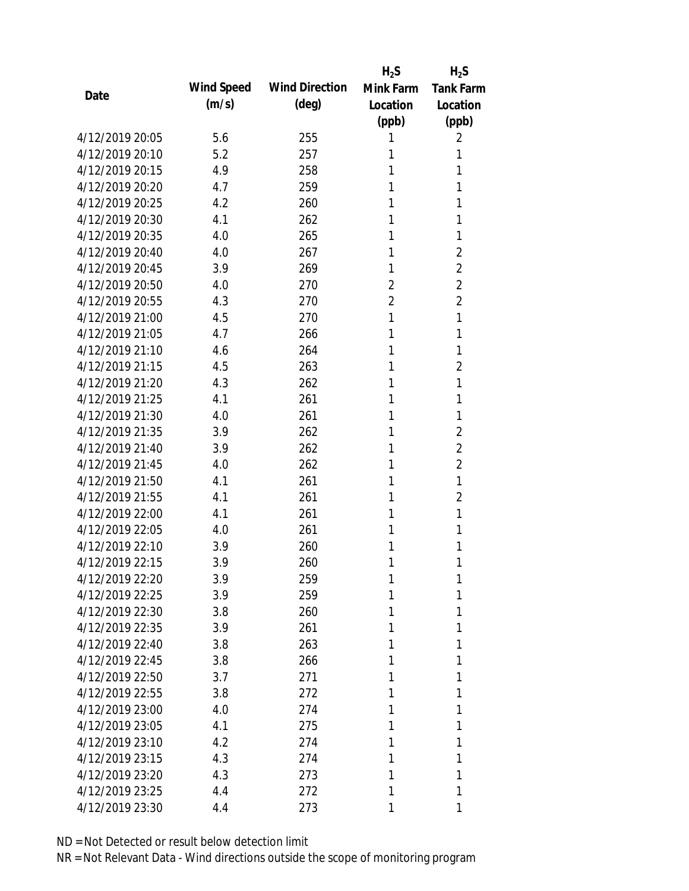|                 |            |                       | $H_2S$         | $H_2S$           |
|-----------------|------------|-----------------------|----------------|------------------|
| Date            | Wind Speed | <b>Wind Direction</b> | Mink Farm      | <b>Tank Farm</b> |
|                 | (m/s)      | $(\text{deg})$        | Location       | Location         |
|                 |            |                       | (ppb)          | (ppb)            |
| 4/12/2019 20:05 | 5.6        | 255                   | 1              | 2                |
| 4/12/2019 20:10 | 5.2        | 257                   | 1              | 1                |
| 4/12/2019 20:15 | 4.9        | 258                   | 1              | 1                |
| 4/12/2019 20:20 | 4.7        | 259                   | 1              | 1                |
| 4/12/2019 20:25 | 4.2        | 260                   | 1              | 1                |
| 4/12/2019 20:30 | 4.1        | 262                   | 1              | 1                |
| 4/12/2019 20:35 | 4.0        | 265                   | 1              | 1                |
| 4/12/2019 20:40 | 4.0        | 267                   | 1              | 2                |
| 4/12/2019 20:45 | 3.9        | 269                   | 1              | $\overline{2}$   |
| 4/12/2019 20:50 | 4.0        | 270                   | $\overline{2}$ | $\overline{2}$   |
| 4/12/2019 20:55 | 4.3        | 270                   | $\overline{2}$ | $\overline{2}$   |
| 4/12/2019 21:00 | 4.5        | 270                   | 1              | 1                |
| 4/12/2019 21:05 | 4.7        | 266                   | 1              | 1                |
| 4/12/2019 21:10 | 4.6        | 264                   | 1              | 1                |
| 4/12/2019 21:15 | 4.5        | 263                   | 1              | $\overline{2}$   |
| 4/12/2019 21:20 | 4.3        | 262                   | 1              | 1                |
| 4/12/2019 21:25 | 4.1        | 261                   | 1              | 1                |
| 4/12/2019 21:30 | 4.0        | 261                   | 1              | 1                |
| 4/12/2019 21:35 | 3.9        | 262                   | 1              | $\overline{2}$   |
| 4/12/2019 21:40 | 3.9        | 262                   | 1              | $\overline{2}$   |
| 4/12/2019 21:45 | 4.0        | 262                   | 1              | 2                |
| 4/12/2019 21:50 | 4.1        | 261                   | 1              | 1                |
| 4/12/2019 21:55 | 4.1        | 261                   | 1              | $\overline{2}$   |
| 4/12/2019 22:00 | 4.1        | 261                   | 1              | 1                |
| 4/12/2019 22:05 | 4.0        | 261                   | 1              | 1                |
| 4/12/2019 22:10 | 3.9        | 260                   | 1              | 1                |
| 4/12/2019 22:15 | 3.9        | 260                   | 1              | 1                |
| 4/12/2019 22:20 | 3.9        | 259                   | 1              | 1                |
| 4/12/2019 22:25 | 3.9        | 259                   | 1              | 1                |
| 4/12/2019 22:30 | 3.8        | 260                   | 1              | 1                |
| 4/12/2019 22:35 | 3.9        | 261                   | 1              | 1                |
| 4/12/2019 22:40 | 3.8        | 263                   | 1              | 1                |
| 4/12/2019 22:45 | 3.8        | 266                   | 1              | 1                |
| 4/12/2019 22:50 | 3.7        | 271                   | 1              | 1                |
| 4/12/2019 22:55 | 3.8        | 272                   | 1              | 1                |
| 4/12/2019 23:00 | 4.0        | 274                   | 1              | 1                |
| 4/12/2019 23:05 | 4.1        | 275                   | 1              | 1                |
| 4/12/2019 23:10 | 4.2        | 274                   | 1              | 1                |
| 4/12/2019 23:15 | 4.3        | 274                   | 1              | 1                |
| 4/12/2019 23:20 | 4.3        | 273                   | 1              | 1                |
| 4/12/2019 23:25 | 4.4        | 272                   | 1              | 1                |
|                 |            |                       |                |                  |
| 4/12/2019 23:30 | 4.4        | 273                   | 1              | 1                |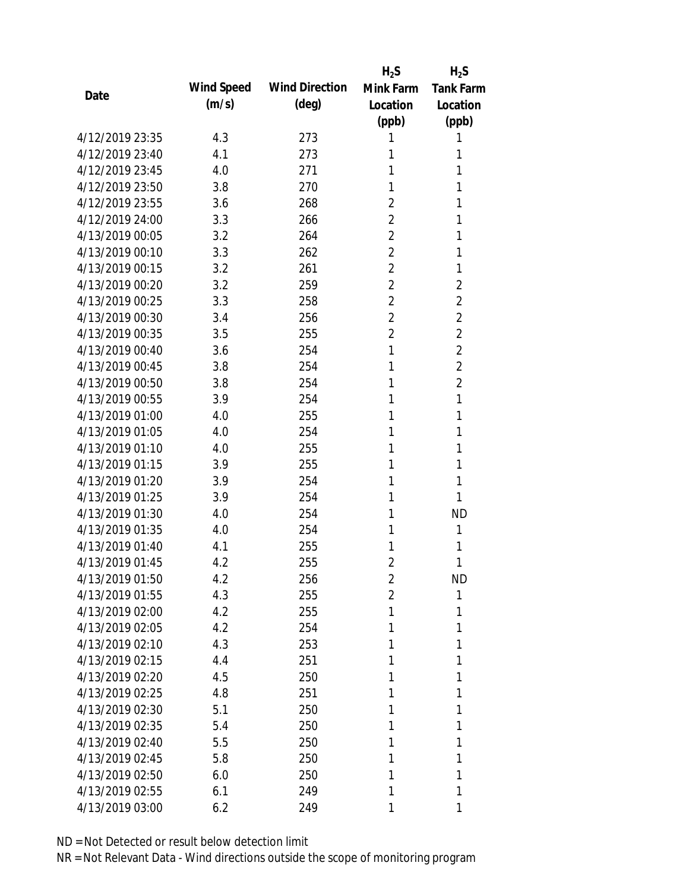|                 |            |                       | $H_2S$         | $H_2S$           |
|-----------------|------------|-----------------------|----------------|------------------|
| Date            | Wind Speed | <b>Wind Direction</b> | Mink Farm      | <b>Tank Farm</b> |
|                 | (m/s)      | $(\text{deg})$        | Location       | Location         |
|                 |            |                       | (ppb)          | (ppb)            |
| 4/12/2019 23:35 | 4.3        | 273                   | 1              | 1                |
| 4/12/2019 23:40 | 4.1        | 273                   | 1              | 1                |
| 4/12/2019 23:45 | 4.0        | 271                   | 1              | 1                |
| 4/12/2019 23:50 | 3.8        | 270                   | 1              | 1                |
| 4/12/2019 23:55 | 3.6        | 268                   | $\overline{2}$ | 1                |
| 4/12/2019 24:00 | 3.3        | 266                   | $\overline{2}$ | 1                |
| 4/13/2019 00:05 | 3.2        | 264                   | 2              | 1                |
| 4/13/2019 00:10 | 3.3        | 262                   | 2              | 1                |
| 4/13/2019 00:15 | 3.2        | 261                   | $\overline{2}$ | 1                |
| 4/13/2019 00:20 | 3.2        | 259                   | $\overline{2}$ | $\overline{2}$   |
| 4/13/2019 00:25 | 3.3        | 258                   | 2              | $\overline{2}$   |
| 4/13/2019 00:30 | 3.4        | 256                   | $\overline{2}$ | $\overline{2}$   |
| 4/13/2019 00:35 | 3.5        | 255                   | 2              | $\overline{2}$   |
| 4/13/2019 00:40 | 3.6        | 254                   | 1              | $\overline{2}$   |
| 4/13/2019 00:45 | 3.8        | 254                   | 1              | $\overline{2}$   |
| 4/13/2019 00:50 | 3.8        | 254                   | 1              | $\overline{2}$   |
| 4/13/2019 00:55 | 3.9        | 254                   | 1              | 1                |
| 4/13/2019 01:00 | 4.0        | 255                   | 1              | 1                |
| 4/13/2019 01:05 | 4.0        | 254                   | 1              | 1                |
| 4/13/2019 01:10 | 4.0        | 255                   | 1              | 1                |
| 4/13/2019 01:15 | 3.9        | 255                   | 1              | 1                |
| 4/13/2019 01:20 | 3.9        | 254                   | 1              | 1                |
| 4/13/2019 01:25 | 3.9        | 254                   | 1              | 1                |
| 4/13/2019 01:30 | 4.0        | 254                   | 1              | <b>ND</b>        |
| 4/13/2019 01:35 | 4.0        | 254                   | 1              | 1                |
| 4/13/2019 01:40 | 4.1        | 255                   | 1              | 1                |
| 4/13/2019 01:45 | 4.2        | 255                   | $\overline{2}$ | 1                |
| 4/13/2019 01:50 | 4.2        | 256                   | $\overline{2}$ | <b>ND</b>        |
| 4/13/2019 01:55 | 4.3        | 255                   | $\overline{2}$ | 1                |
| 4/13/2019 02:00 | 4.2        | 255                   | 1              | 1                |
| 4/13/2019 02:05 | 4.2        | 254                   | 1              | 1                |
| 4/13/2019 02:10 | 4.3        | 253                   | 1              | 1                |
| 4/13/2019 02:15 | 4.4        | 251                   | 1              | 1                |
| 4/13/2019 02:20 | 4.5        | 250                   | 1              | 1                |
| 4/13/2019 02:25 | 4.8        | 251                   | 1              | 1                |
| 4/13/2019 02:30 | 5.1        | 250                   | 1              | 1                |
| 4/13/2019 02:35 | 5.4        | 250                   | 1              | 1                |
| 4/13/2019 02:40 | 5.5        | 250                   | 1              | 1                |
| 4/13/2019 02:45 | 5.8        | 250                   | 1              | 1                |
| 4/13/2019 02:50 | 6.0        | 250                   | 1              | 1                |
| 4/13/2019 02:55 | 6.1        | 249                   | 1              | 1                |
| 4/13/2019 03:00 | 6.2        | 249                   | 1              | 1                |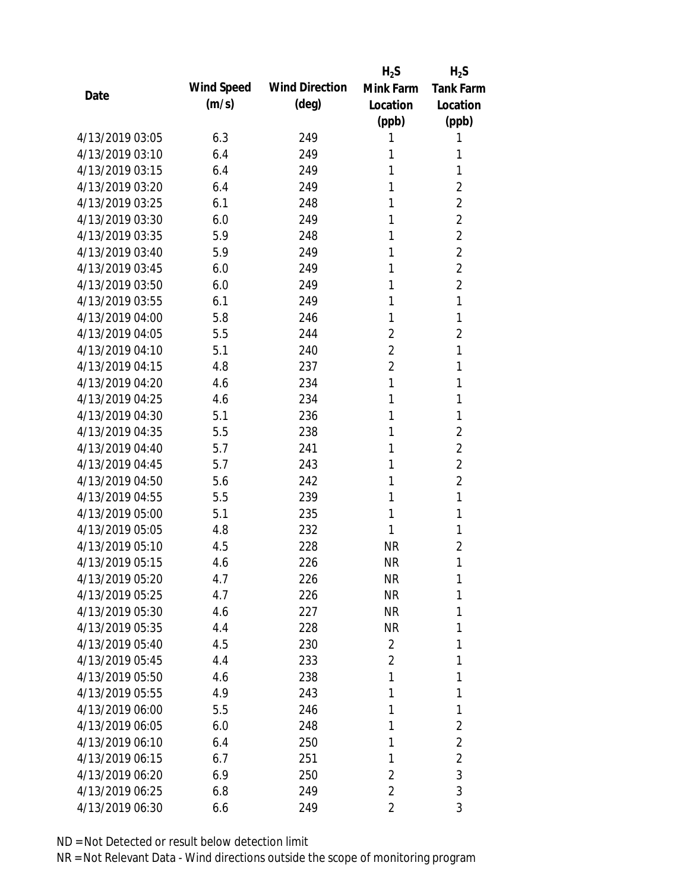|                 |            |                       | $H_2S$         | $H_2S$           |
|-----------------|------------|-----------------------|----------------|------------------|
| Date            | Wind Speed | <b>Wind Direction</b> | Mink Farm      | <b>Tank Farm</b> |
|                 | (m/s)      | $(\text{deg})$        | Location       | Location         |
|                 |            |                       | (ppb)          | (ppb)            |
| 4/13/2019 03:05 | 6.3        | 249                   | 1              | 1                |
| 4/13/2019 03:10 | 6.4        | 249                   | 1              | 1                |
| 4/13/2019 03:15 | 6.4        | 249                   | 1              | 1                |
| 4/13/2019 03:20 | 6.4        | 249                   | 1              | $\overline{2}$   |
| 4/13/2019 03:25 | 6.1        | 248                   | 1              | $\overline{2}$   |
| 4/13/2019 03:30 | 6.0        | 249                   | 1              | $\overline{2}$   |
| 4/13/2019 03:35 | 5.9        | 248                   | 1              | $\overline{2}$   |
| 4/13/2019 03:40 | 5.9        | 249                   | 1              | $\overline{2}$   |
| 4/13/2019 03:45 | 6.0        | 249                   | 1              | $\overline{2}$   |
| 4/13/2019 03:50 | 6.0        | 249                   | 1              | $\overline{2}$   |
| 4/13/2019 03:55 | 6.1        | 249                   | 1              | 1                |
| 4/13/2019 04:00 | 5.8        | 246                   | 1              | 1                |
| 4/13/2019 04:05 | 5.5        | 244                   | 2              | 2                |
| 4/13/2019 04:10 | 5.1        | 240                   | $\overline{2}$ | 1                |
| 4/13/2019 04:15 | 4.8        | 237                   | $\overline{2}$ | 1                |
| 4/13/2019 04:20 | 4.6        | 234                   | 1              | 1                |
| 4/13/2019 04:25 | 4.6        | 234                   | 1              | 1                |
| 4/13/2019 04:30 | 5.1        | 236                   | 1              | 1                |
| 4/13/2019 04:35 | 5.5        | 238                   | 1              | $\overline{2}$   |
| 4/13/2019 04:40 | 5.7        | 241                   | 1              | $\overline{2}$   |
| 4/13/2019 04:45 | 5.7        | 243                   | 1              | $\overline{2}$   |
| 4/13/2019 04:50 | 5.6        | 242                   | 1              | $\overline{2}$   |
| 4/13/2019 04:55 | 5.5        | 239                   | 1              | 1                |
| 4/13/2019 05:00 | 5.1        | 235                   | 1              | 1                |
| 4/13/2019 05:05 | 4.8        | 232                   | 1              | 1                |
| 4/13/2019 05:10 | 4.5        | 228                   | <b>NR</b>      | $\overline{2}$   |
| 4/13/2019 05:15 | 4.6        | 226                   | <b>NR</b>      | 1                |
| 4/13/2019 05:20 | 4.7        | 226                   | NR             | 1                |
| 4/13/2019 05:25 | 4.7        | 226                   | <b>NR</b>      | 1                |
| 4/13/2019 05:30 | 4.6        | 227                   | <b>NR</b>      | 1                |
| 4/13/2019 05:35 | 4.4        | 228                   | <b>NR</b>      | 1                |
| 4/13/2019 05:40 | 4.5        | 230                   | 2              | 1                |
| 4/13/2019 05:45 | 4.4        | 233                   | 2              | 1                |
| 4/13/2019 05:50 | 4.6        | 238                   | 1              | 1                |
| 4/13/2019 05:55 | 4.9        | 243                   | 1              | 1                |
| 4/13/2019 06:00 | 5.5        | 246                   | 1              | 1                |
| 4/13/2019 06:05 | 6.0        | 248                   | 1              | 2                |
| 4/13/2019 06:10 | 6.4        | 250                   | 1              | $\overline{2}$   |
| 4/13/2019 06:15 | 6.7        | 251                   | 1              | $\overline{2}$   |
| 4/13/2019 06:20 | 6.9        | 250                   | 2              | 3                |
| 4/13/2019 06:25 | 6.8        | 249                   | $\overline{2}$ | 3                |
| 4/13/2019 06:30 | 6.6        | 249                   | 2              | 3                |
|                 |            |                       |                |                  |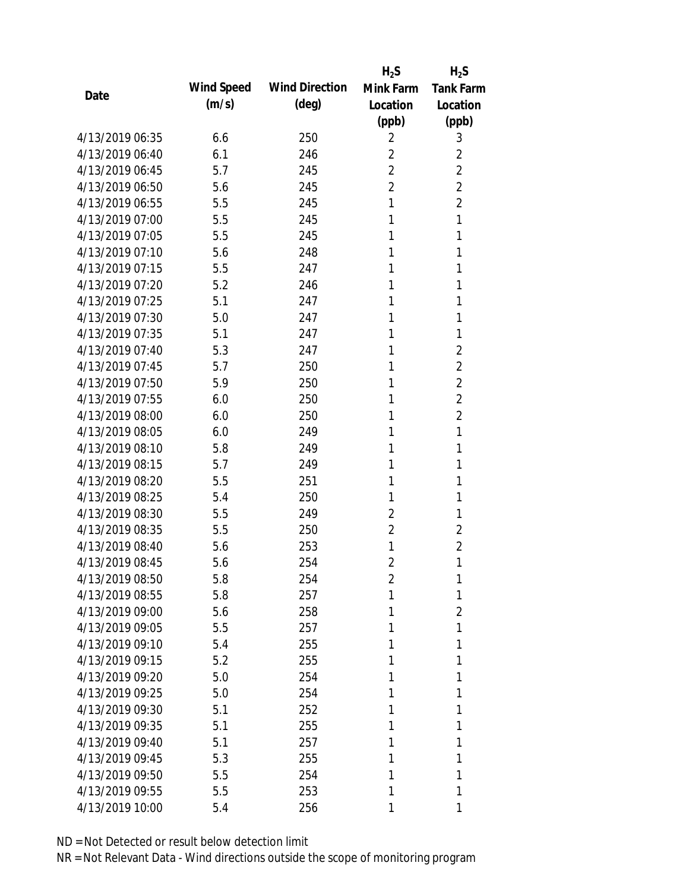|                 |            |                       | $H_2S$         | $H_2S$           |
|-----------------|------------|-----------------------|----------------|------------------|
| Date            | Wind Speed | <b>Wind Direction</b> | Mink Farm      | <b>Tank Farm</b> |
|                 | (m/s)      | $(\text{deg})$        | Location       | Location         |
|                 |            |                       | (ppb)          | (ppb)            |
| 4/13/2019 06:35 | 6.6        | 250                   | 2              | 3                |
| 4/13/2019 06:40 | 6.1        | 246                   | 2              | 2                |
| 4/13/2019 06:45 | 5.7        | 245                   | 2              | $\overline{2}$   |
| 4/13/2019 06:50 | 5.6        | 245                   | $\overline{2}$ | $\overline{2}$   |
| 4/13/2019 06:55 | 5.5        | 245                   | 1              | $\overline{2}$   |
| 4/13/2019 07:00 | 5.5        | 245                   | 1              | $\mathbf{1}$     |
| 4/13/2019 07:05 | 5.5        | 245                   | 1              | 1                |
| 4/13/2019 07:10 | 5.6        | 248                   | 1              | 1                |
| 4/13/2019 07:15 | 5.5        | 247                   | 1              | 1                |
| 4/13/2019 07:20 | 5.2        | 246                   | 1              | 1                |
| 4/13/2019 07:25 | 5.1        | 247                   | 1              | 1                |
| 4/13/2019 07:30 | 5.0        | 247                   | 1              | 1                |
| 4/13/2019 07:35 | 5.1        | 247                   | 1              | 1                |
| 4/13/2019 07:40 | 5.3        | 247                   | 1              | $\overline{2}$   |
| 4/13/2019 07:45 | 5.7        | 250                   | 1              | $\overline{2}$   |
| 4/13/2019 07:50 | 5.9        | 250                   | 1              | $\overline{2}$   |
| 4/13/2019 07:55 | 6.0        | 250                   | 1              | $\overline{2}$   |
| 4/13/2019 08:00 | 6.0        | 250                   | 1              | $\overline{2}$   |
| 4/13/2019 08:05 | 6.0        | 249                   | 1              | 1                |
| 4/13/2019 08:10 | 5.8        | 249                   | 1              | 1                |
| 4/13/2019 08:15 | 5.7        | 249                   | 1              | 1                |
| 4/13/2019 08:20 | 5.5        | 251                   | 1              | 1                |
| 4/13/2019 08:25 | 5.4        | 250                   | 1              | 1                |
| 4/13/2019 08:30 | 5.5        | 249                   | $\overline{2}$ | 1                |
| 4/13/2019 08:35 | 5.5        | 250                   | 2              | $\overline{2}$   |
| 4/13/2019 08:40 | 5.6        | 253                   | 1              | 2                |
| 4/13/2019 08:45 | 5.6        | 254                   | $\overline{2}$ | 1                |
| 4/13/2019 08:50 | 5.8        | 254                   | 2              | 1                |
| 4/13/2019 08:55 | 5.8        | 257                   | 1              | 1                |
| 4/13/2019 09:00 | 5.6        | 258                   | 1              | $\overline{2}$   |
| 4/13/2019 09:05 | 5.5        | 257                   | 1              | 1                |
| 4/13/2019 09:10 | 5.4        | 255                   | 1              | 1                |
| 4/13/2019 09:15 | 5.2        | 255                   | 1              | 1                |
| 4/13/2019 09:20 | 5.0        | 254                   | 1              | 1                |
| 4/13/2019 09:25 | 5.0        | 254                   | 1              | 1                |
| 4/13/2019 09:30 | 5.1        | 252                   | 1              | 1                |
| 4/13/2019 09:35 | 5.1        | 255                   | 1              | 1                |
| 4/13/2019 09:40 | 5.1        | 257                   | 1              | 1                |
| 4/13/2019 09:45 | 5.3        | 255                   | 1              | 1                |
| 4/13/2019 09:50 | 5.5        | 254                   | 1              | 1                |
| 4/13/2019 09:55 | 5.5        | 253                   | 1              | 1                |
| 4/13/2019 10:00 | 5.4        | 256                   | 1              | 1                |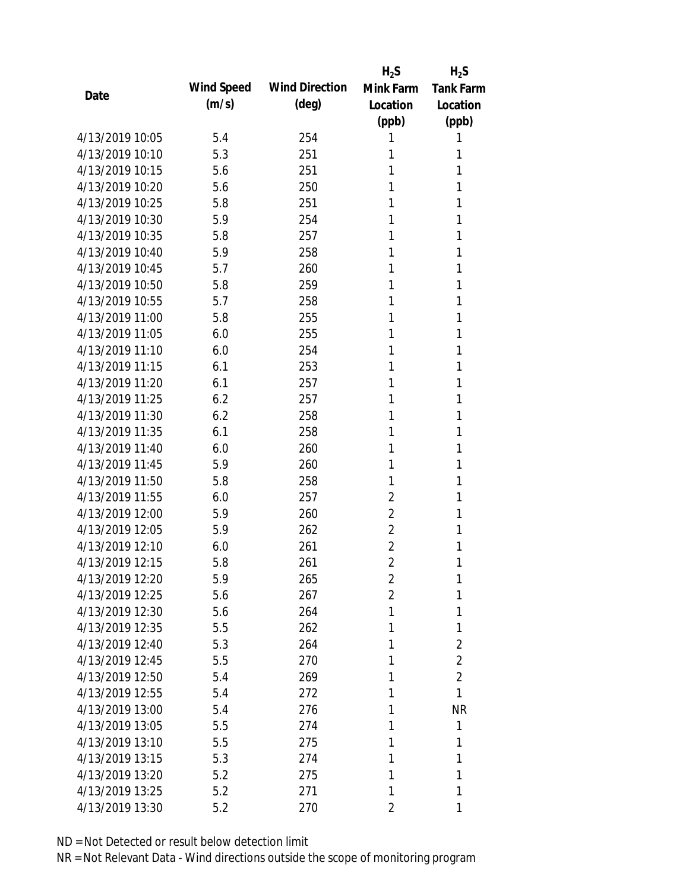|                 |            |                       | $H_2S$         | $H_2S$           |
|-----------------|------------|-----------------------|----------------|------------------|
| Date            | Wind Speed | <b>Wind Direction</b> | Mink Farm      | <b>Tank Farm</b> |
|                 | (m/s)      | $(\text{deg})$        | Location       | Location         |
|                 |            |                       | (ppb)          | (ppb)            |
| 4/13/2019 10:05 | 5.4        | 254                   | 1              | 1                |
| 4/13/2019 10:10 | 5.3        | 251                   | 1              | 1                |
| 4/13/2019 10:15 | 5.6        | 251                   | 1              | 1                |
| 4/13/2019 10:20 | 5.6        | 250                   | 1              | 1                |
| 4/13/2019 10:25 | 5.8        | 251                   | 1              | 1                |
| 4/13/2019 10:30 | 5.9        | 254                   | 1              | 1                |
| 4/13/2019 10:35 | 5.8        | 257                   | 1              | 1                |
| 4/13/2019 10:40 | 5.9        | 258                   | 1              | 1                |
| 4/13/2019 10:45 | 5.7        | 260                   | 1              | 1                |
| 4/13/2019 10:50 | 5.8        | 259                   | 1              | 1                |
| 4/13/2019 10:55 | 5.7        | 258                   | 1              | 1                |
| 4/13/2019 11:00 | 5.8        | 255                   | 1              | 1                |
| 4/13/2019 11:05 | 6.0        | 255                   | 1              | 1                |
| 4/13/2019 11:10 | 6.0        | 254                   | 1              | 1                |
| 4/13/2019 11:15 | 6.1        | 253                   | 1              | 1                |
| 4/13/2019 11:20 | 6.1        | 257                   | 1              | 1                |
| 4/13/2019 11:25 | 6.2        | 257                   | 1              | 1                |
| 4/13/2019 11:30 | 6.2        | 258                   | 1              | 1                |
| 4/13/2019 11:35 | 6.1        | 258                   | 1              | 1                |
| 4/13/2019 11:40 | 6.0        | 260                   | 1              | 1                |
| 4/13/2019 11:45 | 5.9        | 260                   | 1              | 1                |
| 4/13/2019 11:50 | 5.8        | 258                   | 1              | 1                |
| 4/13/2019 11:55 | 6.0        | 257                   | $\overline{2}$ | 1                |
| 4/13/2019 12:00 | 5.9        | 260                   | 2              | 1                |
| 4/13/2019 12:05 | 5.9        | 262                   | $\overline{2}$ | 1                |
| 4/13/2019 12:10 | 6.0        | 261                   | $\overline{2}$ | 1                |
| 4/13/2019 12:15 | 5.8        | 261                   | $\overline{2}$ | 1                |
| 4/13/2019 12:20 | 5.9        | 265                   | $\overline{2}$ | 1                |
| 4/13/2019 12:25 | 5.6        | 267                   | $\overline{2}$ | 1                |
| 4/13/2019 12:30 | 5.6        | 264                   | 1              | 1                |
| 4/13/2019 12:35 | 5.5        | 262                   | 1              | 1                |
| 4/13/2019 12:40 | 5.3        | 264                   | 1              | $\overline{2}$   |
| 4/13/2019 12:45 | 5.5        | 270                   | 1              | $\overline{2}$   |
| 4/13/2019 12:50 | 5.4        | 269                   | 1              | $\overline{2}$   |
| 4/13/2019 12:55 | 5.4        | 272                   | 1              | 1                |
| 4/13/2019 13:00 | 5.4        | 276                   | 1              | <b>NR</b>        |
| 4/13/2019 13:05 | 5.5        | 274                   | 1              | 1                |
| 4/13/2019 13:10 | 5.5        | 275                   | 1              | 1                |
| 4/13/2019 13:15 | 5.3        | 274                   | 1              | 1                |
| 4/13/2019 13:20 | 5.2        | 275                   | 1              | 1                |
| 4/13/2019 13:25 | 5.2        | 271                   | 1              | 1                |
| 4/13/2019 13:30 | 5.2        | 270                   | 2              | 1                |
|                 |            |                       |                |                  |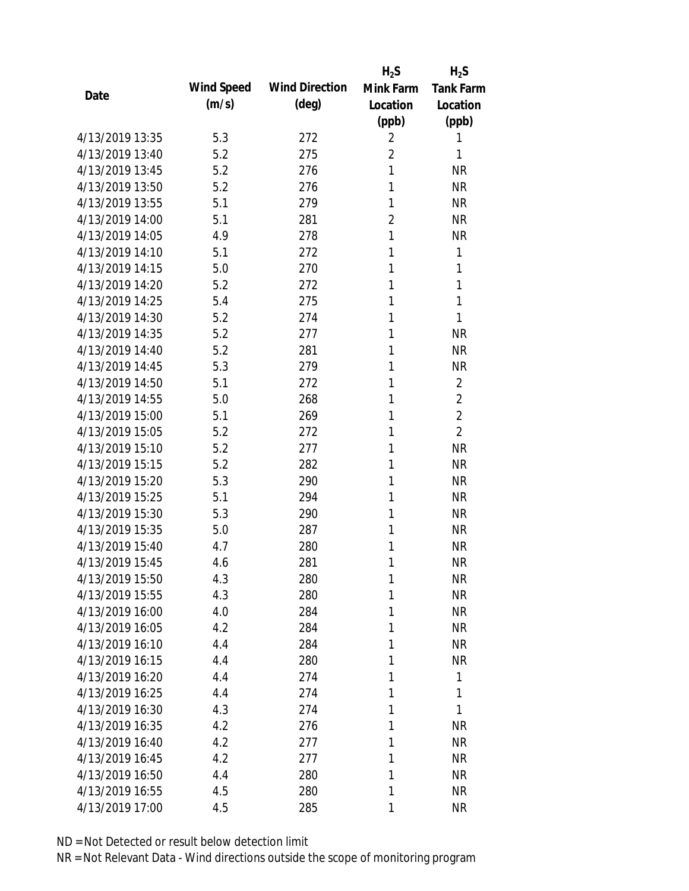|                 |            |                       | $H_2S$         | $H_2S$           |
|-----------------|------------|-----------------------|----------------|------------------|
| Date            | Wind Speed | <b>Wind Direction</b> | Mink Farm      | <b>Tank Farm</b> |
|                 | (m/s)      | $(\text{deg})$        | Location       | Location         |
|                 |            |                       | (ppb)          | (ppb)            |
| 4/13/2019 13:35 | 5.3        | 272                   | 2              | 1                |
| 4/13/2019 13:40 | 5.2        | 275                   | $\overline{2}$ | 1                |
| 4/13/2019 13:45 | 5.2        | 276                   | 1              | <b>NR</b>        |
| 4/13/2019 13:50 | 5.2        | 276                   | 1              | <b>NR</b>        |
| 4/13/2019 13:55 | 5.1        | 279                   | 1              | <b>NR</b>        |
| 4/13/2019 14:00 | 5.1        | 281                   | 2              | <b>NR</b>        |
| 4/13/2019 14:05 | 4.9        | 278                   | 1              | <b>NR</b>        |
| 4/13/2019 14:10 | 5.1        | 272                   | 1              | 1                |
| 4/13/2019 14:15 | 5.0        | 270                   | 1              | 1                |
| 4/13/2019 14:20 | 5.2        | 272                   | 1              | 1                |
| 4/13/2019 14:25 | 5.4        | 275                   | 1              | 1                |
| 4/13/2019 14:30 | 5.2        | 274                   | 1              | 1                |
| 4/13/2019 14:35 | 5.2        | 277                   | 1              | <b>NR</b>        |
| 4/13/2019 14:40 | 5.2        | 281                   | 1              | <b>NR</b>        |
| 4/13/2019 14:45 | 5.3        | 279                   | 1              | <b>NR</b>        |
| 4/13/2019 14:50 | 5.1        | 272                   | 1              | $\overline{2}$   |
| 4/13/2019 14:55 | 5.0        | 268                   | 1              | $\overline{2}$   |
| 4/13/2019 15:00 | 5.1        | 269                   | 1              | $\overline{2}$   |
| 4/13/2019 15:05 | 5.2        | 272                   | 1              | $\overline{2}$   |
| 4/13/2019 15:10 | 5.2        | 277                   | 1              | <b>NR</b>        |
| 4/13/2019 15:15 | 5.2        | 282                   | 1              | <b>NR</b>        |
| 4/13/2019 15:20 | 5.3        | 290                   | 1              | <b>NR</b>        |
| 4/13/2019 15:25 | 5.1        | 294                   | 1              | <b>NR</b>        |
| 4/13/2019 15:30 | 5.3        | 290                   | 1              | <b>NR</b>        |
| 4/13/2019 15:35 | 5.0        | 287                   | 1              | <b>NR</b>        |
| 4/13/2019 15:40 | 4.7        | 280                   | 1              | <b>NR</b>        |
| 4/13/2019 15:45 | 4.6        | 281                   | 1              | <b>NR</b>        |
| 4/13/2019 15:50 | 4.3        | 280                   | 1              | <b>NR</b>        |
| 4/13/2019 15:55 | 4.3        | 280                   | 1              | <b>NR</b>        |
| 4/13/2019 16:00 | 4.0        | 284                   | 1              | <b>NR</b>        |
| 4/13/2019 16:05 | 4.2        | 284                   | 1              | <b>NR</b>        |
| 4/13/2019 16:10 | 4.4        | 284                   | 1              | NR               |
| 4/13/2019 16:15 | 4.4        | 280                   | 1              | <b>NR</b>        |
| 4/13/2019 16:20 | 4.4        | 274                   | 1              | 1                |
| 4/13/2019 16:25 | 4.4        | 274                   | 1              | 1                |
| 4/13/2019 16:30 | 4.3        | 274                   | 1              | 1                |
| 4/13/2019 16:35 | 4.2        | 276                   | 1              | <b>NR</b>        |
| 4/13/2019 16:40 | 4.2        | 277                   | 1              | <b>NR</b>        |
| 4/13/2019 16:45 | 4.2        | 277                   | 1              | NR               |
| 4/13/2019 16:50 | 4.4        | 280                   | 1              | NR               |
| 4/13/2019 16:55 | 4.5        | 280                   | 1              | <b>NR</b>        |
| 4/13/2019 17:00 | 4.5        | 285                   | 1              | <b>NR</b>        |
|                 |            |                       |                |                  |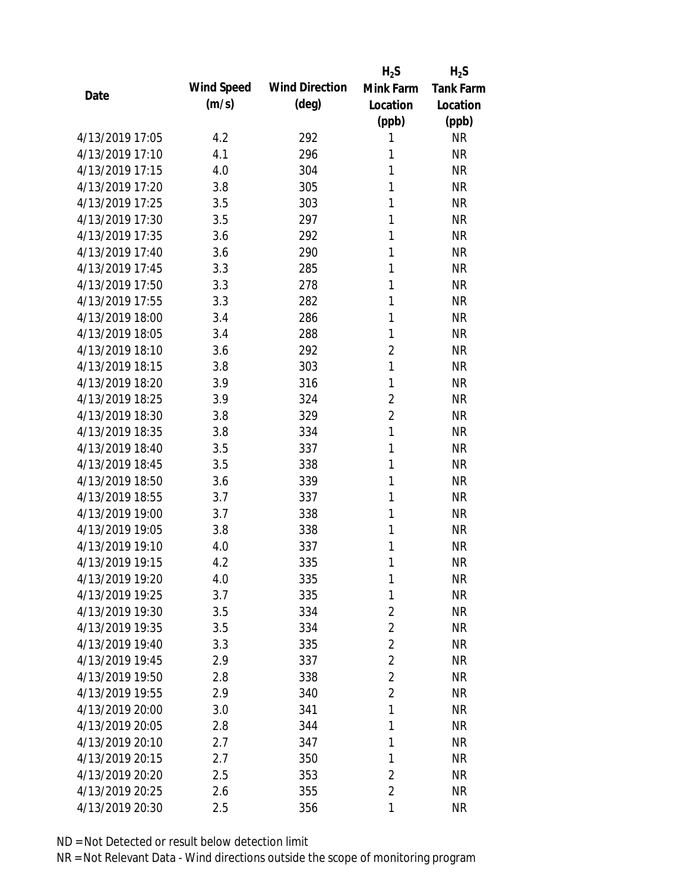|                 |            |                       | $H_2S$         | $H_2S$           |
|-----------------|------------|-----------------------|----------------|------------------|
| Date            | Wind Speed | <b>Wind Direction</b> | Mink Farm      | <b>Tank Farm</b> |
|                 | (m/s)      | $(\text{deg})$        | Location       | Location         |
|                 |            |                       | (ppb)          | (ppb)            |
| 4/13/2019 17:05 | 4.2        | 292                   | 1              | <b>NR</b>        |
| 4/13/2019 17:10 | 4.1        | 296                   | 1              | <b>NR</b>        |
| 4/13/2019 17:15 | 4.0        | 304                   | 1              | <b>NR</b>        |
| 4/13/2019 17:20 | 3.8        | 305                   | 1              | <b>NR</b>        |
| 4/13/2019 17:25 | 3.5        | 303                   | 1              | <b>NR</b>        |
| 4/13/2019 17:30 | 3.5        | 297                   | 1              | <b>NR</b>        |
| 4/13/2019 17:35 | 3.6        | 292                   | 1              | <b>NR</b>        |
| 4/13/2019 17:40 | 3.6        | 290                   | 1              | <b>NR</b>        |
| 4/13/2019 17:45 | 3.3        | 285                   | 1              | <b>NR</b>        |
| 4/13/2019 17:50 | 3.3        | 278                   | 1              | <b>NR</b>        |
| 4/13/2019 17:55 | 3.3        | 282                   | 1              | <b>NR</b>        |
| 4/13/2019 18:00 | 3.4        | 286                   | 1              | <b>NR</b>        |
| 4/13/2019 18:05 | 3.4        | 288                   | 1              | <b>NR</b>        |
| 4/13/2019 18:10 | 3.6        | 292                   | $\overline{2}$ | <b>NR</b>        |
| 4/13/2019 18:15 | 3.8        | 303                   | $\mathbf{1}$   | <b>NR</b>        |
| 4/13/2019 18:20 | 3.9        | 316                   | 1              | <b>NR</b>        |
| 4/13/2019 18:25 | 3.9        | 324                   | 2              | <b>NR</b>        |
| 4/13/2019 18:30 | 3.8        | 329                   | $\overline{2}$ | <b>NR</b>        |
| 4/13/2019 18:35 | 3.8        | 334                   | $\mathbf{1}$   | <b>NR</b>        |
| 4/13/2019 18:40 | 3.5        | 337                   | 1              | <b>NR</b>        |
| 4/13/2019 18:45 | 3.5        | 338                   | 1              | <b>NR</b>        |
| 4/13/2019 18:50 | 3.6        | 339                   | 1              | <b>NR</b>        |
| 4/13/2019 18:55 | 3.7        | 337                   | 1              | <b>NR</b>        |
| 4/13/2019 19:00 | 3.7        | 338                   | 1              | <b>NR</b>        |
| 4/13/2019 19:05 | 3.8        | 338                   | 1              | <b>NR</b>        |
| 4/13/2019 19:10 | 4.0        | 337                   | 1              | <b>NR</b>        |
| 4/13/2019 19:15 | 4.2        | 335                   | 1              | <b>NR</b>        |
| 4/13/2019 19:20 | 4.0        | 335                   | 1              | <b>NR</b>        |
| 4/13/2019 19:25 | 3.7        | 335                   | 1              | <b>NR</b>        |
| 4/13/2019 19:30 | 3.5        | 334                   | $\overline{2}$ | <b>NR</b>        |
| 4/13/2019 19:35 | 3.5        | 334                   | $\overline{2}$ | <b>NR</b>        |
| 4/13/2019 19:40 | 3.3        | 335                   | $\overline{2}$ | <b>NR</b>        |
| 4/13/2019 19:45 | 2.9        | 337                   | $\overline{2}$ | <b>NR</b>        |
| 4/13/2019 19:50 | 2.8        | 338                   | $\overline{2}$ | <b>NR</b>        |
| 4/13/2019 19:55 | 2.9        | 340                   | $\overline{2}$ | <b>NR</b>        |
| 4/13/2019 20:00 | 3.0        | 341                   | 1              | <b>NR</b>        |
| 4/13/2019 20:05 | 2.8        | 344                   | 1              | <b>NR</b>        |
| 4/13/2019 20:10 | 2.7        | 347                   | 1              | <b>NR</b>        |
| 4/13/2019 20:15 | 2.7        | 350                   | 1              | <b>NR</b>        |
| 4/13/2019 20:20 | 2.5        | 353                   | 2              | <b>NR</b>        |
| 4/13/2019 20:25 | 2.6        | 355                   | $\overline{2}$ | <b>NR</b>        |
| 4/13/2019 20:30 | 2.5        | 356                   | 1              | <b>NR</b>        |